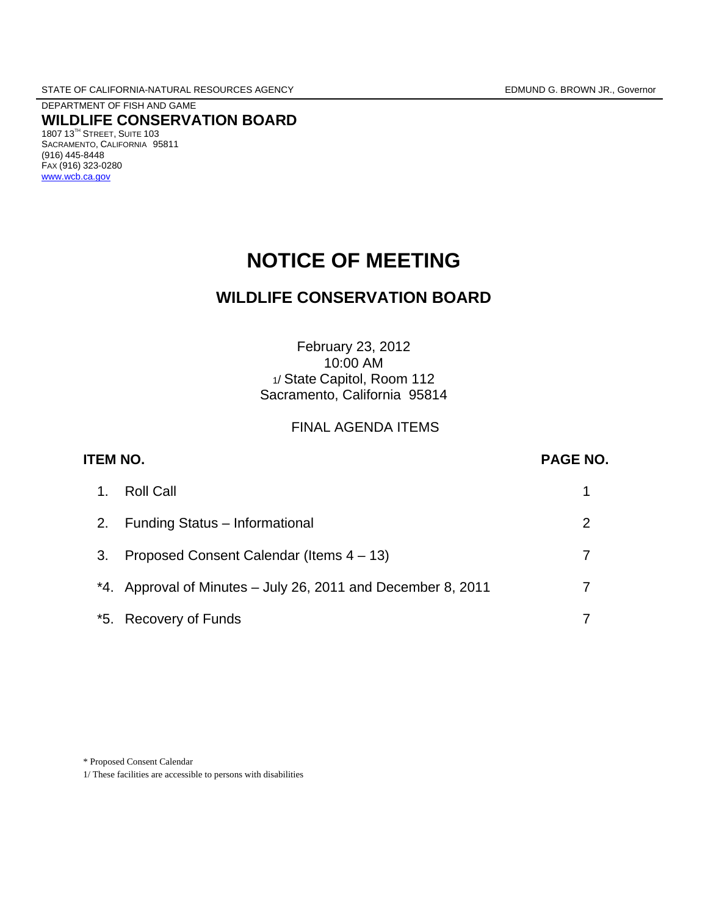DEPARTMENT OF FISH AND GAME **WILDLIFE CONSERVATION BOARD** 1807 13TH STREET, SUITE 103 SACRAMENTO, CALIFORNIA 95811 (916) 445-8448 FAX (916) 323-0280 [www.wcb.ca.gov](http://www.wcb.ca.gov/)

# **NOTICE OF MEETING**

# **WILDLIFE CONSERVATION BOARD**

# February 23, 2012 10:00 AM 1/ State Capitol, Room 112 Sacramento, California 95814

# FINAL AGENDA ITEMS

| <b>ITEM NO.</b> |     |                                                              | <b>PAGE NO.</b> |
|-----------------|-----|--------------------------------------------------------------|-----------------|
|                 | 1.  | <b>Roll Call</b>                                             |                 |
|                 | 2.  | Funding Status - Informational                               | 2               |
|                 | 3.  | Proposed Consent Calendar (Items 4 – 13)                     |                 |
|                 |     | *4. Approval of Minutes - July 26, 2011 and December 8, 2011 |                 |
|                 | *5. | <b>Recovery of Funds</b>                                     |                 |

#### \* Proposed Consent Calendar

1/ These facilities are accessible to persons with disabilities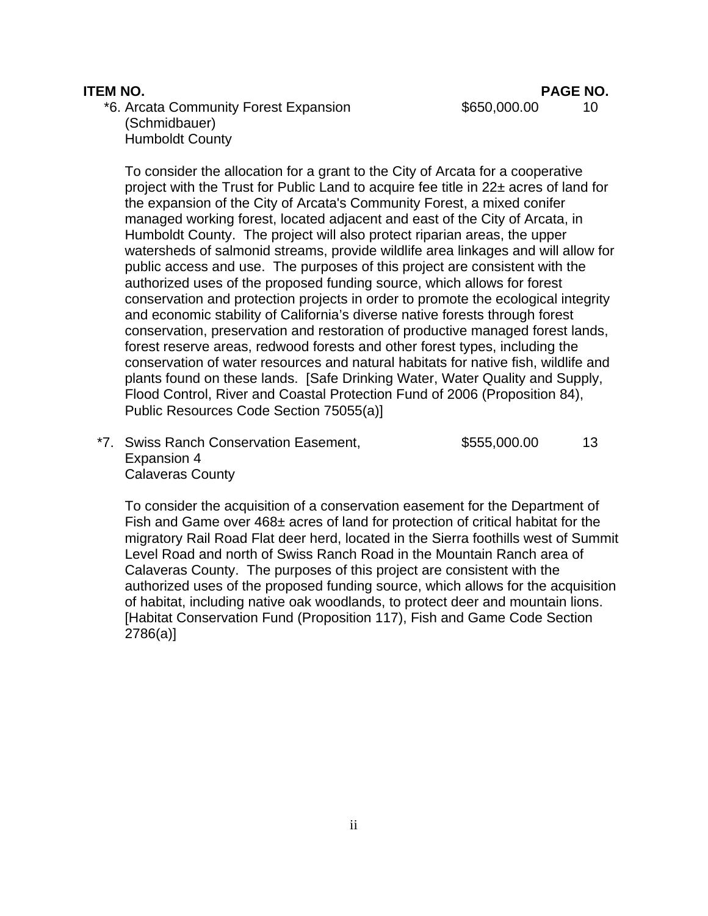**ITEM NO. PAGE NO.**

\*6. Arcata Community Forest Expansion  $$650,000.00$  10 (Schmidbauer) Humboldt County

To consider the allocation for a grant to the City of Arcata for a cooperative project with the Trust for Public Land to acquire fee title in 22± acres of land for the expansion of the City of Arcata's Community Forest, a mixed conifer managed working forest, located adjacent and east of the City of Arcata, in Humboldt County. The project will also protect riparian areas, the upper watersheds of salmonid streams, provide wildlife area linkages and will allow for public access and use. The purposes of this project are consistent with the authorized uses of the proposed funding source, which allows for forest conservation and protection projects in order to promote the ecological integrity and economic stability of California's diverse native forests through forest conservation, preservation and restoration of productive managed forest lands, forest reserve areas, redwood forests and other forest types, including the conservation of water resources and natural habitats for native fish, wildlife and plants found on these lands. [Safe Drinking Water, Water Quality and Supply, Flood Control, River and Coastal Protection Fund of 2006 (Proposition 84), Public Resources Code Section 75055(a)]

\*7. Swiss Ranch Conservation Easement,  $$555,000.00$  13 Expansion 4 Calaveras County

To consider the acquisition of a conservation easement for the Department of Fish and Game over 468± acres of land for protection of critical habitat for the migratory Rail Road Flat deer herd, located in the Sierra foothills west of Summit Level Road and north of Swiss Ranch Road in the Mountain Ranch area of Calaveras County. The purposes of this project are consistent with the authorized uses of the proposed funding source, which allows for the acquisition of habitat, including native oak woodlands, to protect deer and mountain lions. [Habitat Conservation Fund (Proposition 117), Fish and Game Code Section 2786(a)]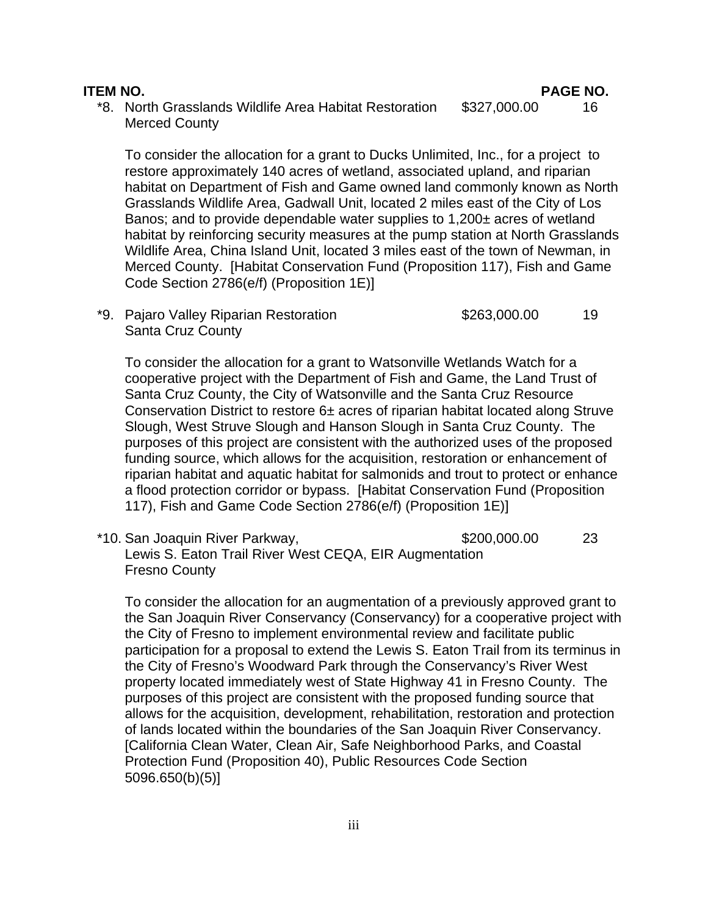\*8. North Grasslands Wildlife Area Habitat Restoration \$327,000.00 16 Merced County

To consider the allocation for a grant to Ducks Unlimited, Inc., for a project to restore approximately 140 acres of wetland, associated upland, and riparian habitat on Department of Fish and Game owned land commonly known as North Grasslands Wildlife Area, Gadwall Unit, located 2 miles east of the City of Los Banos; and to provide dependable water supplies to 1,200± acres of wetland habitat by reinforcing security measures at the pump station at North Grasslands Wildlife Area, China Island Unit, located 3 miles east of the town of Newman, in Merced County. [Habitat Conservation Fund (Proposition 117), Fish and Game Code Section 2786(e/f) (Proposition 1E)]

\*9. Pajaro Valley Riparian Restoration  $$263,000.00$  19 Santa Cruz County

To consider the allocation for a grant to Watsonville Wetlands Watch for a cooperative project with the Department of Fish and Game, the Land Trust of Santa Cruz County, the City of Watsonville and the Santa Cruz Resource Conservation District to restore 6± acres of riparian habitat located along Struve Slough, West Struve Slough and Hanson Slough in Santa Cruz County. The purposes of this project are consistent with the authorized uses of the proposed funding source, which allows for the acquisition, restoration or enhancement of riparian habitat and aquatic habitat for salmonids and trout to protect or enhance a flood protection corridor or bypass. [Habitat Conservation Fund (Proposition 117), Fish and Game Code Section 2786(e/f) (Proposition 1E)]

 \*10. San Joaquin River Parkway, \$200,000.00 23 Lewis S. Eaton Trail River West CEQA, EIR Augmentation Fresno County

To consider the allocation for an augmentation of a previously approved grant to the San Joaquin River Conservancy (Conservancy) for a cooperative project with the City of Fresno to implement environmental review and facilitate public participation for a proposal to extend the Lewis S. Eaton Trail from its terminus in the City of Fresno's Woodward Park through the Conservancy's River West property located immediately west of State Highway 41 in Fresno County. The purposes of this project are consistent with the proposed funding source that allows for the acquisition, development, rehabilitation, restoration and protection of lands located within the boundaries of the San Joaquin River Conservancy. [California Clean Water, Clean Air, Safe Neighborhood Parks, and Coastal Protection Fund (Proposition 40), Public Resources Code Section 5096.650(b)(5)]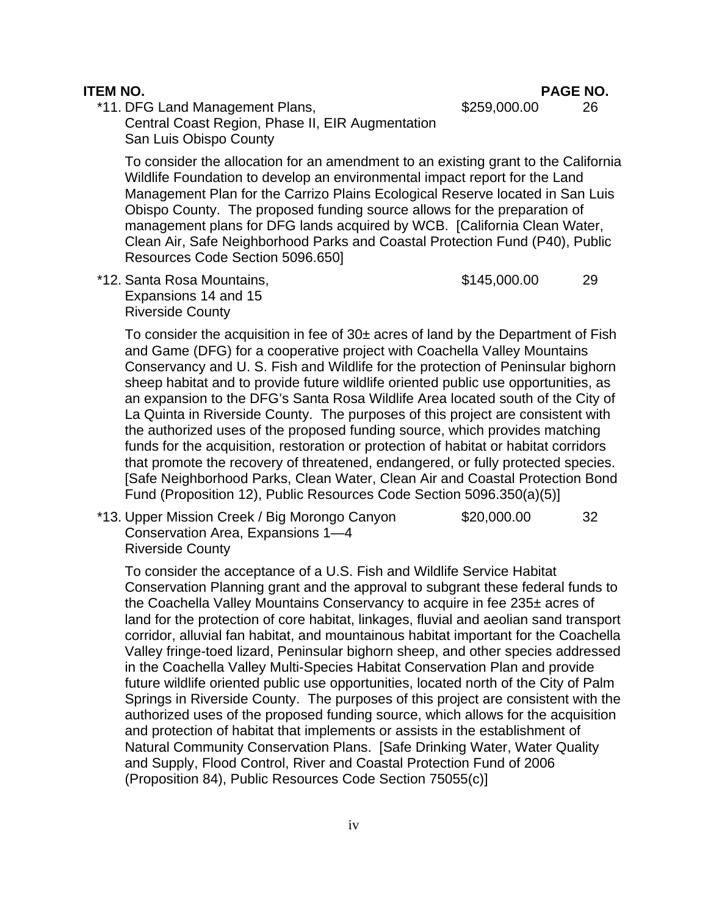**ITEM NO. PAGE NO.**

\*11. DFG Land Management Plans,  $$259,000.00$  26

 Central Coast Region, Phase II, EIR Augmentation San Luis Obispo County

To consider the allocation for an amendment to an existing grant to the California Wildlife Foundation to develop an environmental impact report for the Land Management Plan for the Carrizo Plains Ecological Reserve located in San Luis Obispo County. The proposed funding source allows for the preparation of management plans for DFG lands acquired by WCB. [California Clean Water, Clean Air, Safe Neighborhood Parks and Coastal Protection Fund (P40), Public Resources Code Section 5096.650]

\*12. Santa Rosa Mountains,  $$145,000.00$  29 Expansions 14 and 15 Riverside County

To consider the acquisition in fee of  $30<sub>±</sub>$  acres of land by the Department of Fish and Game (DFG) for a cooperative project with Coachella Valley Mountains Conservancy and U. S. Fish and Wildlife for the protection of Peninsular bighorn sheep habitat and to provide future wildlife oriented public use opportunities, as an expansion to the DFG's Santa Rosa Wildlife Area located south of the City of La Quinta in Riverside County. The purposes of this project are consistent with the authorized uses of the proposed funding source, which provides matching funds for the acquisition, restoration or protection of habitat or habitat corridors that promote the recovery of threatened, endangered, or fully protected species. [Safe Neighborhood Parks, Clean Water, Clean Air and Coastal Protection Bond Fund (Proposition 12), Public Resources Code Section 5096.350(a)(5)]

 \*13. Upper Mission Creek / Big Morongo Canyon \$20,000.00 32 Conservation Area, Expansions 1—4 Riverside County

To consider the acceptance of a U.S. Fish and Wildlife Service Habitat Conservation Planning grant and the approval to subgrant these federal funds to the Coachella Valley Mountains Conservancy to acquire in fee 235± acres of land for the protection of core habitat, linkages, fluvial and aeolian sand transport corridor, alluvial fan habitat, and mountainous habitat important for the Coachella Valley fringe-toed lizard, Peninsular bighorn sheep, and other species addressed in the Coachella Valley Multi-Species Habitat Conservation Plan and provide future wildlife oriented public use opportunities, located north of the City of Palm Springs in Riverside County. The purposes of this project are consistent with the authorized uses of the proposed funding source, which allows for the acquisition and protection of habitat that implements or assists in the establishment of Natural Community Conservation Plans. [Safe Drinking Water, Water Quality and Supply, Flood Control, River and Coastal Protection Fund of 2006 (Proposition 84), Public Resources Code Section 75055(c)]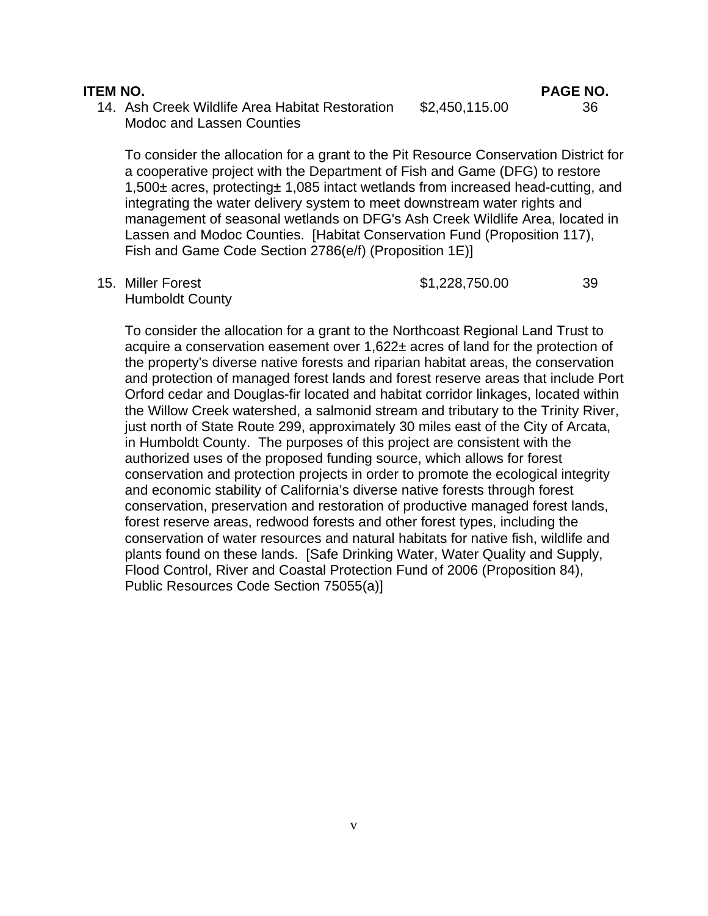14. Ash Creek Wildlife Area Habitat Restoration \$2,450,115.00 36 Modoc and Lassen Counties

To consider the allocation for a grant to the Pit Resource Conservation District for a cooperative project with the Department of Fish and Game (DFG) to restore 1,500± acres, protecting± 1,085 intact wetlands from increased head-cutting, and integrating the water delivery system to meet downstream water rights and management of seasonal wetlands on DFG's Ash Creek Wildlife Area, located in Lassen and Modoc Counties. [Habitat Conservation Fund (Proposition 117), Fish and Game Code Section 2786(e/f) (Proposition 1E)]

Humboldt County

15. Miller Forest 39

To consider the allocation for a grant to the Northcoast Regional Land Trust to acquire a conservation easement over 1,622± acres of land for the protection of the property's diverse native forests and riparian habitat areas, the conservation and protection of managed forest lands and forest reserve areas that include Port Orford cedar and Douglas-fir located and habitat corridor linkages, located within the Willow Creek watershed, a salmonid stream and tributary to the Trinity River, just north of State Route 299, approximately 30 miles east of the City of Arcata, in Humboldt County. The purposes of this project are consistent with the authorized uses of the proposed funding source, which allows for forest conservation and protection projects in order to promote the ecological integrity and economic stability of California's diverse native forests through forest conservation, preservation and restoration of productive managed forest lands, forest reserve areas, redwood forests and other forest types, including the conservation of water resources and natural habitats for native fish, wildlife and plants found on these lands. [Safe Drinking Water, Water Quality and Supply, Flood Control, River and Coastal Protection Fund of 2006 (Proposition 84), Public Resources Code Section 75055(a)]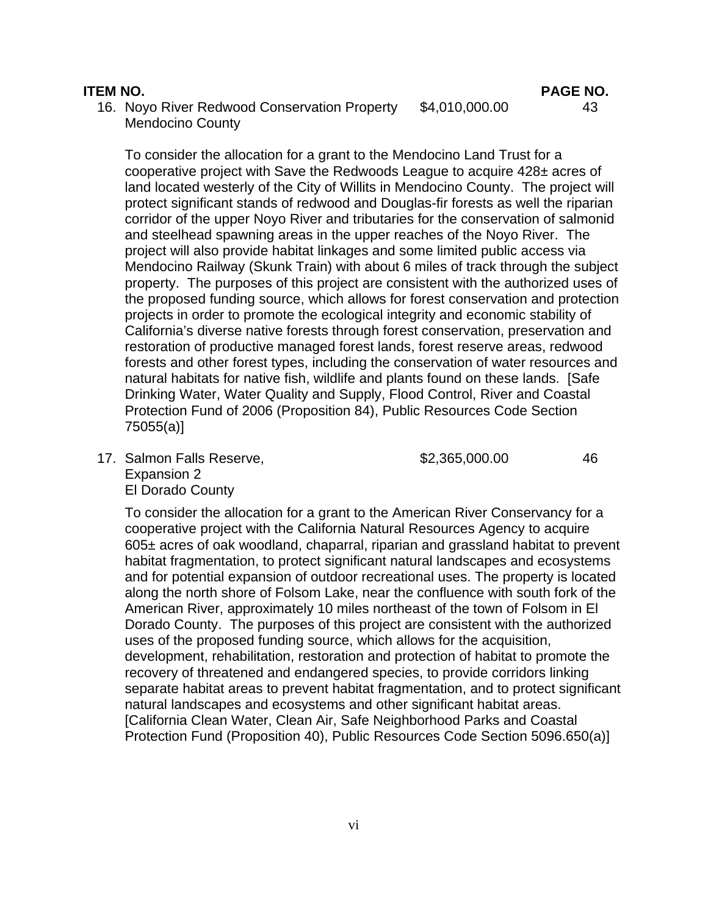16. Noyo River Redwood Conservation Property \$4,010,000.00 43 Mendocino County

To consider the allocation for a grant to the Mendocino Land Trust for a cooperative project with Save the Redwoods League to acquire 428± acres of land located westerly of the City of Willits in Mendocino County. The project will protect significant stands of redwood and Douglas-fir forests as well the riparian corridor of the upper Noyo River and tributaries for the conservation of salmonid and steelhead spawning areas in the upper reaches of the Noyo River. The project will also provide habitat linkages and some limited public access via Mendocino Railway (Skunk Train) with about 6 miles of track through the subject property. The purposes of this project are consistent with the authorized uses of the proposed funding source, which allows for forest conservation and protection projects in order to promote the ecological integrity and economic stability of California's diverse native forests through forest conservation, preservation and restoration of productive managed forest lands, forest reserve areas, redwood forests and other forest types, including the conservation of water resources and natural habitats for native fish, wildlife and plants found on these lands. [Safe Drinking Water, Water Quality and Supply, Flood Control, River and Coastal Protection Fund of 2006 (Proposition 84), Public Resources Code Section 75055(a)]

17. Salmon Falls Reserve,  $$2,365,000.00$  46 Expansion 2 El Dorado County

To consider the allocation for a grant to the American River Conservancy for a cooperative project with the California Natural Resources Agency to acquire 605± acres of oak woodland, chaparral, riparian and grassland habitat to prevent habitat fragmentation, to protect significant natural landscapes and ecosystems and for potential expansion of outdoor recreational uses. The property is located along the north shore of Folsom Lake, near the confluence with south fork of the American River, approximately 10 miles northeast of the town of Folsom in El Dorado County. The purposes of this project are consistent with the authorized uses of the proposed funding source, which allows for the acquisition, development, rehabilitation, restoration and protection of habitat to promote the recovery of threatened and endangered species, to provide corridors linking separate habitat areas to prevent habitat fragmentation, and to protect significant natural landscapes and ecosystems and other significant habitat areas. [California Clean Water, Clean Air, Safe Neighborhood Parks and Coastal Protection Fund (Proposition 40), Public Resources Code Section 5096.650(a)]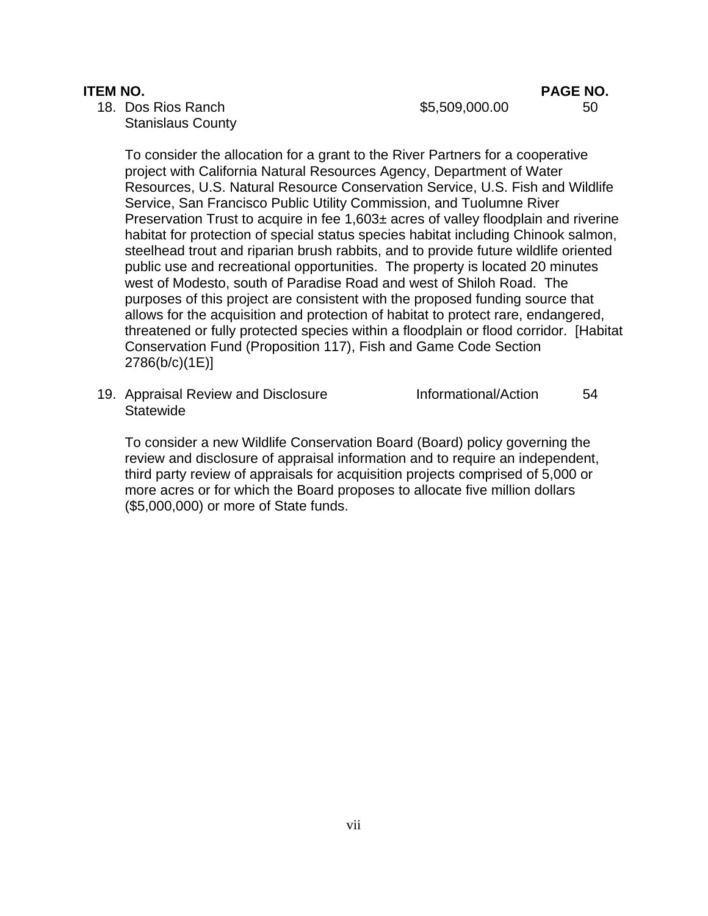18. Dos Rios Ranch \$5,509,000.00 50 Stanislaus County

To consider the allocation for a grant to the River Partners for a cooperative project with California Natural Resources Agency, Department of Water Resources, U.S. Natural Resource Conservation Service, U.S. Fish and Wildlife Service, San Francisco Public Utility Commission, and Tuolumne River Preservation Trust to acquire in fee 1,603± acres of valley floodplain and riverine habitat for protection of special status species habitat including Chinook salmon, steelhead trout and riparian brush rabbits, and to provide future wildlife oriented public use and recreational opportunities. The property is located 20 minutes west of Modesto, south of Paradise Road and west of Shiloh Road. The purposes of this project are consistent with the proposed funding source that allows for the acquisition and protection of habitat to protect rare, endangered, threatened or fully protected species within a floodplain or flood corridor. [Habitat Conservation Fund (Proposition 117), Fish and Game Code Section 2786(b/c)(1E)]

19. Appraisal Review and Disclosure **Informational/Action** 54 **Statewide** 

To consider a new Wildlife Conservation Board (Board) policy governing the review and disclosure of appraisal information and to require an independent, third party review of appraisals for acquisition projects comprised of 5,000 or more acres or for which the Board proposes to allocate five million dollars (\$5,000,000) or more of State funds.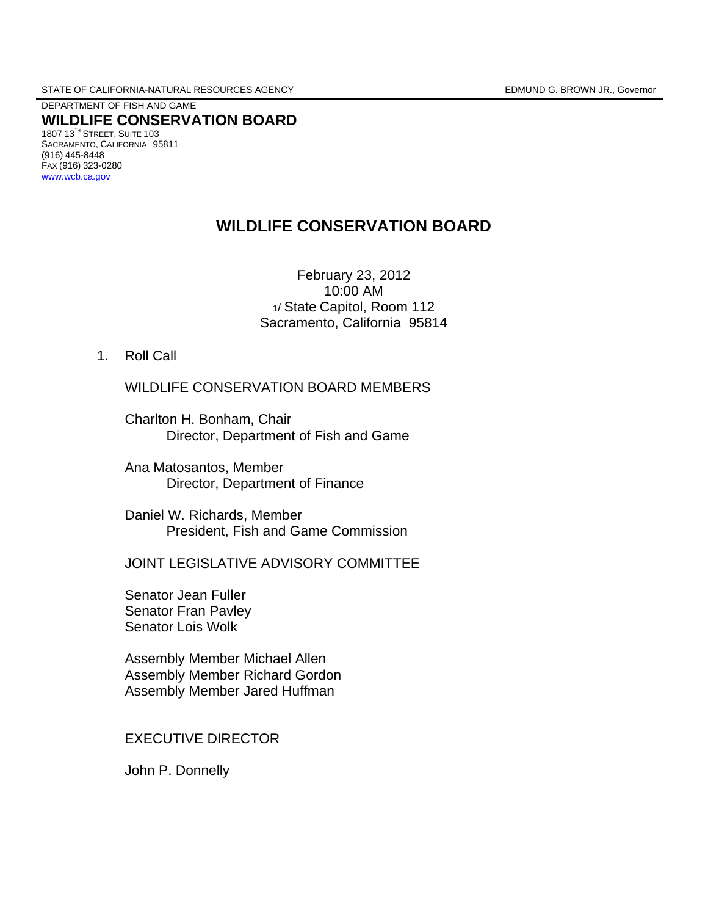DEPARTMENT OF FISH AND GAME **WILDLIFE CONSERVATION BOARD** 1807 13TH STREET, SUITE 103 SACRAMENTO, CALIFORNIA 95811 (916) 445-8448 FAX (916) 323-0280 [www.wcb.ca.gov](http://www.wcb.ca.gov/)

# **WILDLIFE CONSERVATION BOARD**

February 23, 2012 10:00 AM 1/ State Capitol, Room 112 Sacramento, California 95814

1. Roll Call

WILDLIFE CONSERVATION BOARD MEMBERS

 Charlton H. Bonham, Chair Director, Department of Fish and Game

 Ana Matosantos, Member Director, Department of Finance

 Daniel W. Richards, Member President, Fish and Game Commission

JOINT LEGISLATIVE ADVISORY COMMITTEE

 Senator Jean Fuller Senator Fran Pavley Senator Lois Wolk

 Assembly Member Michael Allen Assembly Member Richard Gordon Assembly Member Jared Huffman

EXECUTIVE DIRECTOR

John P. Donnelly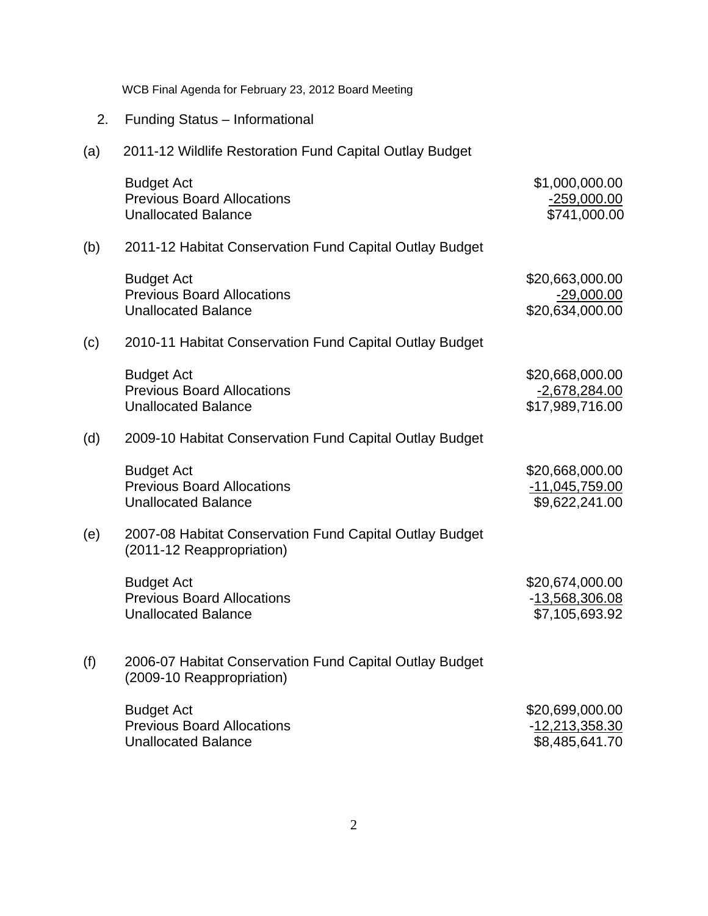2. Funding Status – Informational (a) 2011-12 Wildlife Restoration Fund Capital Outlay Budget Budget Act \$1,000,000.00 Previous Board Allocations<br>
Unallocated Balance<br>
Unallocated Balance Unallocated Balance (b) 2011-12 Habitat Conservation Fund Capital Outlay Budget Budget Act \$20,663,000.00 Previous Board Allocations **Figure 29,000.00** Unallocated Balance \$20,634,000.00 (c) 2010-11 Habitat Conservation Fund Capital Outlay Budget Budget Act \$20,668,000.00 Previous Board Allocations **-2,678,284.00** Unallocated Balance \$17,989,716.00 (d) 2009-10 Habitat Conservation Fund Capital Outlay Budget Budget Act \$20,668,000.00 Previous Board Allocations **Figure 2018** 2014 11,045,759.00 Unallocated Balance \$9,622,241.00 (e) 2007-08 Habitat Conservation Fund Capital Outlay Budget (2011-12 Reappropriation) Budget Act \$20,674,000.00 Previous Board Allocations **Contract Contract Contract Contract Contract Contract Contract Contract Contract Contract Contract Contract Contract Contract Contract Contract Contract Contract Contract Contract Contract Contr** Unallocated Balance \$7,105,693.92 (f) 2006-07 Habitat Conservation Fund Capital Outlay Budget (2009-10 Reappropriation) Budget Act **\$20,699,000.00** Previous Board Allocations **Figure 2018** -12,213,358.30 Unallocated Balance \$8,485,641.70

WCB Final Agenda for February 23, 2012 Board Meeting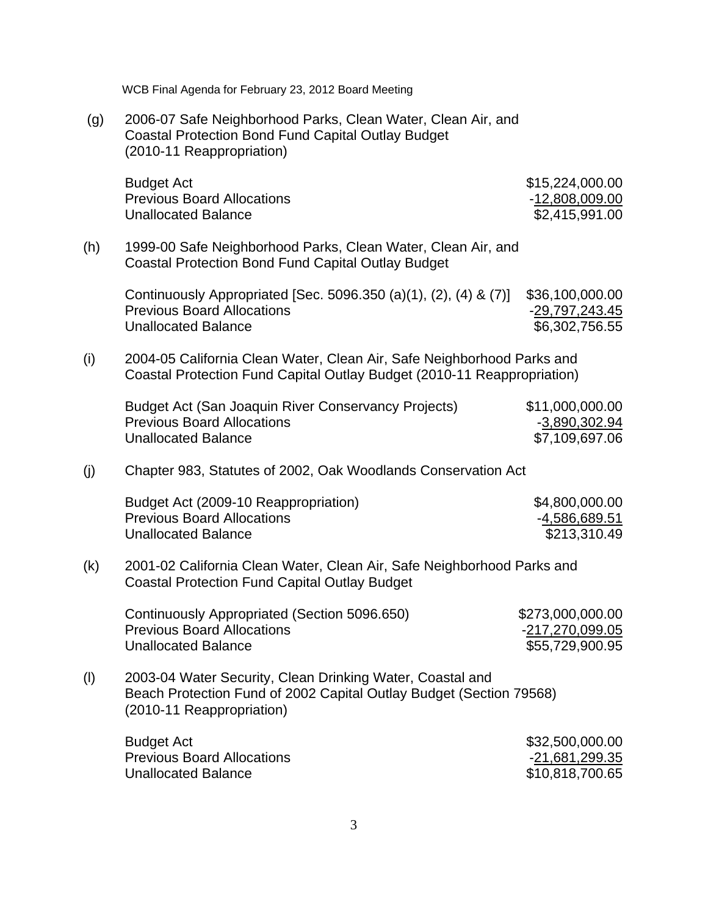(g) 2006-07 Safe Neighborhood Parks, Clean Water, Clean Air, and Coastal Protection Bond Fund Capital Outlay Budget (2010-11 Reappropriation)

| Budget Act                        | \$15,224,000.00 |
|-----------------------------------|-----------------|
| <b>Previous Board Allocations</b> | -12,808,009.00  |
| Unallocated Balance               | \$2,415,991.00  |

(h) 1999-00 Safe Neighborhood Parks, Clean Water, Clean Air, and Coastal Protection Bond Fund Capital Outlay Budget

Continuously Appropriated [Sec. 5096.350 (a)(1), (2), (4) & (7)] \$36,100,000.00 Previous Board Allocations **Figure 2018** -29,797,243.45 Unallocated Balance \$6,302,756.55

(i) 2004-05 California Clean Water, Clean Air, Safe Neighborhood Parks and Coastal Protection Fund Capital Outlay Budget (2010-11 Reappropriation)

| Budget Act (San Joaquin River Conservancy Projects) | \$11,000,000.00 |
|-----------------------------------------------------|-----------------|
| <b>Previous Board Allocations</b>                   | -3,890,302.94   |
| Unallocated Balance                                 | \$7,109,697.06  |

(j) Chapter 983, Statutes of 2002, Oak Woodlands Conservation Act

| Budget Act (2009-10 Reappropriation) | \$4,800,000.00 |
|--------------------------------------|----------------|
| <b>Previous Board Allocations</b>    | -4,586,689.51  |
| <b>Unallocated Balance</b>           | \$213,310.49   |

(k) 2001-02 California Clean Water, Clean Air, Safe Neighborhood Parks and Coastal Protection Fund Capital Outlay Budget

| Continuously Appropriated (Section 5096.650) | \$273,000,000.00 |
|----------------------------------------------|------------------|
| <b>Previous Board Allocations</b>            | -217,270,099.05  |
| Unallocated Balance                          | \$55,729,900.95  |

(l) 2003-04 Water Security, Clean Drinking Water, Coastal and Beach Protection Fund of 2002 Capital Outlay Budget (Section 79568) (2010-11 Reappropriation)

| Budget Act                 | \$32,500,000.00 |
|----------------------------|-----------------|
| Previous Board Allocations | -21,681,299.35  |
| Unallocated Balance        | \$10,818,700.65 |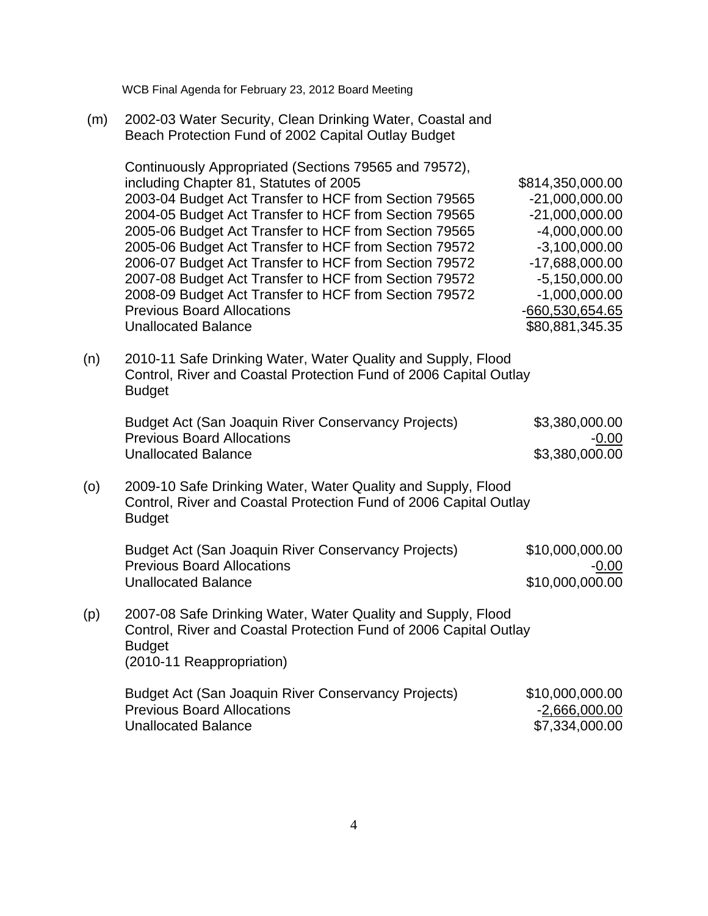(m) 2002-03 Water Security, Clean Drinking Water, Coastal and Beach Protection Fund of 2002 Capital Outlay Budget

Continuously Appropriated (Sections 79565 and 79572), including Chapter 81, Statutes of 2005 \$814,350,000.00 2003-04 Budget Act Transfer to HCF from Section 79565 -21,000,000.00 2004-05 Budget Act Transfer to HCF from Section 79565 -21,000,000.00 2005-06 Budget Act Transfer to HCF from Section 79565  $-4,000,000,00$ 2005-06 Budget Act Transfer to HCF from Section 79572 -3,100,000.00 2006-07 Budget Act Transfer to HCF from Section 79572 -17,688,000.00 2007-08 Budget Act Transfer to HCF from Section 79572 -5,150,000.00 2008-09 Budget Act Transfer to HCF from Section 79572 -1,000,000.00 Previous Board Allocations -660,530,654.65 Unallocated Balance \$80,881,345.35

(n) 2010-11 Safe Drinking Water, Water Quality and Supply, Flood Control, River and Coastal Protection Fund of 2006 Capital Outlay Budget

| Budget Act (San Joaquin River Conservancy Projects) | \$3,380,000.00 |
|-----------------------------------------------------|----------------|
| <b>Previous Board Allocations</b>                   | -0.00          |
| Unallocated Balance                                 | \$3,380,000.00 |

(o) 2009-10 Safe Drinking Water, Water Quality and Supply, Flood Control, River and Coastal Protection Fund of 2006 Capital Outlay Budget

Budget Act (San Joaquin River Conservancy Projects) \$10,000,000.00 Previous Board Allocations **Figure 2018** -0.00 Unallocated Balance \$10,000,000.00

(p) 2007-08 Safe Drinking Water, Water Quality and Supply, Flood Control, River and Coastal Protection Fund of 2006 Capital Outlay Budget (2010-11 Reappropriation)

| Budget Act (San Joaquin River Conservancy Projects) | \$10,000,000.00 |
|-----------------------------------------------------|-----------------|
| <b>Previous Board Allocations</b>                   | $-2,666,000.00$ |
| Unallocated Balance                                 | \$7,334,000.00  |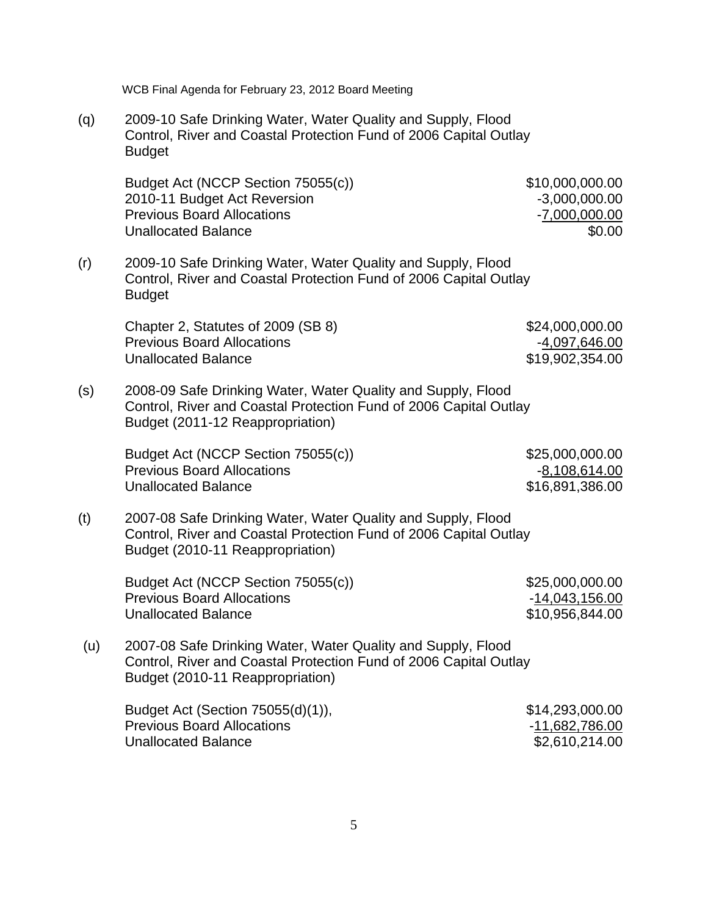(q) 2009-10 Safe Drinking Water, Water Quality and Supply, Flood Control, River and Coastal Protection Fund of 2006 Capital Outlay Budget

Budget Act (NCCP Section 75055(c)) \$10,000,000.00 2010-11 Budget Act Reversion  $-3,000,000.00$ Previous Board Allocations **Figure 2018** -7,000,000.00 Unallocated Balance **\$0.000 \$0.000 \$0.000 \$0.000 \$0.000 \$0.000 \$0.000 \$0.000 \$0.000 \$0.000 \$0.000 \$0.000 \$0.000** 

(r) 2009-10 Safe Drinking Water, Water Quality and Supply, Flood Control, River and Coastal Protection Fund of 2006 Capital Outlay **Budget** 

Chapter 2, Statutes of 2009 (SB 8)  $$24,000,000.00$ Previous Board Allocations **Figure 2018** -4,097,646.00 Unallocated Balance \$19,902,354.00

(s) 2008-09 Safe Drinking Water, Water Quality and Supply, Flood Control, River and Coastal Protection Fund of 2006 Capital Outlay Budget (2011-12 Reappropriation)

> Budget Act (NCCP Section 75055(c)) \$25,000,000.000.00 Previous Board Allocations **Contract Contract Contract Contract Contract Contract Contract Contract Contract Contract Contract Contract Contract Contract Contract Contract Contract Contract Contract Contract Contract Contr** Unallocated Balance \$16,891,386.00

(t) 2007-08 Safe Drinking Water, Water Quality and Supply, Flood Control, River and Coastal Protection Fund of 2006 Capital Outlay Budget (2010-11 Reappropriation)

Budget Act (NCCP Section 75055(c)) \$25,000,000.00 Previous Board Allocations **Figure 2018** - 14,043,156.00 Unallocated Balance \$10,956,844.00

(u) 2007-08 Safe Drinking Water, Water Quality and Supply, Flood Control, River and Coastal Protection Fund of 2006 Capital Outlay Budget (2010-11 Reappropriation)

| Budget Act (Section 75055(d)(1)), | \$14,293,000.00 |
|-----------------------------------|-----------------|
| <b>Previous Board Allocations</b> | -11,682,786.00  |
| Unallocated Balance               | \$2,610,214.00  |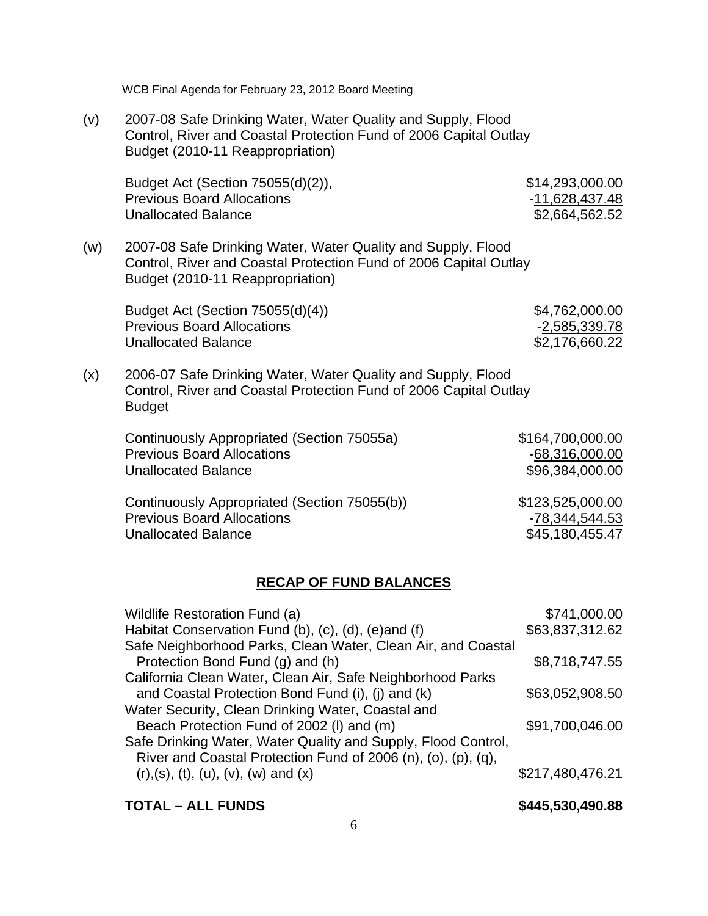| WCB Final Agenda for February 23, 2012 Board Meeting |  |  |  |  |  |  |
|------------------------------------------------------|--|--|--|--|--|--|
|------------------------------------------------------|--|--|--|--|--|--|

(v) 2007-08 Safe Drinking Water, Water Quality and Supply, Flood Control, River and Coastal Protection Fund of 2006 Capital Outlay Budget (2010-11 Reappropriation)

Budget Act (Section 75055(d)(2)), \$14,293,000.00 Previous Board Allocations **Figure 2018** -11,628,437.48 Unallocated Balance \$2,664,562.52

(w) 2007-08 Safe Drinking Water, Water Quality and Supply, Flood Control, River and Coastal Protection Fund of 2006 Capital Outlay Budget (2010-11 Reappropriation)

Budget Act (Section 75055(d)(4)) \$4,762,000.00 Previous Board Allocations **-2,585,339.78** Unallocated Balance \$2,176,660.22

(x) 2006-07 Safe Drinking Water, Water Quality and Supply, Flood Control, River and Coastal Protection Fund of 2006 Capital Outlay Budget

| Continuously Appropriated (Section 75055a)   | \$164,700,000.00 |
|----------------------------------------------|------------------|
| <b>Previous Board Allocations</b>            | $-68,316,000.00$ |
| <b>Unallocated Balance</b>                   | \$96,384,000.00  |
| Continuously Appropriated (Section 75055(b)) | \$123,525,000.00 |
| <b>Previous Board Allocations</b>            | -78,344,544.53   |
| <b>Unallocated Balance</b>                   | \$45,180,455.47  |

#### **RECAP OF FUND BALANCES**

| Wildlife Restoration Fund (a)                                 | \$741,000.00     |
|---------------------------------------------------------------|------------------|
| Habitat Conservation Fund (b), (c), (d), (e)and (f)           | \$63,837,312.62  |
| Safe Neighborhood Parks, Clean Water, Clean Air, and Coastal  |                  |
| Protection Bond Fund (g) and (h)                              | \$8,718,747.55   |
| California Clean Water, Clean Air, Safe Neighborhood Parks    |                  |
| and Coastal Protection Bond Fund (i), (j) and (k)             | \$63,052,908.50  |
| Water Security, Clean Drinking Water, Coastal and             |                  |
| Beach Protection Fund of 2002 (I) and (m)                     | \$91,700,046.00  |
| Safe Drinking Water, Water Quality and Supply, Flood Control, |                  |
| River and Coastal Protection Fund of 2006 (n), (o), (p), (q), |                  |
| $(r), (s), (t), (u), (v), (w)$ and $(x)$                      | \$217,480,476.21 |
|                                                               |                  |

#### **TOTAL – ALL FUNDS \$445,530,490.88**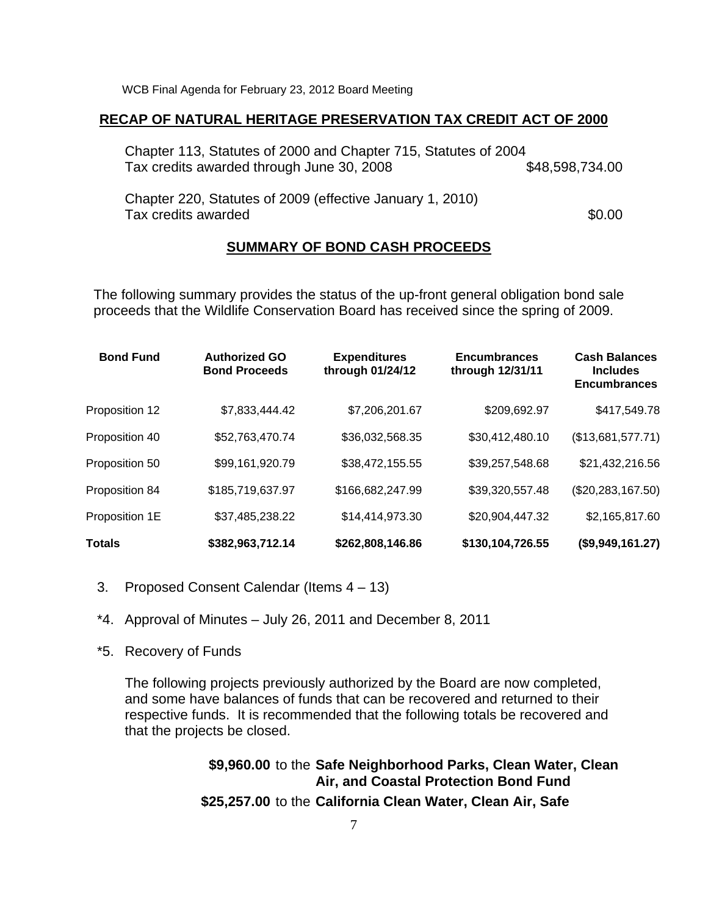### **RECAP OF NATURAL HERITAGE PRESERVATION TAX CREDIT ACT OF 2000**

Chapter 113, Statutes of 2000 and Chapter 715, Statutes of 2004 Tax credits awarded through June 30, 2008 6 6 648,598,734.00 Chapter 220, Statutes of 2009 (effective January 1, 2010) Tax credits awarded  $\sim$  50.000  $\sim$  50.000  $\sim$  50.000  $\sim$  50.000  $\sim$  50.000  $\sim$  50.000  $\sim$  50.000  $\sim$  50.000  $\sim$  50.000  $\sim$  50.000  $\sim$  50.000  $\sim$  50.000  $\sim$  50.000  $\sim$  50.000  $\sim$  50.000  $\sim$  50.000  $\sim$  50.00

# **SUMMARY OF BOND CASH PROCEEDS**

The following summary provides the status of the up-front general obligation bond sale proceeds that the Wildlife Conservation Board has received since the spring of 2009.

| <b>Bond Fund</b> | <b>Authorized GO</b><br><b>Bond Proceeds</b> | <b>Expenditures</b><br>through 01/24/12 | <b>Encumbrances</b><br>through 12/31/11 | <b>Cash Balances</b><br><b>Includes</b><br><b>Encumbrances</b> |
|------------------|----------------------------------------------|-----------------------------------------|-----------------------------------------|----------------------------------------------------------------|
| Proposition 12   | \$7,833,444.42                               | \$7,206,201.67                          | \$209,692.97                            | \$417,549.78                                                   |
| Proposition 40   | \$52,763,470.74                              | \$36,032,568.35                         | \$30,412,480.10                         | (\$13,681,577.71)                                              |
| Proposition 50   | \$99,161,920.79                              | \$38,472,155.55                         | \$39,257,548.68                         | \$21,432,216.56                                                |
| Proposition 84   | \$185,719,637.97                             | \$166,682,247.99                        | \$39,320,557.48                         | (\$20, 283, 167.50)                                            |
| Proposition 1E   | \$37,485,238.22                              | \$14,414,973.30                         | \$20,904,447.32                         | \$2,165,817.60                                                 |
| Totals           | \$382,963,712.14                             | \$262,808,146.86                        | \$130,104,726.55                        | (\$9,949,161.27)                                               |

- 3. Proposed Consent Calendar (Items 4 13)
- \*4. Approval of Minutes July 26, 2011 and December 8, 2011
- \*5. Recovery of Funds

The following projects previously authorized by the Board are now completed, and some have balances of funds that can be recovered and returned to their respective funds. It is recommended that the following totals be recovered and that the projects be closed.

> **\$9,960.00** to the **Safe Neighborhood Parks, Clean Water, Clean Air, and Coastal Protection Bond Fund**

**\$25,257.00** to the **California Clean Water, Clean Air, Safe**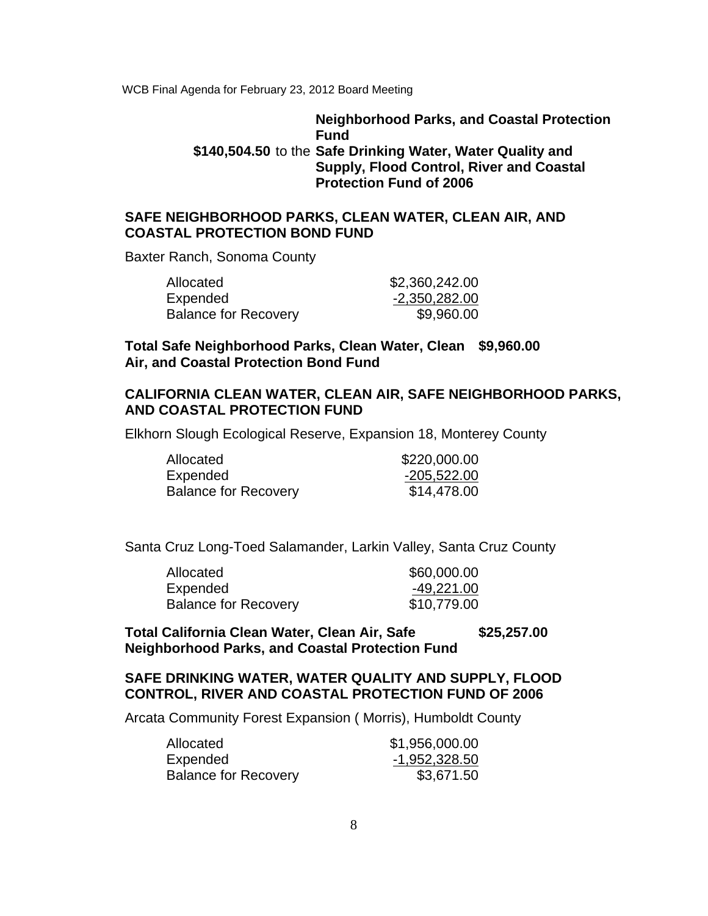# **Neighborhood Parks, and Coastal Protection Fund \$140,504.50** to the **Safe Drinking Water, Water Quality and Supply, Flood Control, River and Coastal Protection Fund of 2006**

# **SAFE NEIGHBORHOOD PARKS, CLEAN WATER, CLEAN AIR, AND COASTAL PROTECTION BOND FUND**

Baxter Ranch, Sonoma County

| Allocated                   | \$2,360,242.00 |
|-----------------------------|----------------|
| Expended                    | -2,350,282.00  |
| <b>Balance for Recovery</b> | \$9,960.00     |

**Total Safe Neighborhood Parks, Clean Water, Clean \$9,960.00 Air, and Coastal Protection Bond Fund**

# **CALIFORNIA CLEAN WATER, CLEAN AIR, SAFE NEIGHBORHOOD PARKS, AND COASTAL PROTECTION FUND**

Elkhorn Slough Ecological Reserve, Expansion 18, Monterey County

| Allocated                   | \$220,000.00 |
|-----------------------------|--------------|
| Expended                    | -205,522.00  |
| <b>Balance for Recovery</b> | \$14,478.00  |

Santa Cruz Long-Toed Salamander, Larkin Valley, Santa Cruz County

| Allocated                   | \$60,000.00 |
|-----------------------------|-------------|
| Expended                    | -49,221.00  |
| <b>Balance for Recovery</b> | \$10,779.00 |

**Total California Clean Water, Clean Air, Safe \$25,257.00 Neighborhood Parks, and Coastal Protection Fund**

# **SAFE DRINKING WATER, WATER QUALITY AND SUPPLY, FLOOD CONTROL, RIVER AND COASTAL PROTECTION FUND OF 2006**

Arcata Community Forest Expansion ( Morris), Humboldt County

| Allocated                   | \$1,956,000.00 |
|-----------------------------|----------------|
| Expended                    | -1,952,328.50  |
| <b>Balance for Recovery</b> | \$3,671.50     |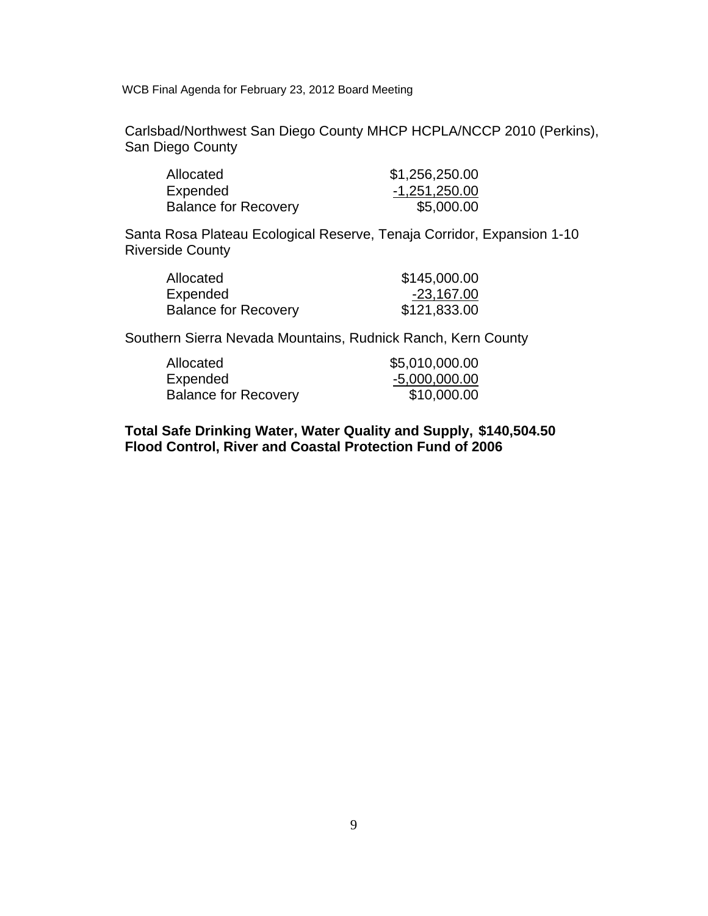Carlsbad/Northwest San Diego County MHCP HCPLA/NCCP 2010 (Perkins), San Diego County

| Allocated                   | \$1,256,250.00 |
|-----------------------------|----------------|
| Expended                    | -1,251,250.00  |
| <b>Balance for Recovery</b> | \$5,000.00     |

 Santa Rosa Plateau Ecological Reserve, Tenaja Corridor, Expansion 1-10 Riverside County

| Allocated                   | \$145,000.00 |
|-----------------------------|--------------|
| Expended                    | -23,167.00   |
| <b>Balance for Recovery</b> | \$121,833.00 |

Southern Sierra Nevada Mountains, Rudnick Ranch, Kern County

| Allocated                   | \$5,010,000.00  |
|-----------------------------|-----------------|
| Expended                    | $-5,000,000.00$ |
| <b>Balance for Recovery</b> | \$10,000.00     |

**Total Safe Drinking Water, Water Quality and Supply, \$140,504.50 Flood Control, River and Coastal Protection Fund of 2006**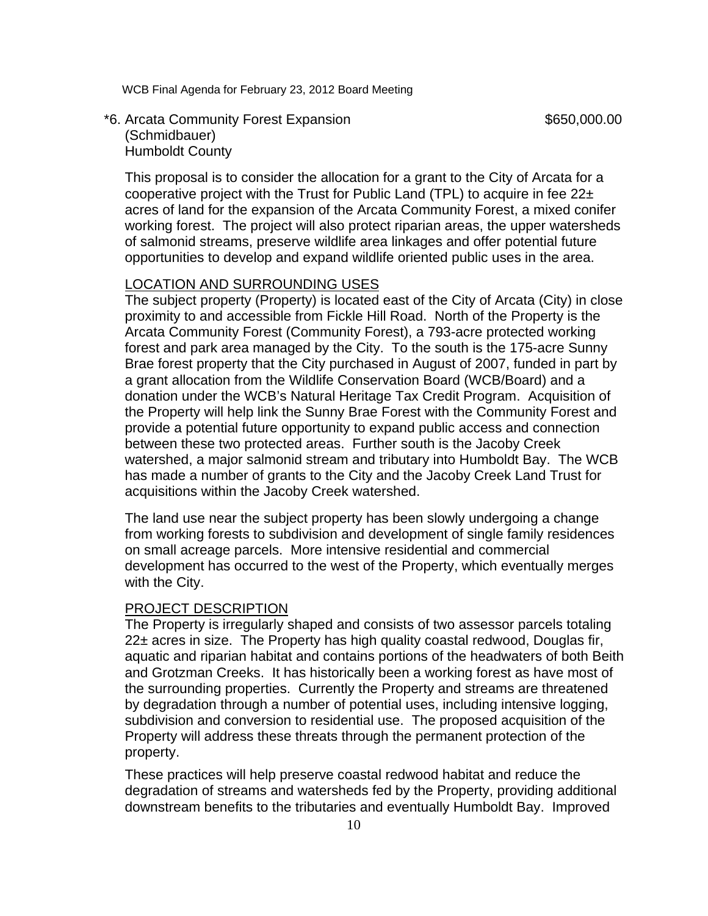# \*6. Arcata Community Forest Expansion  $$650,000.00$  (Schmidbauer) Humboldt County

This proposal is to consider the allocation for a grant to the City of Arcata for a cooperative project with the Trust for Public Land (TPL) to acquire in fee  $22<sub>±</sub>$ acres of land for the expansion of the Arcata Community Forest, a mixed conifer working forest. The project will also protect riparian areas, the upper watersheds of salmonid streams, preserve wildlife area linkages and offer potential future opportunities to develop and expand wildlife oriented public uses in the area.

## LOCATION AND SURROUNDING USES

The subject property (Property) is located east of the City of Arcata (City) in close proximity to and accessible from Fickle Hill Road. North of the Property is the Arcata Community Forest (Community Forest), a 793-acre protected working forest and park area managed by the City. To the south is the 175-acre Sunny Brae forest property that the City purchased in August of 2007, funded in part by a grant allocation from the Wildlife Conservation Board (WCB/Board) and a donation under the WCB's Natural Heritage Tax Credit Program. Acquisition of the Property will help link the Sunny Brae Forest with the Community Forest and provide a potential future opportunity to expand public access and connection between these two protected areas. Further south is the Jacoby Creek watershed, a major salmonid stream and tributary into Humboldt Bay. The WCB has made a number of grants to the City and the Jacoby Creek Land Trust for acquisitions within the Jacoby Creek watershed.

The land use near the subject property has been slowly undergoing a change from working forests to subdivision and development of single family residences on small acreage parcels. More intensive residential and commercial development has occurred to the west of the Property, which eventually merges with the City.

#### PROJECT DESCRIPTION

The Property is irregularly shaped and consists of two assessor parcels totaling 22± acres in size. The Property has high quality coastal redwood, Douglas fir, aquatic and riparian habitat and contains portions of the headwaters of both Beith and Grotzman Creeks. It has historically been a working forest as have most of the surrounding properties. Currently the Property and streams are threatened by degradation through a number of potential uses, including intensive logging, subdivision and conversion to residential use. The proposed acquisition of the Property will address these threats through the permanent protection of the property.

These practices will help preserve coastal redwood habitat and reduce the degradation of streams and watersheds fed by the Property, providing additional downstream benefits to the tributaries and eventually Humboldt Bay. Improved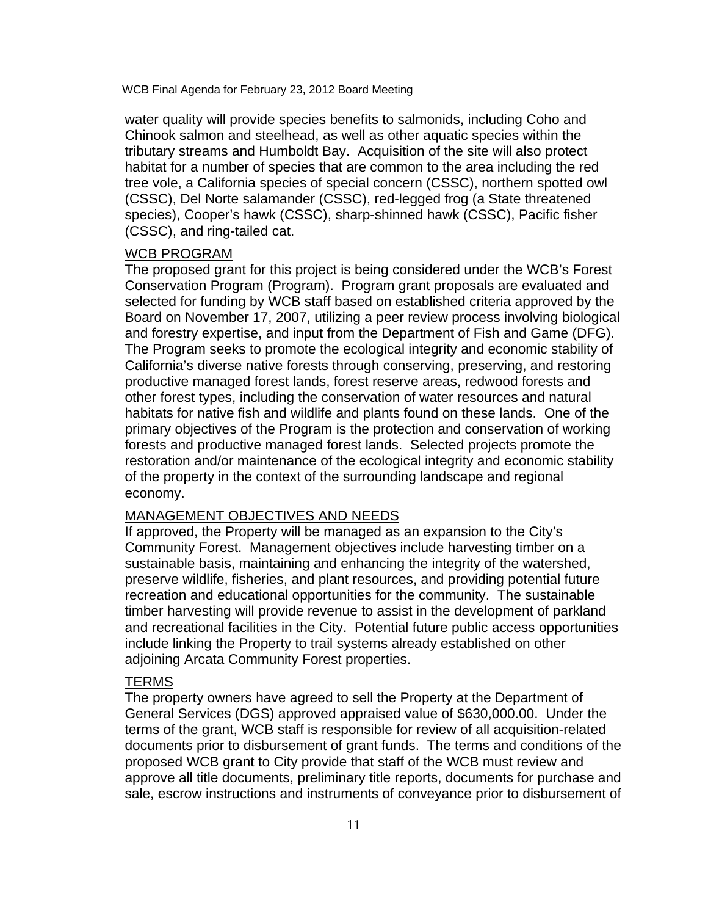water quality will provide species benefits to salmonids, including Coho and Chinook salmon and steelhead, as well as other aquatic species within the tributary streams and Humboldt Bay. Acquisition of the site will also protect habitat for a number of species that are common to the area including the red tree vole, a California species of special concern (CSSC), northern spotted owl (CSSC), Del Norte salamander (CSSC), red-legged frog (a State threatened species), Cooper's hawk (CSSC), sharp-shinned hawk (CSSC), Pacific fisher (CSSC), and ring-tailed cat.

#### WCB PROGRAM

The proposed grant for this project is being considered under the WCB's Forest Conservation Program (Program). Program grant proposals are evaluated and selected for funding by WCB staff based on established criteria approved by the Board on November 17, 2007, utilizing a peer review process involving biological and forestry expertise, and input from the Department of Fish and Game (DFG). The Program seeks to promote the ecological integrity and economic stability of California's diverse native forests through conserving, preserving, and restoring productive managed forest lands, forest reserve areas, redwood forests and other forest types, including the conservation of water resources and natural habitats for native fish and wildlife and plants found on these lands. One of the primary objectives of the Program is the protection and conservation of working forests and productive managed forest lands. Selected projects promote the restoration and/or maintenance of the ecological integrity and economic stability of the property in the context of the surrounding landscape and regional economy.

# MANAGEMENT OBJECTIVES AND NEEDS

If approved, the Property will be managed as an expansion to the City's Community Forest. Management objectives include harvesting timber on a sustainable basis, maintaining and enhancing the integrity of the watershed, preserve wildlife, fisheries, and plant resources, and providing potential future recreation and educational opportunities for the community. The sustainable timber harvesting will provide revenue to assist in the development of parkland and recreational facilities in the City. Potential future public access opportunities include linking the Property to trail systems already established on other adjoining Arcata Community Forest properties.

#### TERMS

The property owners have agreed to sell the Property at the Department of General Services (DGS) approved appraised value of \$630,000.00. Under the terms of the grant, WCB staff is responsible for review of all acquisition-related documents prior to disbursement of grant funds. The terms and conditions of the proposed WCB grant to City provide that staff of the WCB must review and approve all title documents, preliminary title reports, documents for purchase and sale, escrow instructions and instruments of conveyance prior to disbursement of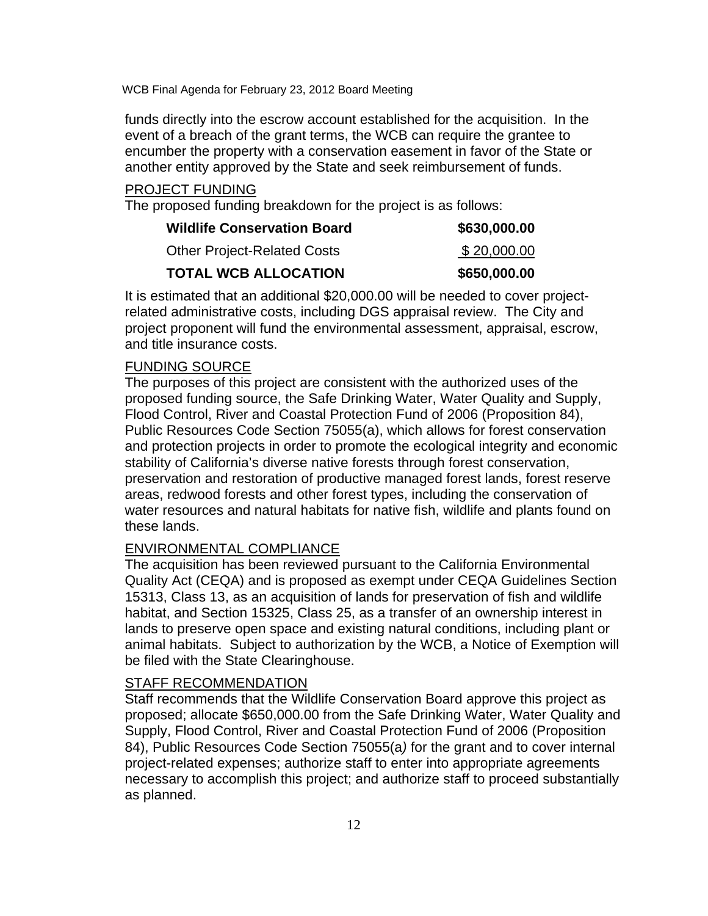funds directly into the escrow account established for the acquisition. In the event of a breach of the grant terms, the WCB can require the grantee to encumber the property with a conservation easement in favor of the State or another entity approved by the State and seek reimbursement of funds.

### PROJECT FUNDING

The proposed funding breakdown for the project is as follows:

| <b>Wildlife Conservation Board</b> | \$630,000.00 |
|------------------------------------|--------------|
| <b>Other Project-Related Costs</b> | \$20,000.00  |
| <b>TOTAL WCB ALLOCATION</b>        | \$650,000.00 |

It is estimated that an additional \$20,000.00 will be needed to cover projectrelated administrative costs, including DGS appraisal review. The City and project proponent will fund the environmental assessment, appraisal, escrow, and title insurance costs.

#### FUNDING SOURCE

The purposes of this project are consistent with the authorized uses of the proposed funding source, the Safe Drinking Water, Water Quality and Supply, Flood Control, River and Coastal Protection Fund of 2006 (Proposition 84), Public Resources Code Section 75055(a), which allows for forest conservation and protection projects in order to promote the ecological integrity and economic stability of California's diverse native forests through forest conservation, preservation and restoration of productive managed forest lands, forest reserve areas, redwood forests and other forest types, including the conservation of water resources and natural habitats for native fish, wildlife and plants found on these lands.

# ENVIRONMENTAL COMPLIANCE

The acquisition has been reviewed pursuant to the California Environmental Quality Act (CEQA) and is proposed as exempt under CEQA Guidelines Section 15313, Class 13, as an acquisition of lands for preservation of fish and wildlife habitat, and Section 15325, Class 25, as a transfer of an ownership interest in lands to preserve open space and existing natural conditions, including plant or animal habitats. Subject to authorization by the WCB, a Notice of Exemption will be filed with the State Clearinghouse.

# STAFF RECOMMENDATION

Staff recommends that the Wildlife Conservation Board approve this project as proposed; allocate \$650,000.00 from the Safe Drinking Water, Water Quality and Supply, Flood Control, River and Coastal Protection Fund of 2006 (Proposition 84), Public Resources Code Section 75055(a*)* for the grant and to cover internal project-related expenses; authorize staff to enter into appropriate agreements necessary to accomplish this project; and authorize staff to proceed substantially as planned.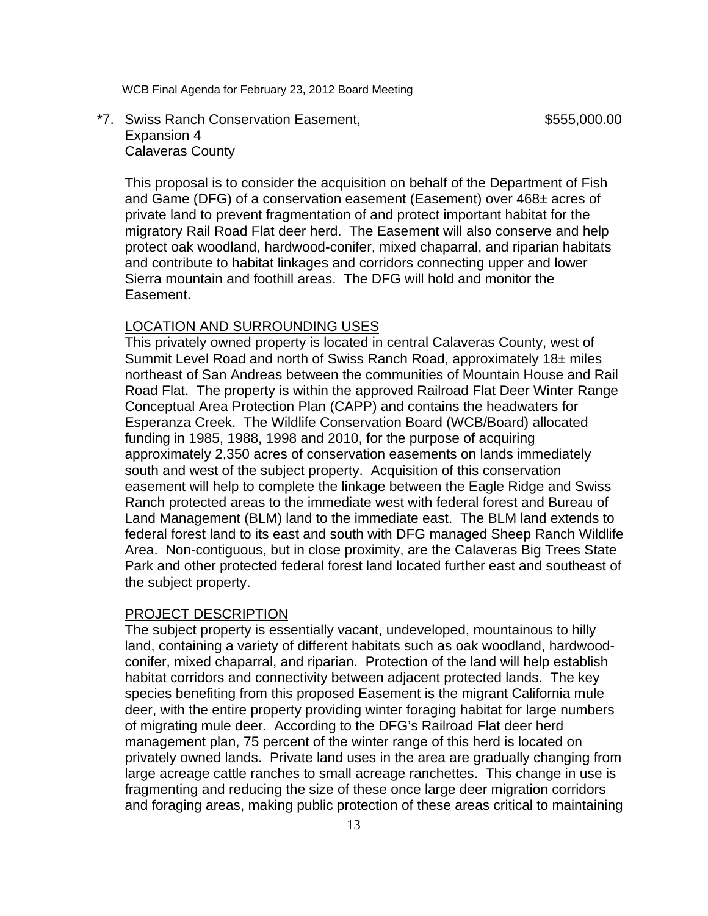# \*7. Swiss Ranch Conservation Easement, the state of the state state state state state state state state state state state state state state state state state state state state state state state state state state state stat Expansion 4 Calaveras County

This proposal is to consider the acquisition on behalf of the Department of Fish and Game (DFG) of a conservation easement (Easement) over 468± acres of private land to prevent fragmentation of and protect important habitat for the migratory Rail Road Flat deer herd. The Easement will also conserve and help protect oak woodland, hardwood-conifer, mixed chaparral, and riparian habitats and contribute to habitat linkages and corridors connecting upper and lower Sierra mountain and foothill areas. The DFG will hold and monitor the Easement.

# LOCATION AND SURROUNDING USES

This privately owned property is located in central Calaveras County, west of Summit Level Road and north of Swiss Ranch Road, approximately 18± miles northeast of San Andreas between the communities of Mountain House and Rail Road Flat. The property is within the approved Railroad Flat Deer Winter Range Conceptual Area Protection Plan (CAPP) and contains the headwaters for Esperanza Creek. The Wildlife Conservation Board (WCB/Board) allocated funding in 1985, 1988, 1998 and 2010, for the purpose of acquiring approximately 2,350 acres of conservation easements on lands immediately south and west of the subject property. Acquisition of this conservation easement will help to complete the linkage between the Eagle Ridge and Swiss Ranch protected areas to the immediate west with federal forest and Bureau of Land Management (BLM) land to the immediate east. The BLM land extends to federal forest land to its east and south with DFG managed Sheep Ranch Wildlife Area. Non-contiguous, but in close proximity, are the Calaveras Big Trees State Park and other protected federal forest land located further east and southeast of the subject property.

#### PROJECT DESCRIPTION

The subject property is essentially vacant, undeveloped, mountainous to hilly land, containing a variety of different habitats such as oak woodland, hardwoodconifer, mixed chaparral, and riparian. Protection of the land will help establish habitat corridors and connectivity between adjacent protected lands. The key species benefiting from this proposed Easement is the migrant California mule deer, with the entire property providing winter foraging habitat for large numbers of migrating mule deer. According to the DFG's Railroad Flat deer herd management plan, 75 percent of the winter range of this herd is located on privately owned lands. Private land uses in the area are gradually changing from large acreage cattle ranches to small acreage ranchettes. This change in use is fragmenting and reducing the size of these once large deer migration corridors and foraging areas, making public protection of these areas critical to maintaining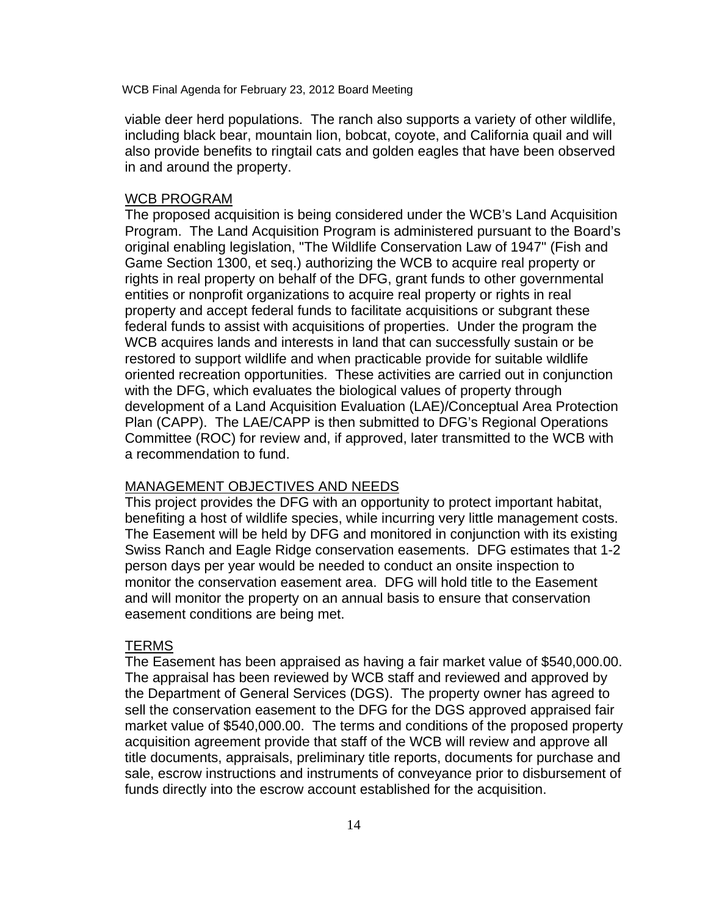viable deer herd populations. The ranch also supports a variety of other wildlife, including black bear, mountain lion, bobcat, coyote, and California quail and will also provide benefits to ringtail cats and golden eagles that have been observed in and around the property.

#### WCB PROGRAM

The proposed acquisition is being considered under the WCB's Land Acquisition Program. The Land Acquisition Program is administered pursuant to the Board's original enabling legislation, "The Wildlife Conservation Law of 1947" (Fish and Game Section 1300, et seq.) authorizing the WCB to acquire real property or rights in real property on behalf of the DFG, grant funds to other governmental entities or nonprofit organizations to acquire real property or rights in real property and accept federal funds to facilitate acquisitions or subgrant these federal funds to assist with acquisitions of properties. Under the program the WCB acquires lands and interests in land that can successfully sustain or be restored to support wildlife and when practicable provide for suitable wildlife oriented recreation opportunities. These activities are carried out in conjunction with the DFG, which evaluates the biological values of property through development of a Land Acquisition Evaluation (LAE)/Conceptual Area Protection Plan (CAPP). The LAE/CAPP is then submitted to DFG's Regional Operations Committee (ROC) for review and, if approved, later transmitted to the WCB with a recommendation to fund.

#### MANAGEMENT OBJECTIVES AND NEEDS

This project provides the DFG with an opportunity to protect important habitat, benefiting a host of wildlife species, while incurring very little management costs. The Easement will be held by DFG and monitored in conjunction with its existing Swiss Ranch and Eagle Ridge conservation easements. DFG estimates that 1-2 person days per year would be needed to conduct an onsite inspection to monitor the conservation easement area. DFG will hold title to the Easement and will monitor the property on an annual basis to ensure that conservation easement conditions are being met.

#### TERMS

The Easement has been appraised as having a fair market value of \$540,000.00. The appraisal has been reviewed by WCB staff and reviewed and approved by the Department of General Services (DGS). The property owner has agreed to sell the conservation easement to the DFG for the DGS approved appraised fair market value of \$540,000.00. The terms and conditions of the proposed property acquisition agreement provide that staff of the WCB will review and approve all title documents, appraisals, preliminary title reports, documents for purchase and sale, escrow instructions and instruments of conveyance prior to disbursement of funds directly into the escrow account established for the acquisition.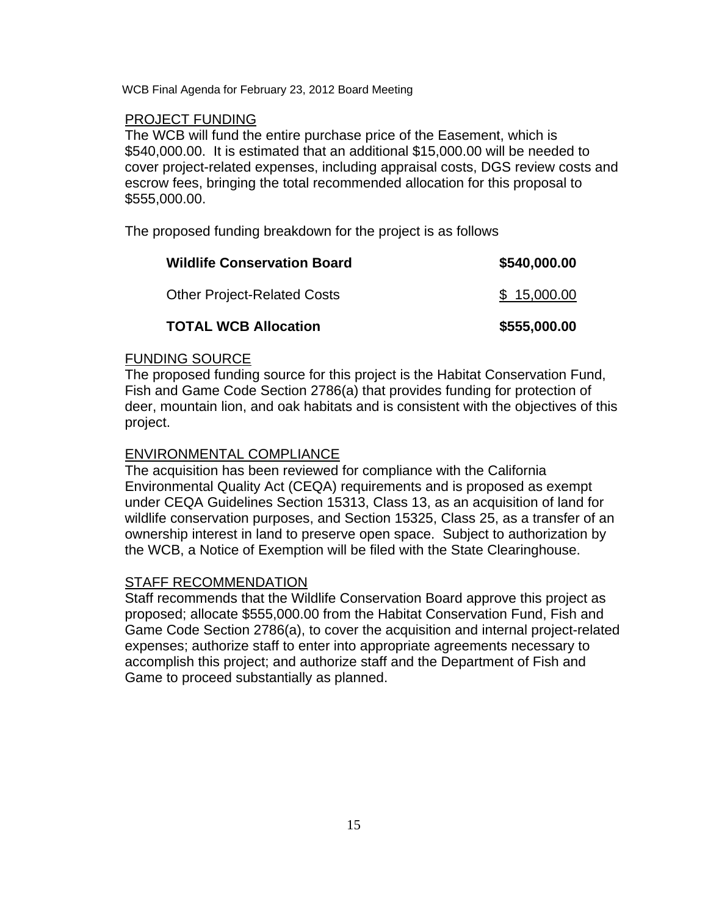# PROJECT FUNDING

The WCB will fund the entire purchase price of the Easement, which is \$540,000.00. It is estimated that an additional \$15,000.00 will be needed to cover project-related expenses, including appraisal costs, DGS review costs and escrow fees, bringing the total recommended allocation for this proposal to \$555,000.00.

The proposed funding breakdown for the project is as follows

| <b>Wildlife Conservation Board</b> | \$540,000.00 |
|------------------------------------|--------------|
| <b>Other Project-Related Costs</b> | \$15,000.00  |
| <b>TOTAL WCB Allocation</b>        | \$555,000.00 |

# FUNDING SOURCE

The proposed funding source for this project is the Habitat Conservation Fund, Fish and Game Code Section 2786(a) that provides funding for protection of deer, mountain lion, and oak habitats and is consistent with the objectives of this project.

# ENVIRONMENTAL COMPLIANCE

The acquisition has been reviewed for compliance with the California Environmental Quality Act (CEQA) requirements and is proposed as exempt under CEQA Guidelines Section 15313, Class 13, as an acquisition of land for wildlife conservation purposes, and Section 15325, Class 25, as a transfer of an ownership interest in land to preserve open space. Subject to authorization by the WCB, a Notice of Exemption will be filed with the State Clearinghouse.

### STAFF RECOMMENDATION

Staff recommends that the Wildlife Conservation Board approve this project as proposed; allocate \$555,000.00 from the Habitat Conservation Fund, Fish and Game Code Section 2786(a), to cover the acquisition and internal project-related expenses; authorize staff to enter into appropriate agreements necessary to accomplish this project; and authorize staff and the Department of Fish and Game to proceed substantially as planned.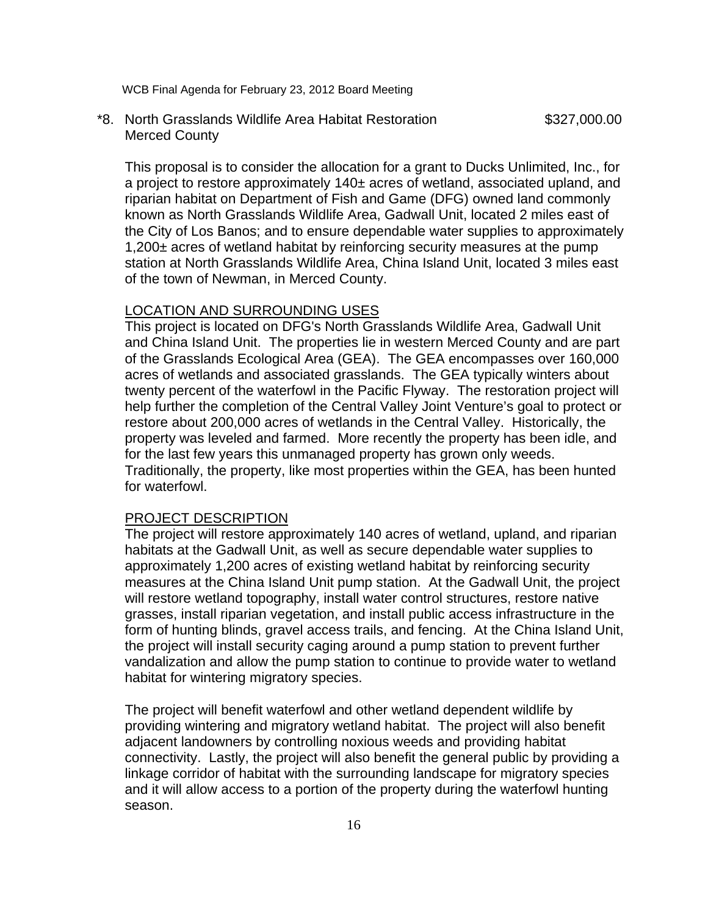\*8. North Grasslands Wildlife Area Habitat Restoration \$327,000.00 Merced County

This proposal is to consider the allocation for a grant to Ducks Unlimited, Inc., for a project to restore approximately 140± acres of wetland, associated upland, and riparian habitat on Department of Fish and Game (DFG) owned land commonly known as North Grasslands Wildlife Area, Gadwall Unit, located 2 miles east of the City of Los Banos; and to ensure dependable water supplies to approximately 1,200± acres of wetland habitat by reinforcing security measures at the pump station at North Grasslands Wildlife Area, China Island Unit, located 3 miles east of the town of Newman, in Merced County.

### LOCATION AND SURROUNDING USES

This project is located on DFG's North Grasslands Wildlife Area, Gadwall Unit and China Island Unit. The properties lie in western Merced County and are part of the Grasslands Ecological Area (GEA). The GEA encompasses over 160,000 acres of wetlands and associated grasslands. The GEA typically winters about twenty percent of the waterfowl in the Pacific Flyway. The restoration project will help further the completion of the Central Valley Joint Venture's goal to protect or restore about 200,000 acres of wetlands in the Central Valley. Historically, the property was leveled and farmed. More recently the property has been idle, and for the last few years this unmanaged property has grown only weeds. Traditionally, the property, like most properties within the GEA, has been hunted for waterfowl.

# PROJECT DESCRIPTION

The project will restore approximately 140 acres of wetland, upland, and riparian habitats at the Gadwall Unit, as well as secure dependable water supplies to approximately 1,200 acres of existing wetland habitat by reinforcing security measures at the China Island Unit pump station. At the Gadwall Unit, the project will restore wetland topography, install water control structures, restore native grasses, install riparian vegetation, and install public access infrastructure in the form of hunting blinds, gravel access trails, and fencing. At the China Island Unit, the project will install security caging around a pump station to prevent further vandalization and allow the pump station to continue to provide water to wetland habitat for wintering migratory species.

The project will benefit waterfowl and other wetland dependent wildlife by providing wintering and migratory wetland habitat. The project will also benefit adjacent landowners by controlling noxious weeds and providing habitat connectivity. Lastly, the project will also benefit the general public by providing a linkage corridor of habitat with the surrounding landscape for migratory species and it will allow access to a portion of the property during the waterfowl hunting season.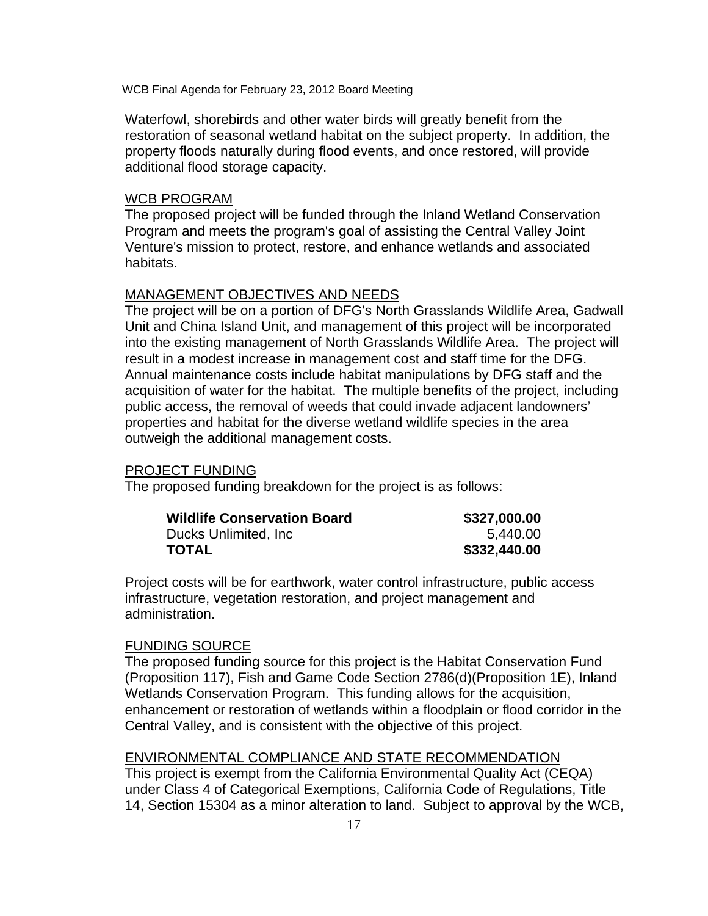Waterfowl, shorebirds and other water birds will greatly benefit from the restoration of seasonal wetland habitat on the subject property. In addition, the property floods naturally during flood events, and once restored, will provide additional flood storage capacity.

## WCB PROGRAM

The proposed project will be funded through the Inland Wetland Conservation Program and meets the program's goal of assisting the Central Valley Joint Venture's mission to protect, restore, and enhance wetlands and associated habitats.

# MANAGEMENT OBJECTIVES AND NEEDS

The project will be on a portion of DFG's North Grasslands Wildlife Area, Gadwall Unit and China Island Unit, and management of this project will be incorporated into the existing management of North Grasslands Wildlife Area. The project will result in a modest increase in management cost and staff time for the DFG. Annual maintenance costs include habitat manipulations by DFG staff and the acquisition of water for the habitat. The multiple benefits of the project, including public access, the removal of weeds that could invade adjacent landowners' properties and habitat for the diverse wetland wildlife species in the area outweigh the additional management costs.

#### PROJECT FUNDING

The proposed funding breakdown for the project is as follows:

| <b>Wildlife Conservation Board</b> | \$327,000.00 |
|------------------------------------|--------------|
| Ducks Unlimited, Inc.              | 5.440.00     |
| TOTAL                              | \$332,440.00 |

Project costs will be for earthwork, water control infrastructure, public access infrastructure, vegetation restoration, and project management and administration.

#### FUNDING SOURCE

The proposed funding source for this project is the Habitat Conservation Fund (Proposition 117), Fish and Game Code Section 2786(d)(Proposition 1E), Inland Wetlands Conservation Program. This funding allows for the acquisition, enhancement or restoration of wetlands within a floodplain or flood corridor in the Central Valley, and is consistent with the objective of this project.

# ENVIRONMENTAL COMPLIANCE AND STATE RECOMMENDATION

This project is exempt from the California Environmental Quality Act (CEQA) under Class 4 of Categorical Exemptions, California Code of Regulations, Title 14, Section 15304 as a minor alteration to land. Subject to approval by the WCB,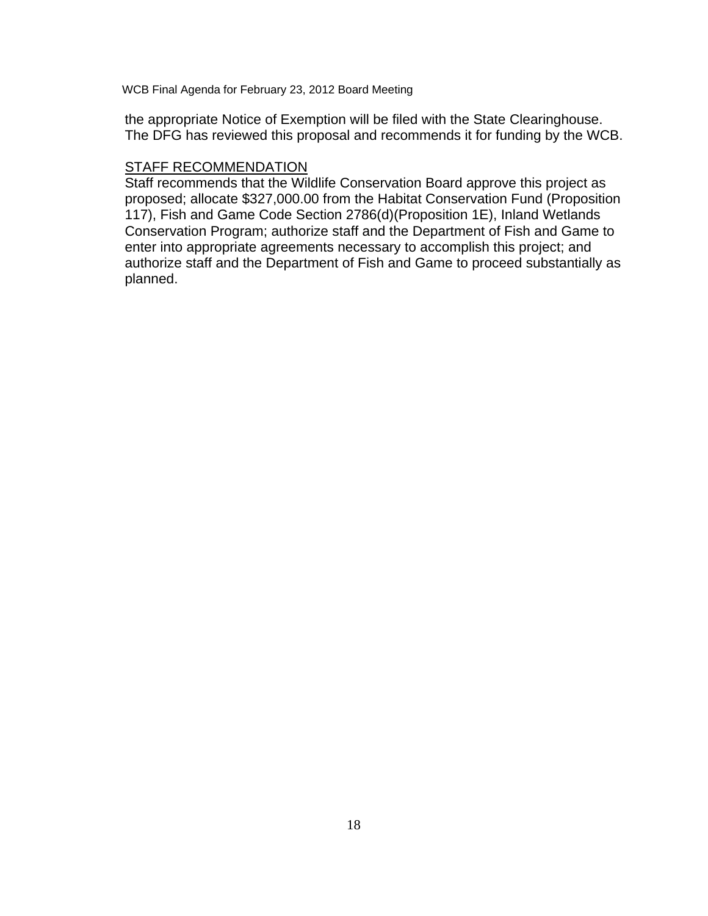the appropriate Notice of Exemption will be filed with the State Clearinghouse. The DFG has reviewed this proposal and recommends it for funding by the WCB.

# STAFF RECOMMENDATION

Staff recommends that the Wildlife Conservation Board approve this project as proposed; allocate \$327,000.00 from the Habitat Conservation Fund (Proposition 117), Fish and Game Code Section 2786(d)(Proposition 1E), Inland Wetlands Conservation Program; authorize staff and the Department of Fish and Game to enter into appropriate agreements necessary to accomplish this project; and authorize staff and the Department of Fish and Game to proceed substantially as planned.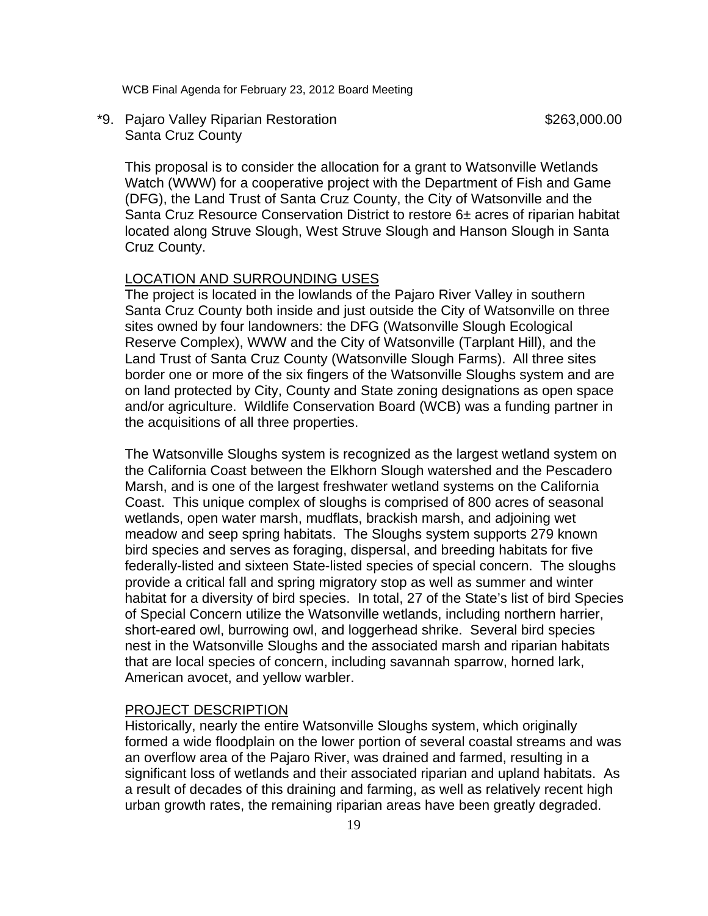\*9. Pajaro Valley Riparian Restoration **\$263,000.00** \$263,000.00 Santa Cruz County

This proposal is to consider the allocation for a grant to Watsonville Wetlands Watch (WWW) for a cooperative project with the Department of Fish and Game (DFG), the Land Trust of Santa Cruz County, the City of Watsonville and the Santa Cruz Resource Conservation District to restore 6± acres of riparian habitat located along Struve Slough, West Struve Slough and Hanson Slough in Santa Cruz County.

## LOCATION AND SURROUNDING USES

The project is located in the lowlands of the Pajaro River Valley in southern Santa Cruz County both inside and just outside the City of Watsonville on three sites owned by four landowners: the DFG (Watsonville Slough Ecological Reserve Complex), WWW and the City of Watsonville (Tarplant Hill), and the Land Trust of Santa Cruz County (Watsonville Slough Farms). All three sites border one or more of the six fingers of the Watsonville Sloughs system and are on land protected by City, County and State zoning designations as open space and/or agriculture. Wildlife Conservation Board (WCB) was a funding partner in the acquisitions of all three properties.

The Watsonville Sloughs system is recognized as the largest wetland system on the California Coast between the Elkhorn Slough watershed and the Pescadero Marsh, and is one of the largest freshwater wetland systems on the California Coast. This unique complex of sloughs is comprised of 800 acres of seasonal wetlands, open water marsh, mudflats, brackish marsh, and adjoining wet meadow and seep spring habitats. The Sloughs system supports 279 known bird species and serves as foraging, dispersal, and breeding habitats for five federally-listed and sixteen State-listed species of special concern. The sloughs provide a critical fall and spring migratory stop as well as summer and winter habitat for a diversity of bird species. In total, 27 of the State's list of bird Species of Special Concern utilize the Watsonville wetlands, including northern harrier, short-eared owl, burrowing owl, and loggerhead shrike. Several bird species nest in the Watsonville Sloughs and the associated marsh and riparian habitats that are local species of concern, including savannah sparrow, horned lark, American avocet, and yellow warbler.

#### PROJECT DESCRIPTION

Historically, nearly the entire Watsonville Sloughs system, which originally formed a wide floodplain on the lower portion of several coastal streams and was an overflow area of the Pajaro River, was drained and farmed, resulting in a significant loss of wetlands and their associated riparian and upland habitats. As a result of decades of this draining and farming, as well as relatively recent high urban growth rates, the remaining riparian areas have been greatly degraded.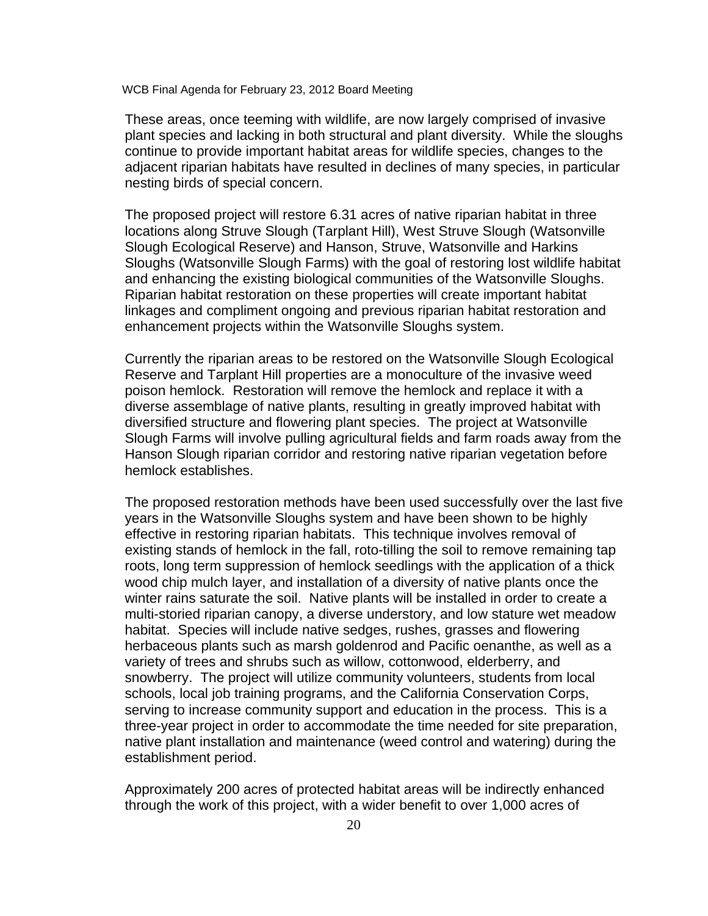These areas, once teeming with wildlife, are now largely comprised of invasive plant species and lacking in both structural and plant diversity. While the sloughs continue to provide important habitat areas for wildlife species, changes to the adjacent riparian habitats have resulted in declines of many species, in particular nesting birds of special concern.

The proposed project will restore 6.31 acres of native riparian habitat in three locations along Struve Slough (Tarplant Hill), West Struve Slough (Watsonville Slough Ecological Reserve) and Hanson, Struve, Watsonville and Harkins Sloughs (Watsonville Slough Farms) with the goal of restoring lost wildlife habitat and enhancing the existing biological communities of the Watsonville Sloughs. Riparian habitat restoration on these properties will create important habitat linkages and compliment ongoing and previous riparian habitat restoration and enhancement projects within the Watsonville Sloughs system.

Currently the riparian areas to be restored on the Watsonville Slough Ecological Reserve and Tarplant Hill properties are a monoculture of the invasive weed poison hemlock. Restoration will remove the hemlock and replace it with a diverse assemblage of native plants, resulting in greatly improved habitat with diversified structure and flowering plant species. The project at Watsonville Slough Farms will involve pulling agricultural fields and farm roads away from the Hanson Slough riparian corridor and restoring native riparian vegetation before hemlock establishes.

The proposed restoration methods have been used successfully over the last five years in the Watsonville Sloughs system and have been shown to be highly effective in restoring riparian habitats. This technique involves removal of existing stands of hemlock in the fall, roto-tilling the soil to remove remaining tap roots, long term suppression of hemlock seedlings with the application of a thick wood chip mulch layer, and installation of a diversity of native plants once the winter rains saturate the soil. Native plants will be installed in order to create a multi-storied riparian canopy, a diverse understory, and low stature wet meadow habitat. Species will include native sedges, rushes, grasses and flowering herbaceous plants such as marsh goldenrod and Pacific oenanthe, as well as a variety of trees and shrubs such as willow, cottonwood, elderberry, and snowberry. The project will utilize community volunteers, students from local schools, local job training programs, and the California Conservation Corps, serving to increase community support and education in the process. This is a three-year project in order to accommodate the time needed for site preparation, native plant installation and maintenance (weed control and watering) during the establishment period.

Approximately 200 acres of protected habitat areas will be indirectly enhanced through the work of this project, with a wider benefit to over 1,000 acres of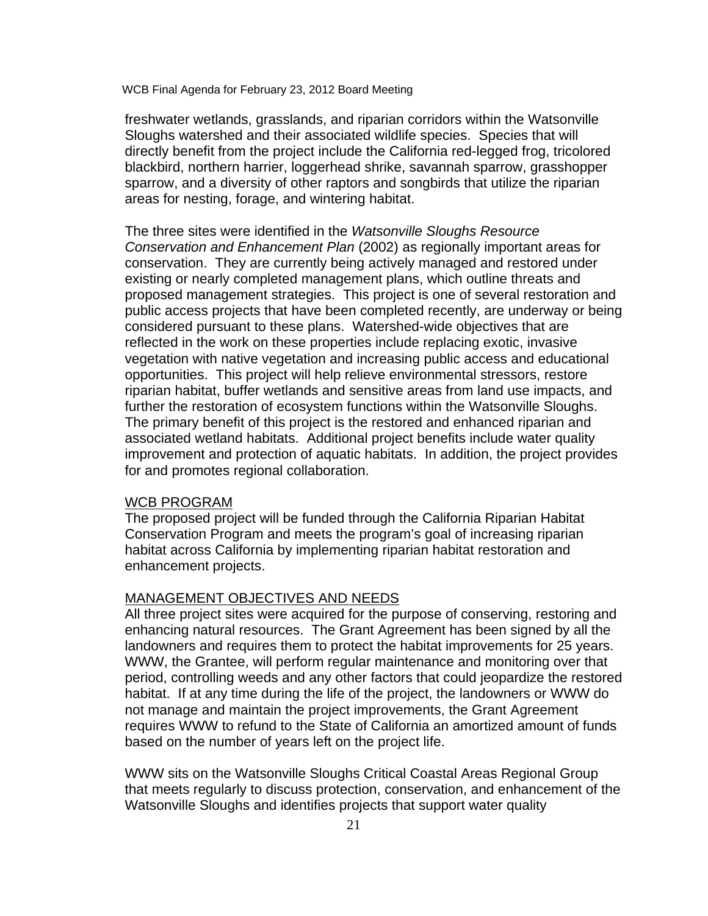freshwater wetlands, grasslands, and riparian corridors within the Watsonville Sloughs watershed and their associated wildlife species. Species that will directly benefit from the project include the California red-legged frog, tricolored blackbird, northern harrier, loggerhead shrike, savannah sparrow, grasshopper sparrow, and a diversity of other raptors and songbirds that utilize the riparian areas for nesting, forage, and wintering habitat.

The three sites were identified in the *Watsonville Sloughs Resource Conservation and Enhancement Plan* (2002) as regionally important areas for conservation. They are currently being actively managed and restored under existing or nearly completed management plans, which outline threats and proposed management strategies. This project is one of several restoration and public access projects that have been completed recently, are underway or being considered pursuant to these plans. Watershed-wide objectives that are reflected in the work on these properties include replacing exotic, invasive vegetation with native vegetation and increasing public access and educational opportunities. This project will help relieve environmental stressors, restore riparian habitat, buffer wetlands and sensitive areas from land use impacts, and further the restoration of ecosystem functions within the Watsonville Sloughs. The primary benefit of this project is the restored and enhanced riparian and associated wetland habitats. Additional project benefits include water quality improvement and protection of aquatic habitats. In addition, the project provides for and promotes regional collaboration.

## WCB PROGRAM

The proposed project will be funded through the California Riparian Habitat Conservation Program and meets the program's goal of increasing riparian habitat across California by implementing riparian habitat restoration and enhancement projects.

# MANAGEMENT OBJECTIVES AND NEEDS

All three project sites were acquired for the purpose of conserving, restoring and enhancing natural resources. The Grant Agreement has been signed by all the landowners and requires them to protect the habitat improvements for 25 years. WWW, the Grantee, will perform regular maintenance and monitoring over that period, controlling weeds and any other factors that could jeopardize the restored habitat. If at any time during the life of the project, the landowners or WWW do not manage and maintain the project improvements, the Grant Agreement requires WWW to refund to the State of California an amortized amount of funds based on the number of years left on the project life.

WWW sits on the Watsonville Sloughs Critical Coastal Areas Regional Group that meets regularly to discuss protection, conservation, and enhancement of the Watsonville Sloughs and identifies projects that support water quality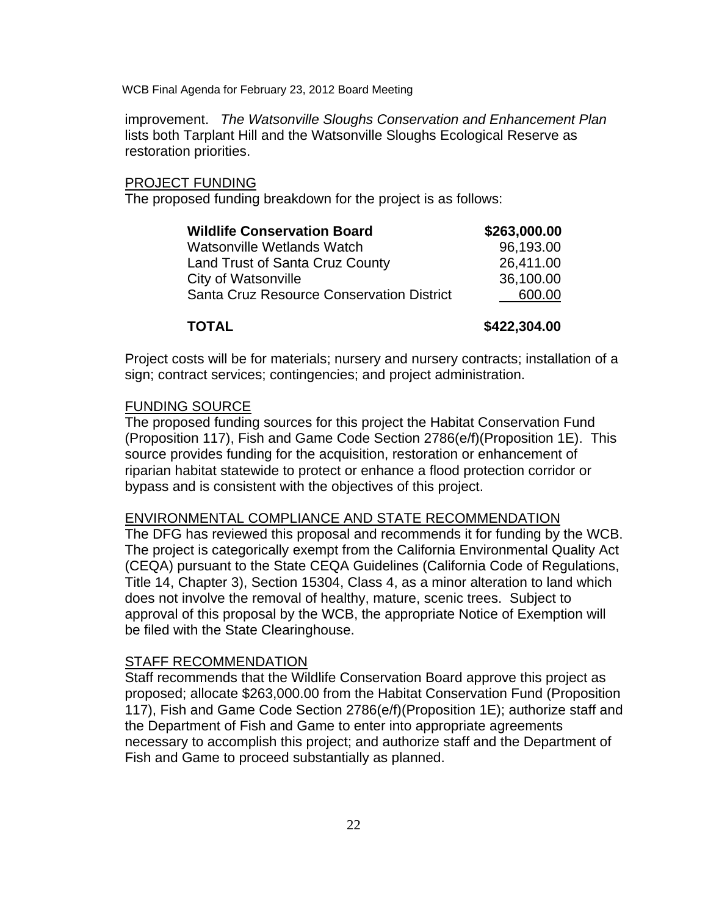improvement. *The Watsonville Sloughs Conservation and Enhancement Plan* lists both Tarplant Hill and the Watsonville Sloughs Ecological Reserve as restoration priorities.

### PROJECT FUNDING

The proposed funding breakdown for the project is as follows:

| \$263,000.00 |
|--------------|
| 96,193.00    |
| 26,411.00    |
| 36,100.00    |
| 600.00       |
|              |

**TOTAL \$422,304.00** 

Project costs will be for materials; nursery and nursery contracts; installation of a sign; contract services; contingencies; and project administration.

### FUNDING SOURCE

The proposed funding sources for this project the Habitat Conservation Fund (Proposition 117), Fish and Game Code Section 2786(e/f)(Proposition 1E). This source provides funding for the acquisition, restoration or enhancement of riparian habitat statewide to protect or enhance a flood protection corridor or bypass and is consistent with the objectives of this project.

### ENVIRONMENTAL COMPLIANCE AND STATE RECOMMENDATION

The DFG has reviewed this proposal and recommends it for funding by the WCB. The project is categorically exempt from the California Environmental Quality Act (CEQA) pursuant to the State CEQA Guidelines (California Code of Regulations, Title 14, Chapter 3), Section 15304, Class 4, as a minor alteration to land which does not involve the removal of healthy, mature, scenic trees. Subject to approval of this proposal by the WCB, the appropriate Notice of Exemption will be filed with the State Clearinghouse.

#### STAFF RECOMMENDATION

Staff recommends that the Wildlife Conservation Board approve this project as proposed; allocate \$263,000.00 from the Habitat Conservation Fund (Proposition 117), Fish and Game Code Section 2786(e/f)(Proposition 1E); authorize staff and the Department of Fish and Game to enter into appropriate agreements necessary to accomplish this project; and authorize staff and the Department of Fish and Game to proceed substantially as planned.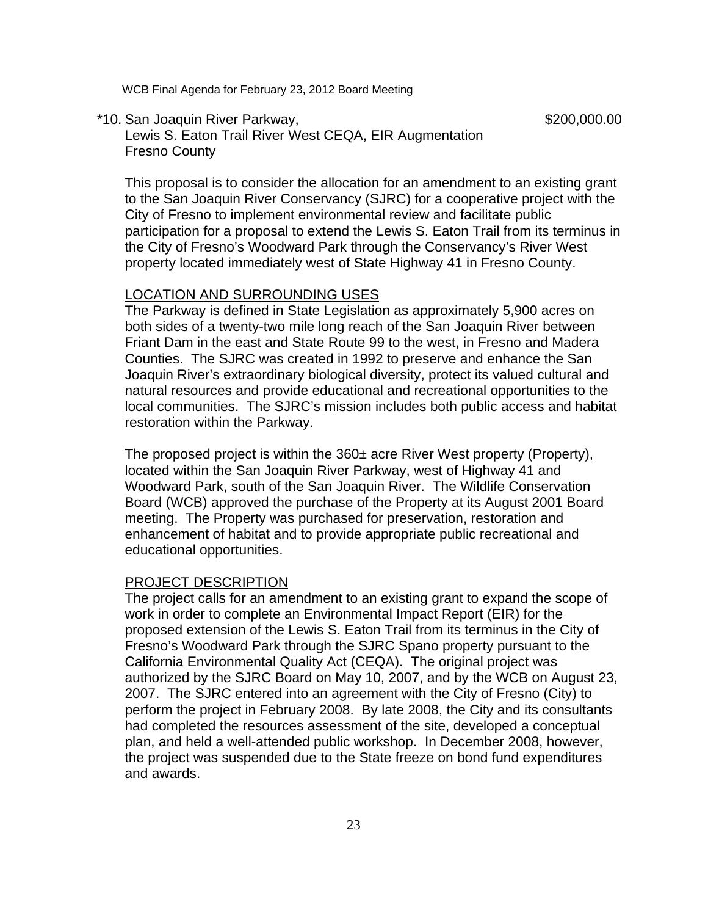\*10. San Joaquin River Parkway,  $$200,000.00$ 

 Lewis S. Eaton Trail River West CEQA, EIR Augmentation Fresno County

This proposal is to consider the allocation for an amendment to an existing grant to the San Joaquin River Conservancy (SJRC) for a cooperative project with the City of Fresno to implement environmental review and facilitate public participation for a proposal to extend the Lewis S. Eaton Trail from its terminus in the City of Fresno's Woodward Park through the Conservancy's River West property located immediately west of State Highway 41 in Fresno County.

# LOCATION AND SURROUNDING USES

The Parkway is defined in State Legislation as approximately 5,900 acres on both sides of a twenty-two mile long reach of the San Joaquin River between Friant Dam in the east and State Route 99 to the west, in Fresno and Madera Counties. The SJRC was created in 1992 to preserve and enhance the San Joaquin River's extraordinary biological diversity, protect its valued cultural and natural resources and provide educational and recreational opportunities to the local communities. The SJRC's mission includes both public access and habitat restoration within the Parkway.

The proposed project is within the  $360\pm$  acre River West property (Property), located within the San Joaquin River Parkway, west of Highway 41 and Woodward Park, south of the San Joaquin River. The Wildlife Conservation Board (WCB) approved the purchase of the Property at its August 2001 Board meeting. The Property was purchased for preservation, restoration and enhancement of habitat and to provide appropriate public recreational and educational opportunities.

#### PROJECT DESCRIPTION

The project calls for an amendment to an existing grant to expand the scope of work in order to complete an Environmental Impact Report (EIR) for the proposed extension of the Lewis S. Eaton Trail from its terminus in the City of Fresno's Woodward Park through the SJRC Spano property pursuant to the California Environmental Quality Act (CEQA). The original project was authorized by the SJRC Board on May 10, 2007, and by the WCB on August 23, 2007. The SJRC entered into an agreement with the City of Fresno (City) to perform the project in February 2008. By late 2008, the City and its consultants had completed the resources assessment of the site, developed a conceptual plan, and held a well-attended public workshop. In December 2008, however, the project was suspended due to the State freeze on bond fund expenditures and awards.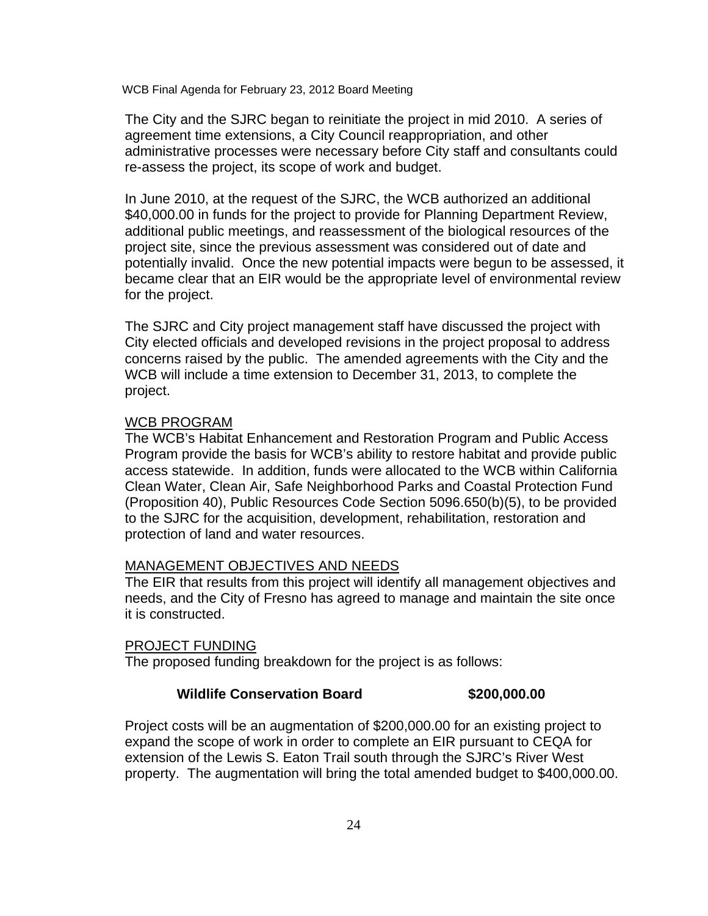The City and the SJRC began to reinitiate the project in mid 2010. A series of agreement time extensions, a City Council reappropriation, and other administrative processes were necessary before City staff and consultants could re-assess the project, its scope of work and budget.

In June 2010, at the request of the SJRC, the WCB authorized an additional \$40,000.00 in funds for the project to provide for Planning Department Review, additional public meetings, and reassessment of the biological resources of the project site, since the previous assessment was considered out of date and potentially invalid. Once the new potential impacts were begun to be assessed, it became clear that an EIR would be the appropriate level of environmental review for the project.

The SJRC and City project management staff have discussed the project with City elected officials and developed revisions in the project proposal to address concerns raised by the public. The amended agreements with the City and the WCB will include a time extension to December 31, 2013, to complete the project.

### WCB PROGRAM

The WCB's Habitat Enhancement and Restoration Program and Public Access Program provide the basis for WCB's ability to restore habitat and provide public access statewide. In addition, funds were allocated to the WCB within California Clean Water, Clean Air, Safe Neighborhood Parks and Coastal Protection Fund (Proposition 40), Public Resources Code Section 5096.650(b)(5), to be provided to the SJRC for the acquisition, development, rehabilitation, restoration and protection of land and water resources.

# MANAGEMENT OBJECTIVES AND NEEDS

The EIR that results from this project will identify all management objectives and needs, and the City of Fresno has agreed to manage and maintain the site once it is constructed.

#### PROJECT FUNDING

The proposed funding breakdown for the project is as follows:

# **Wildlife Conservation Board \$200,000.00**

Project costs will be an augmentation of \$200,000.00 for an existing project to expand the scope of work in order to complete an EIR pursuant to CEQA for extension of the Lewis S. Eaton Trail south through the SJRC's River West property. The augmentation will bring the total amended budget to \$400,000.00.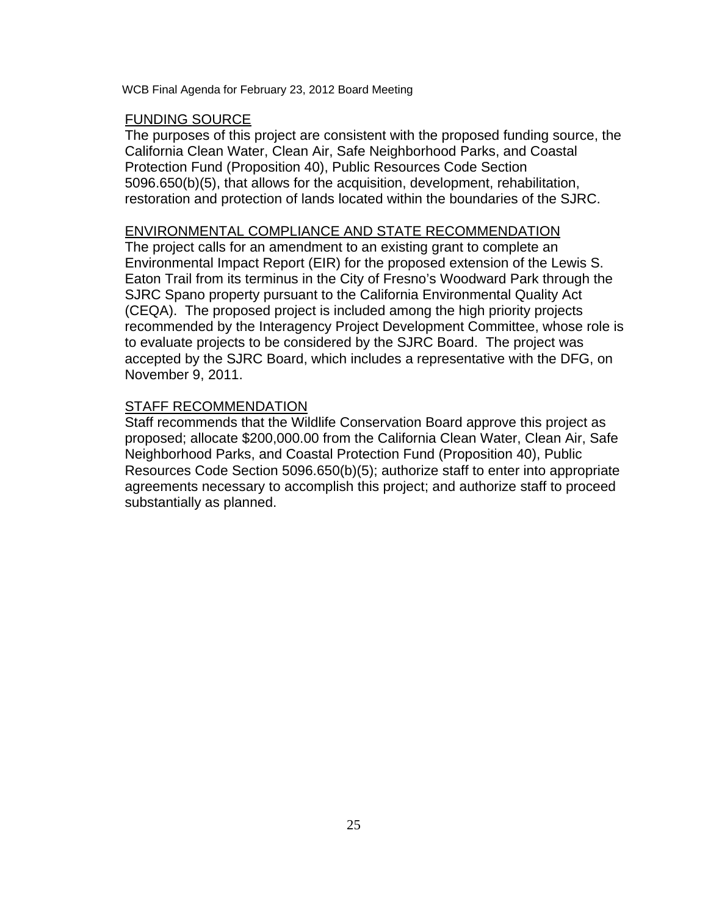# FUNDING SOURCE

The purposes of this project are consistent with the proposed funding source, the California Clean Water, Clean Air, Safe Neighborhood Parks, and Coastal Protection Fund (Proposition 40), Public Resources Code Section 5096.650(b)(5), that allows for the acquisition, development, rehabilitation, restoration and protection of lands located within the boundaries of the SJRC.

# ENVIRONMENTAL COMPLIANCE AND STATE RECOMMENDATION

The project calls for an amendment to an existing grant to complete an Environmental Impact Report (EIR) for the proposed extension of the Lewis S. Eaton Trail from its terminus in the City of Fresno's Woodward Park through the SJRC Spano property pursuant to the California Environmental Quality Act (CEQA). The proposed project is included among the high priority projects recommended by the Interagency Project Development Committee, whose role is to evaluate projects to be considered by the SJRC Board. The project was accepted by the SJRC Board, which includes a representative with the DFG, on November 9, 2011.

# STAFF RECOMMENDATION

Staff recommends that the Wildlife Conservation Board approve this project as proposed; allocate \$200,000.00 from the California Clean Water, Clean Air, Safe Neighborhood Parks, and Coastal Protection Fund (Proposition 40), Public Resources Code Section 5096.650(b)(5); authorize staff to enter into appropriate agreements necessary to accomplish this project; and authorize staff to proceed substantially as planned.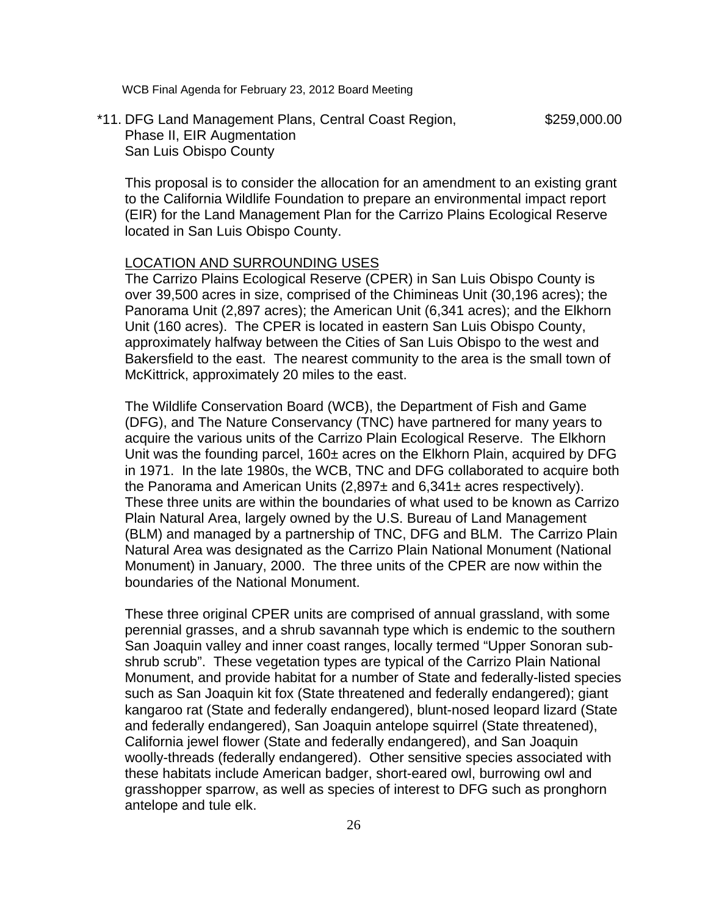\*11. DFG Land Management Plans, Central Coast Region, \$259,000.00 Phase II, EIR Augmentation San Luis Obispo County

This proposal is to consider the allocation for an amendment to an existing grant to the California Wildlife Foundation to prepare an environmental impact report (EIR) for the Land Management Plan for the Carrizo Plains Ecological Reserve located in San Luis Obispo County.

#### LOCATION AND SURROUNDING USES

The Carrizo Plains Ecological Reserve (CPER) in San Luis Obispo County is over 39,500 acres in size, comprised of the Chimineas Unit (30,196 acres); the Panorama Unit (2,897 acres); the American Unit (6,341 acres); and the Elkhorn Unit (160 acres). The CPER is located in eastern San Luis Obispo County, approximately halfway between the Cities of San Luis Obispo to the west and Bakersfield to the east. The nearest community to the area is the small town of McKittrick, approximately 20 miles to the east.

The Wildlife Conservation Board (WCB), the Department of Fish and Game (DFG), and The Nature Conservancy (TNC) have partnered for many years to acquire the various units of the Carrizo Plain Ecological Reserve. The Elkhorn Unit was the founding parcel, 160± acres on the Elkhorn Plain, acquired by DFG in 1971. In the late 1980s, the WCB, TNC and DFG collaborated to acquire both the Panorama and American Units  $(2,897\pm \text{ and } 6,341\pm \text{ acres respectively}).$ These three units are within the boundaries of what used to be known as Carrizo Plain Natural Area, largely owned by the U.S. Bureau of Land Management (BLM) and managed by a partnership of TNC, DFG and BLM. The Carrizo Plain Natural Area was designated as the Carrizo Plain National Monument (National Monument) in January, 2000. The three units of the CPER are now within the boundaries of the National Monument.

These three original CPER units are comprised of annual grassland, with some perennial grasses, and a shrub savannah type which is endemic to the southern San Joaquin valley and inner coast ranges, locally termed "Upper Sonoran subshrub scrub". These vegetation types are typical of the Carrizo Plain National Monument, and provide habitat for a number of State and federally-listed species such as San Joaquin kit fox (State threatened and federally endangered); giant kangaroo rat (State and federally endangered), blunt-nosed leopard lizard (State and federally endangered), San Joaquin antelope squirrel (State threatened), California jewel flower (State and federally endangered), and San Joaquin woolly-threads (federally endangered). Other sensitive species associated with these habitats include American badger, short-eared owl, burrowing owl and grasshopper sparrow, as well as species of interest to DFG such as pronghorn antelope and tule elk.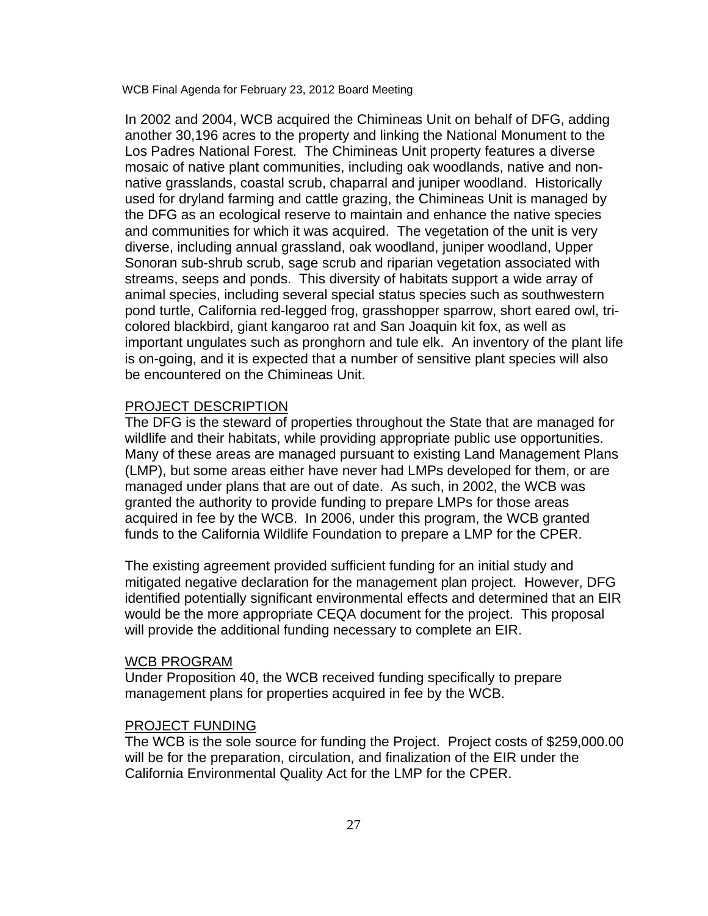In 2002 and 2004, WCB acquired the Chimineas Unit on behalf of DFG, adding another 30,196 acres to the property and linking the National Monument to the Los Padres National Forest. The Chimineas Unit property features a diverse mosaic of native plant communities, including oak woodlands, native and nonnative grasslands, coastal scrub, chaparral and juniper woodland. Historically used for dryland farming and cattle grazing, the Chimineas Unit is managed by the DFG as an ecological reserve to maintain and enhance the native species and communities for which it was acquired. The vegetation of the unit is very diverse, including annual grassland, oak woodland, juniper woodland, Upper Sonoran sub-shrub scrub, sage scrub and riparian vegetation associated with streams, seeps and ponds. This diversity of habitats support a wide array of animal species, including several special status species such as southwestern pond turtle, California red-legged frog, grasshopper sparrow, short eared owl, tricolored blackbird, giant kangaroo rat and San Joaquin kit fox, as well as important ungulates such as pronghorn and tule elk. An inventory of the plant life is on-going, and it is expected that a number of sensitive plant species will also be encountered on the Chimineas Unit.

# PROJECT DESCRIPTION

The DFG is the steward of properties throughout the State that are managed for wildlife and their habitats, while providing appropriate public use opportunities. Many of these areas are managed pursuant to existing Land Management Plans (LMP), but some areas either have never had LMPs developed for them, or are managed under plans that are out of date. As such, in 2002, the WCB was granted the authority to provide funding to prepare LMPs for those areas acquired in fee by the WCB. In 2006, under this program, the WCB granted funds to the California Wildlife Foundation to prepare a LMP for the CPER.

The existing agreement provided sufficient funding for an initial study and mitigated negative declaration for the management plan project. However, DFG identified potentially significant environmental effects and determined that an EIR would be the more appropriate CEQA document for the project. This proposal will provide the additional funding necessary to complete an EIR.

### WCB PROGRAM

Under Proposition 40, the WCB received funding specifically to prepare management plans for properties acquired in fee by the WCB.

# PROJECT FUNDING

The WCB is the sole source for funding the Project. Project costs of \$259,000.00 will be for the preparation, circulation, and finalization of the EIR under the California Environmental Quality Act for the LMP for the CPER.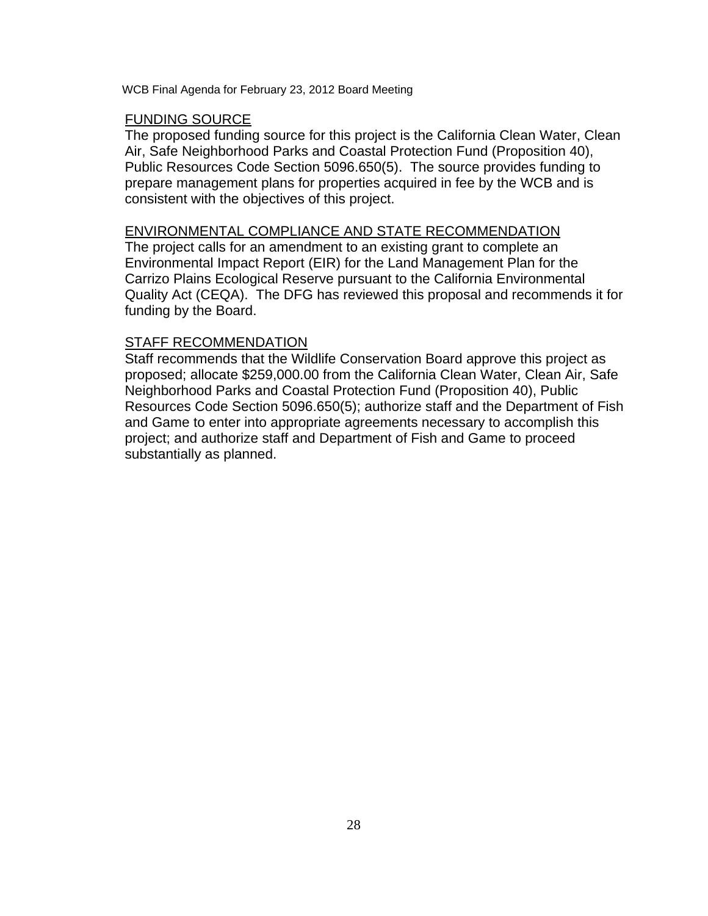# FUNDING SOURCE

The proposed funding source for this project is the California Clean Water, Clean Air, Safe Neighborhood Parks and Coastal Protection Fund (Proposition 40), Public Resources Code Section 5096.650(5). The source provides funding to prepare management plans for properties acquired in fee by the WCB and is consistent with the objectives of this project.

# ENVIRONMENTAL COMPLIANCE AND STATE RECOMMENDATION

The project calls for an amendment to an existing grant to complete an Environmental Impact Report (EIR) for the Land Management Plan for the Carrizo Plains Ecological Reserve pursuant to the California Environmental Quality Act (CEQA). The DFG has reviewed this proposal and recommends it for funding by the Board.

# STAFF RECOMMENDATION

Staff recommends that the Wildlife Conservation Board approve this project as proposed; allocate \$259,000.00 from the California Clean Water, Clean Air, Safe Neighborhood Parks and Coastal Protection Fund (Proposition 40), Public Resources Code Section 5096.650(5); authorize staff and the Department of Fish and Game to enter into appropriate agreements necessary to accomplish this project; and authorize staff and Department of Fish and Game to proceed substantially as planned.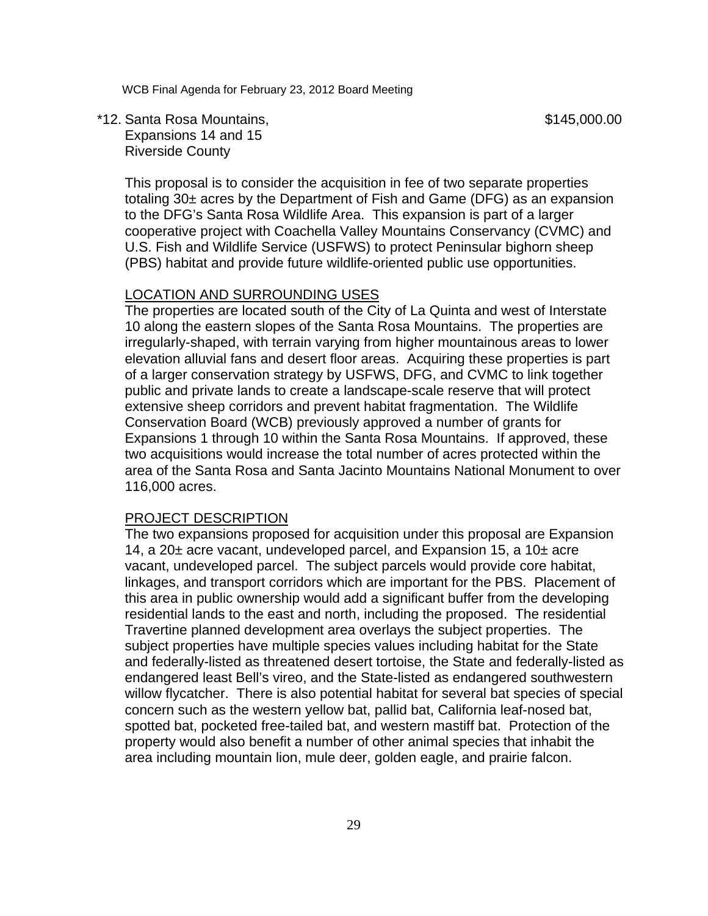\*12. Santa Rosa Mountains, \$145,000.00 Expansions 14 and 15 Riverside County

This proposal is to consider the acquisition in fee of two separate properties totaling 30± acres by the Department of Fish and Game (DFG) as an expansion to the DFG's Santa Rosa Wildlife Area. This expansion is part of a larger cooperative project with Coachella Valley Mountains Conservancy (CVMC) and U.S. Fish and Wildlife Service (USFWS) to protect Peninsular bighorn sheep (PBS) habitat and provide future wildlife-oriented public use opportunities.

### LOCATION AND SURROUNDING USES

The properties are located south of the City of La Quinta and west of Interstate 10 along the eastern slopes of the Santa Rosa Mountains. The properties are irregularly-shaped, with terrain varying from higher mountainous areas to lower elevation alluvial fans and desert floor areas. Acquiring these properties is part of a larger conservation strategy by USFWS, DFG, and CVMC to link together public and private lands to create a landscape-scale reserve that will protect extensive sheep corridors and prevent habitat fragmentation. The Wildlife Conservation Board (WCB) previously approved a number of grants for Expansions 1 through 10 within the Santa Rosa Mountains. If approved, these two acquisitions would increase the total number of acres protected within the area of the Santa Rosa and Santa Jacinto Mountains National Monument to over 116,000 acres.

#### PROJECT DESCRIPTION

The two expansions proposed for acquisition under this proposal are Expansion 14, a 20± acre vacant, undeveloped parcel, and Expansion 15, a 10± acre vacant, undeveloped parcel. The subject parcels would provide core habitat, linkages, and transport corridors which are important for the PBS. Placement of this area in public ownership would add a significant buffer from the developing residential lands to the east and north, including the proposed. The residential Travertine planned development area overlays the subject properties. The subject properties have multiple species values including habitat for the State and federally-listed as threatened desert tortoise, the State and federally-listed as endangered least Bell's vireo, and the State-listed as endangered southwestern willow flycatcher. There is also potential habitat for several bat species of special concern such as the western yellow bat, pallid bat, California leaf-nosed bat, spotted bat, pocketed free-tailed bat, and western mastiff bat. Protection of the property would also benefit a number of other animal species that inhabit the area including mountain lion, mule deer, golden eagle, and prairie falcon.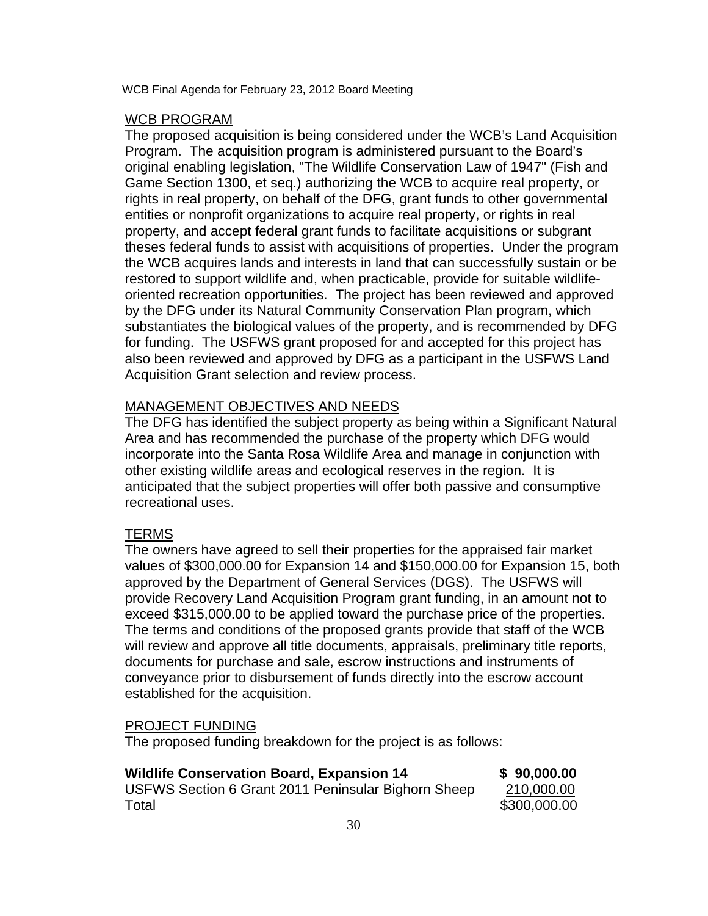# WCB PROGRAM

The proposed acquisition is being considered under the WCB's Land Acquisition Program. The acquisition program is administered pursuant to the Board's original enabling legislation, "The Wildlife Conservation Law of 1947" (Fish and Game Section 1300, et seq.) authorizing the WCB to acquire real property, or rights in real property, on behalf of the DFG, grant funds to other governmental entities or nonprofit organizations to acquire real property, or rights in real property, and accept federal grant funds to facilitate acquisitions or subgrant theses federal funds to assist with acquisitions of properties. Under the program the WCB acquires lands and interests in land that can successfully sustain or be restored to support wildlife and, when practicable, provide for suitable wildlifeoriented recreation opportunities. The project has been reviewed and approved by the DFG under its Natural Community Conservation Plan program, which substantiates the biological values of the property, and is recommended by DFG for funding. The USFWS grant proposed for and accepted for this project has also been reviewed and approved by DFG as a participant in the USFWS Land Acquisition Grant selection and review process.

# MANAGEMENT OBJECTIVES AND NEEDS

The DFG has identified the subject property as being within a Significant Natural Area and has recommended the purchase of the property which DFG would incorporate into the Santa Rosa Wildlife Area and manage in conjunction with other existing wildlife areas and ecological reserves in the region. It is anticipated that the subject properties will offer both passive and consumptive recreational uses.

# **TERMS**

The owners have agreed to sell their properties for the appraised fair market values of \$300,000.00 for Expansion 14 and \$150,000.00 for Expansion 15, both approved by the Department of General Services (DGS). The USFWS will provide Recovery Land Acquisition Program grant funding, in an amount not to exceed \$315,000.00 to be applied toward the purchase price of the properties. The terms and conditions of the proposed grants provide that staff of the WCB will review and approve all title documents, appraisals, preliminary title reports, documents for purchase and sale, escrow instructions and instruments of conveyance prior to disbursement of funds directly into the escrow account established for the acquisition.

# PROJECT FUNDING

The proposed funding breakdown for the project is as follows:

| <b>Wildlife Conservation Board, Expansion 14</b>    | \$90,000.00  |
|-----------------------------------------------------|--------------|
| USFWS Section 6 Grant 2011 Peninsular Bighorn Sheep | 210,000.00   |
| Total                                               | \$300,000.00 |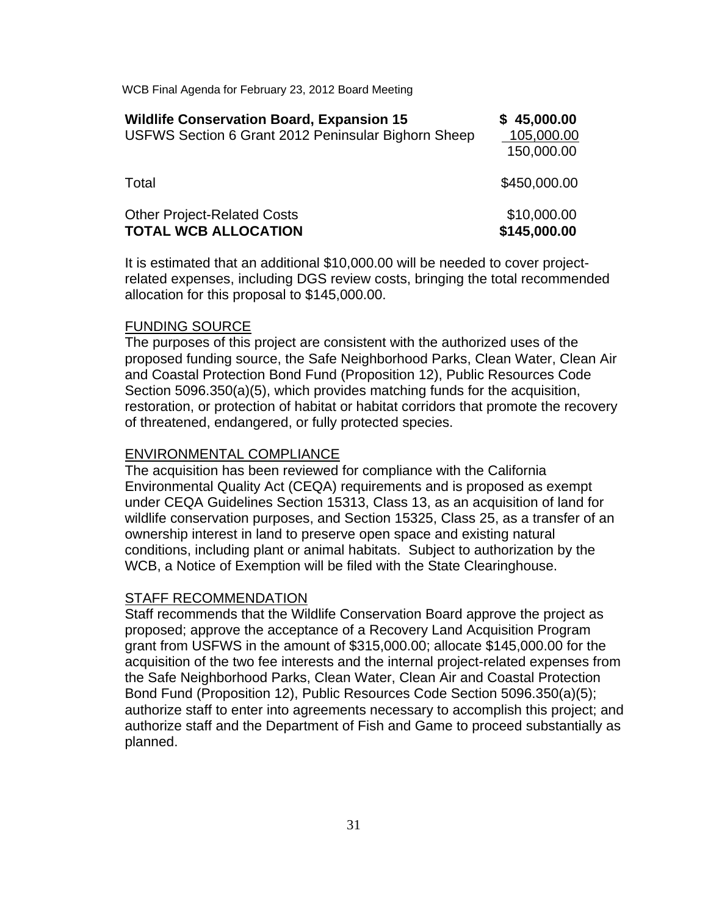| <b>Wildlife Conservation Board, Expansion 15</b><br>USFWS Section 6 Grant 2012 Peninsular Bighorn Sheep | \$45,000.00<br>105,000.00<br>150,000.00 |
|---------------------------------------------------------------------------------------------------------|-----------------------------------------|
| Total                                                                                                   | \$450,000.00                            |
| <b>Other Project-Related Costs</b><br><b>TOTAL WCB ALLOCATION</b>                                       | \$10,000.00<br>\$145,000.00             |

It is estimated that an additional \$10,000.00 will be needed to cover projectrelated expenses, including DGS review costs, bringing the total recommended allocation for this proposal to \$145,000.00.

#### FUNDING SOURCE

The purposes of this project are consistent with the authorized uses of the proposed funding source, the Safe Neighborhood Parks, Clean Water, Clean Air and Coastal Protection Bond Fund (Proposition 12), Public Resources Code Section 5096.350(a)(5), which provides matching funds for the acquisition, restoration, or protection of habitat or habitat corridors that promote the recovery of threatened, endangered, or fully protected species.

#### ENVIRONMENTAL COMPLIANCE

The acquisition has been reviewed for compliance with the California Environmental Quality Act (CEQA) requirements and is proposed as exempt under CEQA Guidelines Section 15313, Class 13, as an acquisition of land for wildlife conservation purposes, and Section 15325, Class 25, as a transfer of an ownership interest in land to preserve open space and existing natural conditions, including plant or animal habitats. Subject to authorization by the WCB, a Notice of Exemption will be filed with the State Clearinghouse.

#### STAFF RECOMMENDATION

Staff recommends that the Wildlife Conservation Board approve the project as proposed; approve the acceptance of a Recovery Land Acquisition Program grant from USFWS in the amount of \$315,000.00; allocate \$145,000.00 for the acquisition of the two fee interests and the internal project-related expenses from the Safe Neighborhood Parks, Clean Water, Clean Air and Coastal Protection Bond Fund (Proposition 12), Public Resources Code Section 5096.350(a)(5); authorize staff to enter into agreements necessary to accomplish this project; and authorize staff and the Department of Fish and Game to proceed substantially as planned.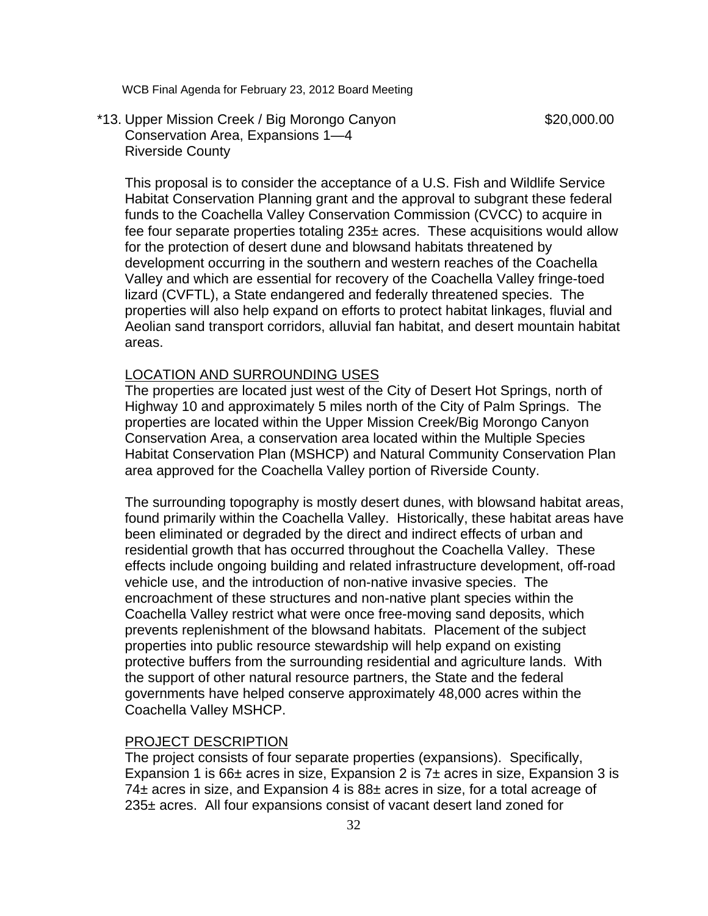# \*13. Upper Mission Creek / Big Morongo Canyon \$20,000.00 Conservation Area, Expansions 1—4 Riverside County

This proposal is to consider the acceptance of a U.S. Fish and Wildlife Service Habitat Conservation Planning grant and the approval to subgrant these federal funds to the Coachella Valley Conservation Commission (CVCC) to acquire in fee four separate properties totaling  $235\pm$  acres. These acquisitions would allow for the protection of desert dune and blowsand habitats threatened by development occurring in the southern and western reaches of the Coachella Valley and which are essential for recovery of the Coachella Valley fringe-toed lizard (CVFTL), a State endangered and federally threatened species. The properties will also help expand on efforts to protect habitat linkages, fluvial and Aeolian sand transport corridors, alluvial fan habitat, and desert mountain habitat areas.

#### LOCATION AND SURROUNDING USES

The properties are located just west of the City of Desert Hot Springs, north of Highway 10 and approximately 5 miles north of the City of Palm Springs. The properties are located within the Upper Mission Creek/Big Morongo Canyon Conservation Area, a conservation area located within the Multiple Species Habitat Conservation Plan (MSHCP) and Natural Community Conservation Plan area approved for the Coachella Valley portion of Riverside County.

The surrounding topography is mostly desert dunes, with blowsand habitat areas, found primarily within the Coachella Valley. Historically, these habitat areas have been eliminated or degraded by the direct and indirect effects of urban and residential growth that has occurred throughout the Coachella Valley. These effects include ongoing building and related infrastructure development, off-road vehicle use, and the introduction of non-native invasive species. The encroachment of these structures and non-native plant species within the Coachella Valley restrict what were once free-moving sand deposits, which prevents replenishment of the blowsand habitats. Placement of the subject properties into public resource stewardship will help expand on existing protective buffers from the surrounding residential and agriculture lands. With the support of other natural resource partners, the State and the federal governments have helped conserve approximately 48,000 acres within the Coachella Valley MSHCP.

#### PROJECT DESCRIPTION

The project consists of four separate properties (expansions). Specifically, Expansion 1 is  $66\pm$  acres in size, Expansion 2 is  $7\pm$  acres in size, Expansion 3 is 74± acres in size, and Expansion 4 is 88± acres in size, for a total acreage of 235± acres. All four expansions consist of vacant desert land zoned for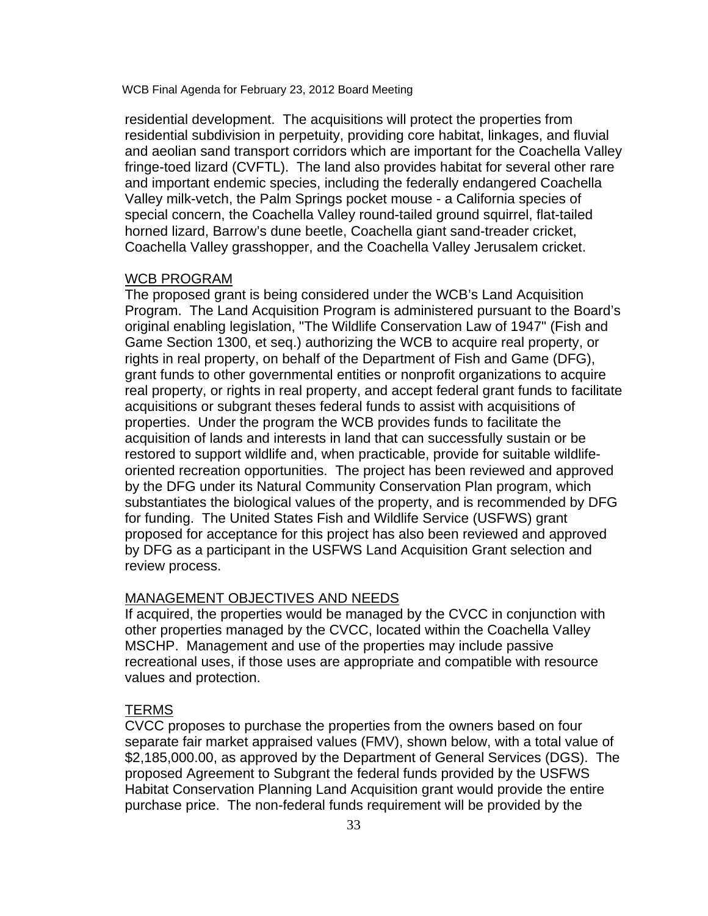residential development. The acquisitions will protect the properties from residential subdivision in perpetuity, providing core habitat, linkages, and fluvial and aeolian sand transport corridors which are important for the Coachella Valley fringe-toed lizard (CVFTL). The land also provides habitat for several other rare and important endemic species, including the federally endangered Coachella Valley milk-vetch, the Palm Springs pocket mouse - a California species of special concern, the Coachella Valley round-tailed ground squirrel, flat-tailed horned lizard, Barrow's dune beetle, Coachella giant sand-treader cricket, Coachella Valley grasshopper, and the Coachella Valley Jerusalem cricket.

#### WCB PROGRAM

The proposed grant is being considered under the WCB's Land Acquisition Program. The Land Acquisition Program is administered pursuant to the Board's original enabling legislation, "The Wildlife Conservation Law of 1947" (Fish and Game Section 1300, et seq.) authorizing the WCB to acquire real property, or rights in real property, on behalf of the Department of Fish and Game (DFG), grant funds to other governmental entities or nonprofit organizations to acquire real property, or rights in real property, and accept federal grant funds to facilitate acquisitions or subgrant theses federal funds to assist with acquisitions of properties. Under the program the WCB provides funds to facilitate the acquisition of lands and interests in land that can successfully sustain or be restored to support wildlife and, when practicable, provide for suitable wildlifeoriented recreation opportunities. The project has been reviewed and approved by the DFG under its Natural Community Conservation Plan program, which substantiates the biological values of the property, and is recommended by DFG for funding. The United States Fish and Wildlife Service (USFWS) grant proposed for acceptance for this project has also been reviewed and approved by DFG as a participant in the USFWS Land Acquisition Grant selection and review process.

# MANAGEMENT OBJECTIVES AND NEEDS

If acquired, the properties would be managed by the CVCC in conjunction with other properties managed by the CVCC, located within the Coachella Valley MSCHP. Management and use of the properties may include passive recreational uses, if those uses are appropriate and compatible with resource values and protection.

#### TERMS

CVCC proposes to purchase the properties from the owners based on four separate fair market appraised values (FMV), shown below, with a total value of \$2,185,000.00, as approved by the Department of General Services (DGS). The proposed Agreement to Subgrant the federal funds provided by the USFWS Habitat Conservation Planning Land Acquisition grant would provide the entire purchase price. The non-federal funds requirement will be provided by the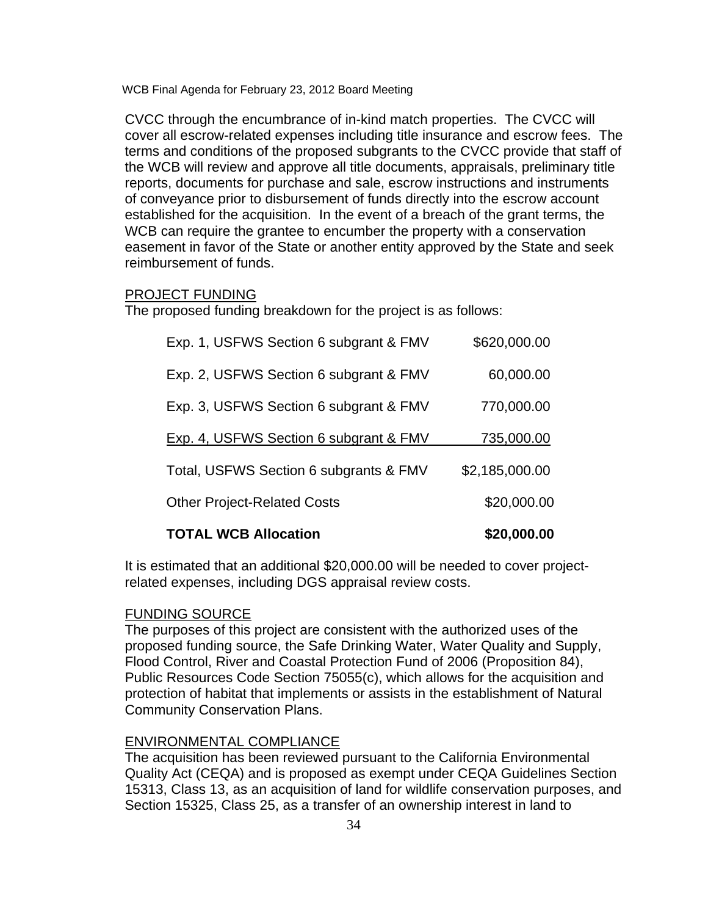CVCC through the encumbrance of in-kind match properties. The CVCC will cover all escrow-related expenses including title insurance and escrow fees. The terms and conditions of the proposed subgrants to the CVCC provide that staff of the WCB will review and approve all title documents, appraisals, preliminary title reports, documents for purchase and sale, escrow instructions and instruments of conveyance prior to disbursement of funds directly into the escrow account established for the acquisition. In the event of a breach of the grant terms, the WCB can require the grantee to encumber the property with a conservation easement in favor of the State or another entity approved by the State and seek reimbursement of funds.

# PROJECT FUNDING

The proposed funding breakdown for the project is as follows:

| <b>TOTAL WCB Allocation</b>            | \$20,000.00    |
|----------------------------------------|----------------|
| <b>Other Project-Related Costs</b>     | \$20,000.00    |
| Total, USFWS Section 6 subgrants & FMV | \$2,185,000.00 |
| Exp. 4, USFWS Section 6 subgrant & FMV | 735,000.00     |
| Exp. 3, USFWS Section 6 subgrant & FMV | 770,000.00     |
| Exp. 2, USFWS Section 6 subgrant & FMV | 60,000.00      |
| Exp. 1, USFWS Section 6 subgrant & FMV | \$620,000.00   |

It is estimated that an additional \$20,000.00 will be needed to cover projectrelated expenses, including DGS appraisal review costs.

#### FUNDING SOURCE

The purposes of this project are consistent with the authorized uses of the proposed funding source, the Safe Drinking Water, Water Quality and Supply, Flood Control, River and Coastal Protection Fund of 2006 (Proposition 84), Public Resources Code Section 75055(c), which allows for the acquisition and protection of habitat that implements or assists in the establishment of Natural Community Conservation Plans.

#### ENVIRONMENTAL COMPLIANCE

The acquisition has been reviewed pursuant to the California Environmental Quality Act (CEQA) and is proposed as exempt under CEQA Guidelines Section 15313, Class 13, as an acquisition of land for wildlife conservation purposes, and Section 15325, Class 25, as a transfer of an ownership interest in land to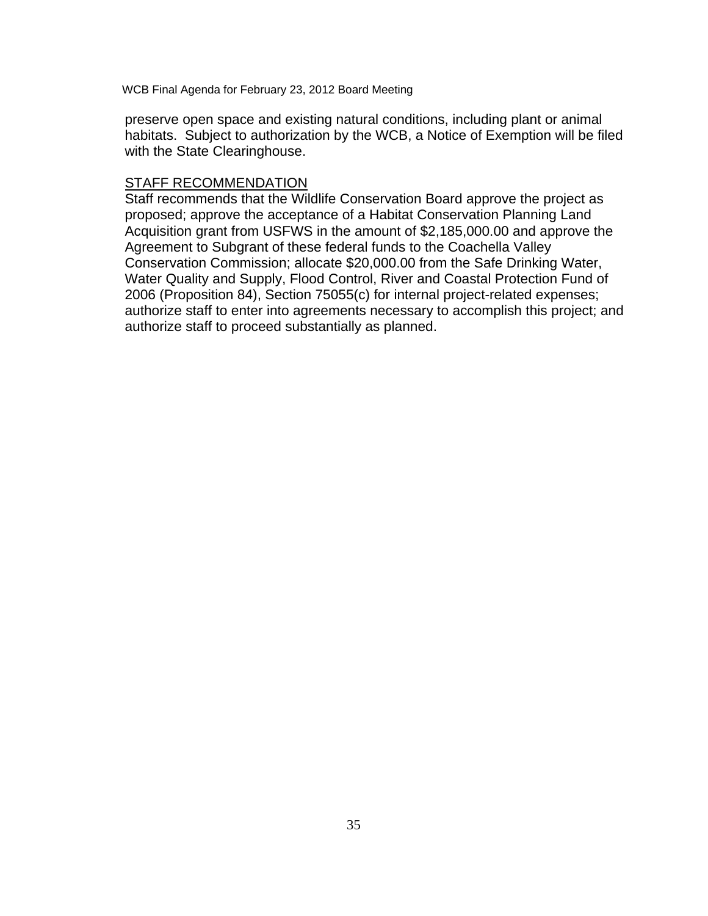preserve open space and existing natural conditions, including plant or animal habitats. Subject to authorization by the WCB, a Notice of Exemption will be filed with the State Clearinghouse.

# STAFF RECOMMENDATION

Staff recommends that the Wildlife Conservation Board approve the project as proposed; approve the acceptance of a Habitat Conservation Planning Land Acquisition grant from USFWS in the amount of \$2,185,000.00 and approve the Agreement to Subgrant of these federal funds to the Coachella Valley Conservation Commission; allocate \$20,000.00 from the Safe Drinking Water, Water Quality and Supply, Flood Control, River and Coastal Protection Fund of 2006 (Proposition 84), Section 75055(c) for internal project-related expenses; authorize staff to enter into agreements necessary to accomplish this project; and authorize staff to proceed substantially as planned.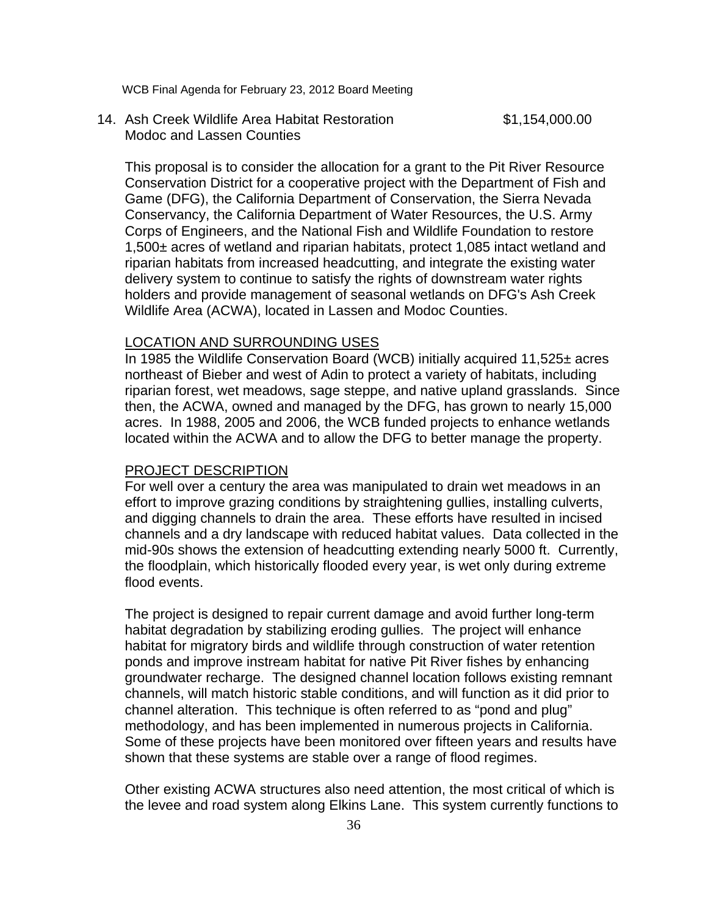14. Ash Creek Wildlife Area Habitat Restoration \$1,154,000.00 Modoc and Lassen Counties

 This proposal is to consider the allocation for a grant to the Pit River Resource Conservation District for a cooperative project with the Department of Fish and Game (DFG), the California Department of Conservation, the Sierra Nevada Conservancy, the California Department of Water Resources, the U.S. Army Corps of Engineers, and the National Fish and Wildlife Foundation to restore 1,500± acres of wetland and riparian habitats, protect 1,085 intact wetland and riparian habitats from increased headcutting, and integrate the existing water delivery system to continue to satisfy the rights of downstream water rights holders and provide management of seasonal wetlands on DFG's Ash Creek Wildlife Area (ACWA), located in Lassen and Modoc Counties.

#### LOCATION AND SURROUNDING USES

In 1985 the Wildlife Conservation Board (WCB) initially acquired 11,525± acres northeast of Bieber and west of Adin to protect a variety of habitats, including riparian forest, wet meadows, sage steppe, and native upland grasslands. Since then, the ACWA, owned and managed by the DFG, has grown to nearly 15,000 acres. In 1988, 2005 and 2006, the WCB funded projects to enhance wetlands located within the ACWA and to allow the DFG to better manage the property.

#### PROJECT DESCRIPTION

For well over a century the area was manipulated to drain wet meadows in an effort to improve grazing conditions by straightening gullies, installing culverts, and digging channels to drain the area. These efforts have resulted in incised channels and a dry landscape with reduced habitat values. Data collected in the mid-90s shows the extension of headcutting extending nearly 5000 ft. Currently, the floodplain, which historically flooded every year, is wet only during extreme flood events.

The project is designed to repair current damage and avoid further long-term habitat degradation by stabilizing eroding gullies. The project will enhance habitat for migratory birds and wildlife through construction of water retention ponds and improve instream habitat for native Pit River fishes by enhancing groundwater recharge. The designed channel location follows existing remnant channels, will match historic stable conditions, and will function as it did prior to channel alteration. This technique is often referred to as "pond and plug" methodology, and has been implemented in numerous projects in California. Some of these projects have been monitored over fifteen years and results have shown that these systems are stable over a range of flood regimes.

Other existing ACWA structures also need attention, the most critical of which is the levee and road system along Elkins Lane. This system currently functions to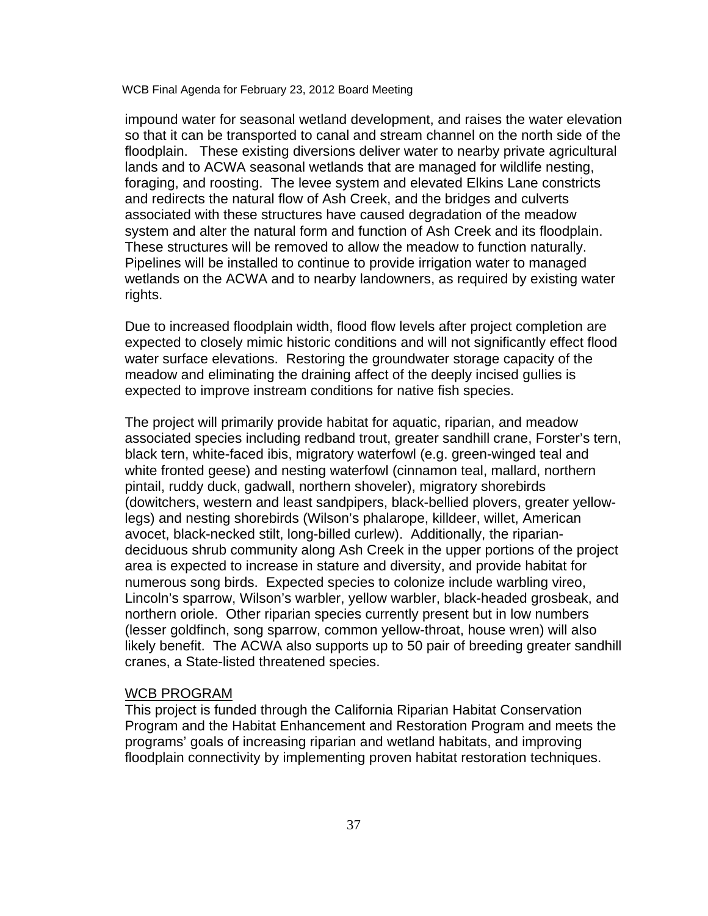impound water for seasonal wetland development, and raises the water elevation so that it can be transported to canal and stream channel on the north side of the floodplain. These existing diversions deliver water to nearby private agricultural lands and to ACWA seasonal wetlands that are managed for wildlife nesting, foraging, and roosting. The levee system and elevated Elkins Lane constricts and redirects the natural flow of Ash Creek, and the bridges and culverts associated with these structures have caused degradation of the meadow system and alter the natural form and function of Ash Creek and its floodplain. These structures will be removed to allow the meadow to function naturally. Pipelines will be installed to continue to provide irrigation water to managed wetlands on the ACWA and to nearby landowners, as required by existing water rights.

Due to increased floodplain width, flood flow levels after project completion are expected to closely mimic historic conditions and will not significantly effect flood water surface elevations. Restoring the groundwater storage capacity of the meadow and eliminating the draining affect of the deeply incised gullies is expected to improve instream conditions for native fish species.

The project will primarily provide habitat for aquatic, riparian, and meadow associated species including redband trout, greater sandhill crane, Forster's tern, black tern, white-faced ibis, migratory waterfowl (e.g. green-winged teal and white fronted geese) and nesting waterfowl (cinnamon teal, mallard, northern pintail, ruddy duck, gadwall, northern shoveler), migratory shorebirds (dowitchers, western and least sandpipers, black-bellied plovers, greater yellowlegs) and nesting shorebirds (Wilson's phalarope, killdeer, willet, American avocet, black-necked stilt, long-billed curlew). Additionally, the ripariandeciduous shrub community along Ash Creek in the upper portions of the project area is expected to increase in stature and diversity, and provide habitat for numerous song birds. Expected species to colonize include warbling vireo, Lincoln's sparrow, Wilson's warbler, yellow warbler, black-headed grosbeak, and northern oriole. Other riparian species currently present but in low numbers (lesser goldfinch, song sparrow, common yellow-throat, house wren) will also likely benefit. The ACWA also supports up to 50 pair of breeding greater sandhill cranes, a State-listed threatened species.

#### WCB PROGRAM

This project is funded through the California Riparian Habitat Conservation Program and the Habitat Enhancement and Restoration Program and meets the programs' goals of increasing riparian and wetland habitats, and improving floodplain connectivity by implementing proven habitat restoration techniques.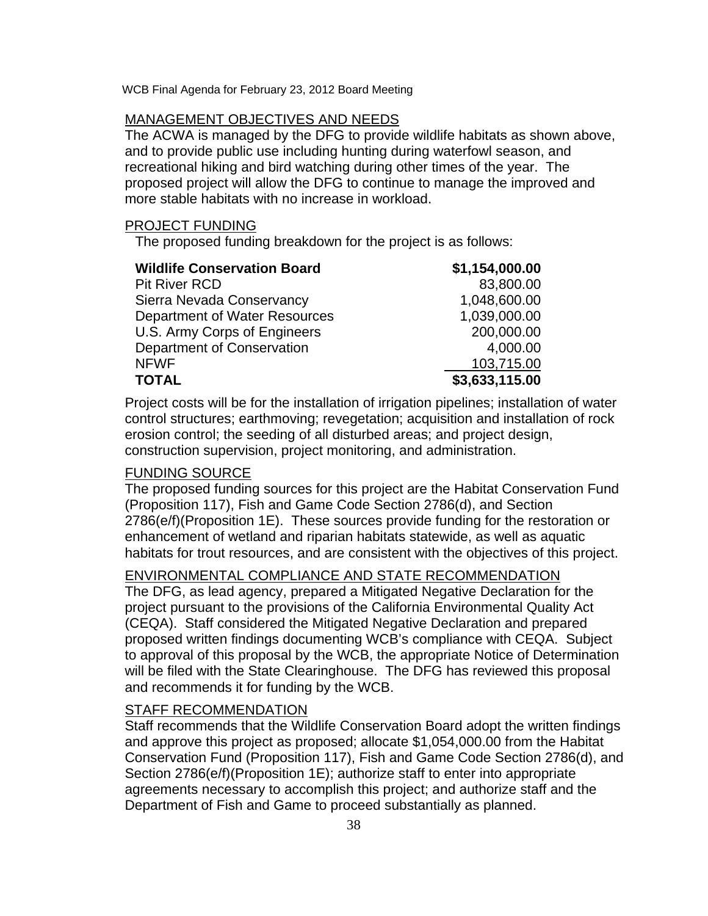# MANAGEMENT OBJECTIVES AND NEEDS

The ACWA is managed by the DFG to provide wildlife habitats as shown above, and to provide public use including hunting during waterfowl season, and recreational hiking and bird watching during other times of the year. The proposed project will allow the DFG to continue to manage the improved and more stable habitats with no increase in workload.

# PROJECT FUNDING

The proposed funding breakdown for the project is as follows:

| <b>Wildlife Conservation Board</b> | \$1,154,000.00 |
|------------------------------------|----------------|
| <b>Pit River RCD</b>               | 83,800.00      |
| Sierra Nevada Conservancy          | 1,048,600.00   |
| Department of Water Resources      | 1,039,000.00   |
| U.S. Army Corps of Engineers       | 200,000.00     |
| Department of Conservation         | 4,000.00       |
| <b>NFWF</b>                        | 103,715.00     |
| <b>TOTAL</b>                       | \$3,633,115.00 |

Project costs will be for the installation of irrigation pipelines; installation of water control structures; earthmoving; revegetation; acquisition and installation of rock erosion control; the seeding of all disturbed areas; and project design, construction supervision, project monitoring, and administration.

# FUNDING SOURCE

The proposed funding sources for this project are the Habitat Conservation Fund (Proposition 117), Fish and Game Code Section 2786(d), and Section 2786(e/f)(Proposition 1E). These sources provide funding for the restoration or enhancement of wetland and riparian habitats statewide, as well as aquatic habitats for trout resources, and are consistent with the objectives of this project.

# ENVIRONMENTAL COMPLIANCE AND STATE RECOMMENDATION

The DFG, as lead agency, prepared a Mitigated Negative Declaration for the project pursuant to the provisions of the California Environmental Quality Act (CEQA). Staff considered the Mitigated Negative Declaration and prepared proposed written findings documenting WCB's compliance with CEQA. Subject to approval of this proposal by the WCB, the appropriate Notice of Determination will be filed with the State Clearinghouse. The DFG has reviewed this proposal and recommends it for funding by the WCB.

# STAFF RECOMMENDATION

Staff recommends that the Wildlife Conservation Board adopt the written findings and approve this project as proposed; allocate \$1,054,000.00 from the Habitat Conservation Fund (Proposition 117), Fish and Game Code Section 2786(d), and Section 2786(e/f)(Proposition 1E); authorize staff to enter into appropriate agreements necessary to accomplish this project; and authorize staff and the Department of Fish and Game to proceed substantially as planned.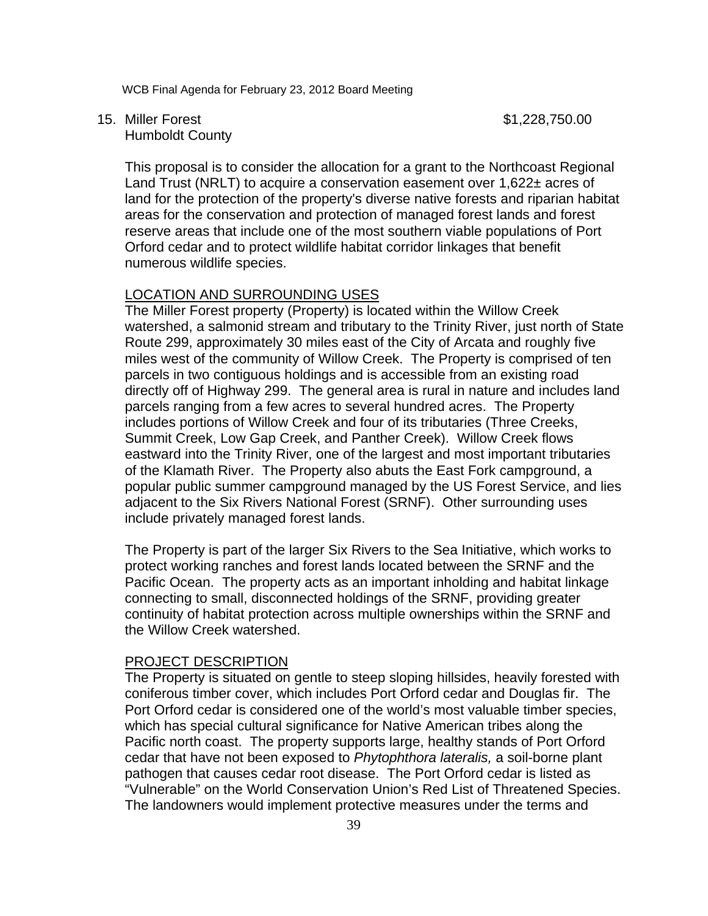15. Miller Forest \$1,228,750.00

Humboldt County

This proposal is to consider the allocation for a grant to the Northcoast Regional Land Trust (NRLT) to acquire a conservation easement over 1,622± acres of land for the protection of the property's diverse native forests and riparian habitat areas for the conservation and protection of managed forest lands and forest reserve areas that include one of the most southern viable populations of Port Orford cedar and to protect wildlife habitat corridor linkages that benefit numerous wildlife species.

# LOCATION AND SURROUNDING USES

The Miller Forest property (Property) is located within the Willow Creek watershed, a salmonid stream and tributary to the Trinity River, just north of State Route 299, approximately 30 miles east of the City of Arcata and roughly five miles west of the community of Willow Creek. The Property is comprised of ten parcels in two contiguous holdings and is accessible from an existing road directly off of Highway 299. The general area is rural in nature and includes land parcels ranging from a few acres to several hundred acres. The Property includes portions of Willow Creek and four of its tributaries (Three Creeks, Summit Creek, Low Gap Creek, and Panther Creek). Willow Creek flows eastward into the Trinity River, one of the largest and most important tributaries of the Klamath River. The Property also abuts the East Fork campground, a popular public summer campground managed by the US Forest Service, and lies adjacent to the Six Rivers National Forest (SRNF). Other surrounding uses include privately managed forest lands.

The Property is part of the larger Six Rivers to the Sea Initiative, which works to protect working ranches and forest lands located between the SRNF and the Pacific Ocean. The property acts as an important inholding and habitat linkage connecting to small, disconnected holdings of the SRNF, providing greater continuity of habitat protection across multiple ownerships within the SRNF and the Willow Creek watershed.

# PROJECT DESCRIPTION

The Property is situated on gentle to steep sloping hillsides, heavily forested with coniferous timber cover, which includes Port Orford cedar and Douglas fir. The Port Orford cedar is considered one of the world's most valuable timber species, which has special cultural significance for Native American tribes along the Pacific north coast. The property supports large, healthy stands of Port Orford cedar that have not been exposed to *Phytophthora lateralis,* a soil-borne plant pathogen that causes cedar root disease. The Port Orford cedar is listed as "Vulnerable" on the World Conservation Union's Red List of Threatened Species. The landowners would implement protective measures under the terms and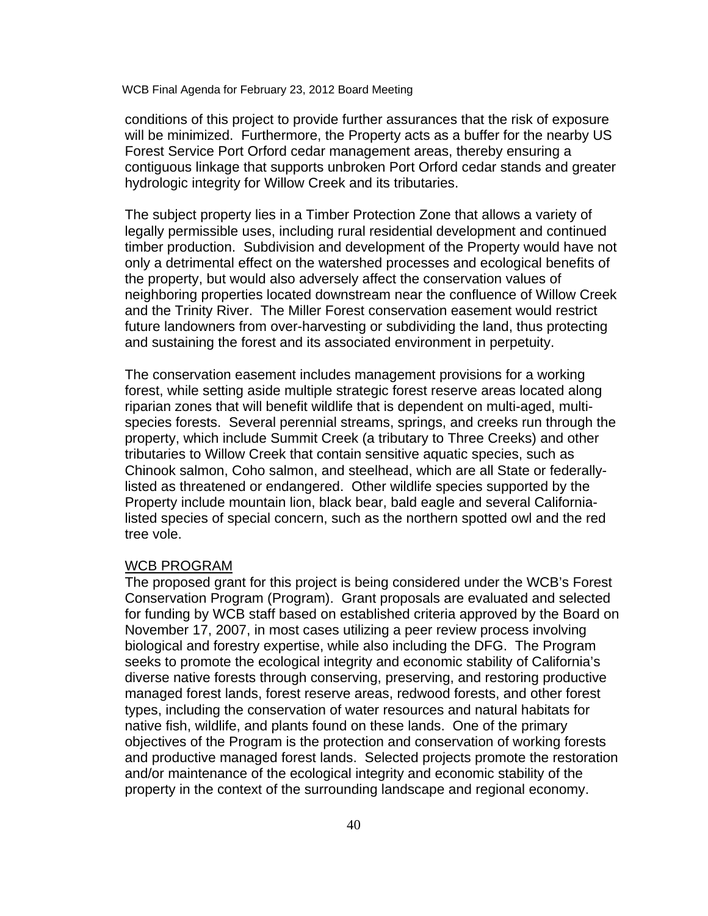conditions of this project to provide further assurances that the risk of exposure will be minimized. Furthermore, the Property acts as a buffer for the nearby US Forest Service Port Orford cedar management areas, thereby ensuring a contiguous linkage that supports unbroken Port Orford cedar stands and greater hydrologic integrity for Willow Creek and its tributaries.

The subject property lies in a Timber Protection Zone that allows a variety of legally permissible uses, including rural residential development and continued timber production. Subdivision and development of the Property would have not only a detrimental effect on the watershed processes and ecological benefits of the property, but would also adversely affect the conservation values of neighboring properties located downstream near the confluence of Willow Creek and the Trinity River. The Miller Forest conservation easement would restrict future landowners from over-harvesting or subdividing the land, thus protecting and sustaining the forest and its associated environment in perpetuity.

The conservation easement includes management provisions for a working forest, while setting aside multiple strategic forest reserve areas located along riparian zones that will benefit wildlife that is dependent on multi-aged, multispecies forests. Several perennial streams, springs, and creeks run through the property, which include Summit Creek (a tributary to Three Creeks) and other tributaries to Willow Creek that contain sensitive aquatic species, such as Chinook salmon, Coho salmon, and steelhead, which are all State or federallylisted as threatened or endangered. Other wildlife species supported by the Property include mountain lion, black bear, bald eagle and several Californialisted species of special concern, such as the northern spotted owl and the red tree vole.

#### WCB PROGRAM

The proposed grant for this project is being considered under the WCB's Forest Conservation Program (Program). Grant proposals are evaluated and selected for funding by WCB staff based on established criteria approved by the Board on November 17, 2007, in most cases utilizing a peer review process involving biological and forestry expertise, while also including the DFG. The Program seeks to promote the ecological integrity and economic stability of California's diverse native forests through conserving, preserving, and restoring productive managed forest lands, forest reserve areas, redwood forests, and other forest types, including the conservation of water resources and natural habitats for native fish, wildlife, and plants found on these lands. One of the primary objectives of the Program is the protection and conservation of working forests and productive managed forest lands. Selected projects promote the restoration and/or maintenance of the ecological integrity and economic stability of the property in the context of the surrounding landscape and regional economy.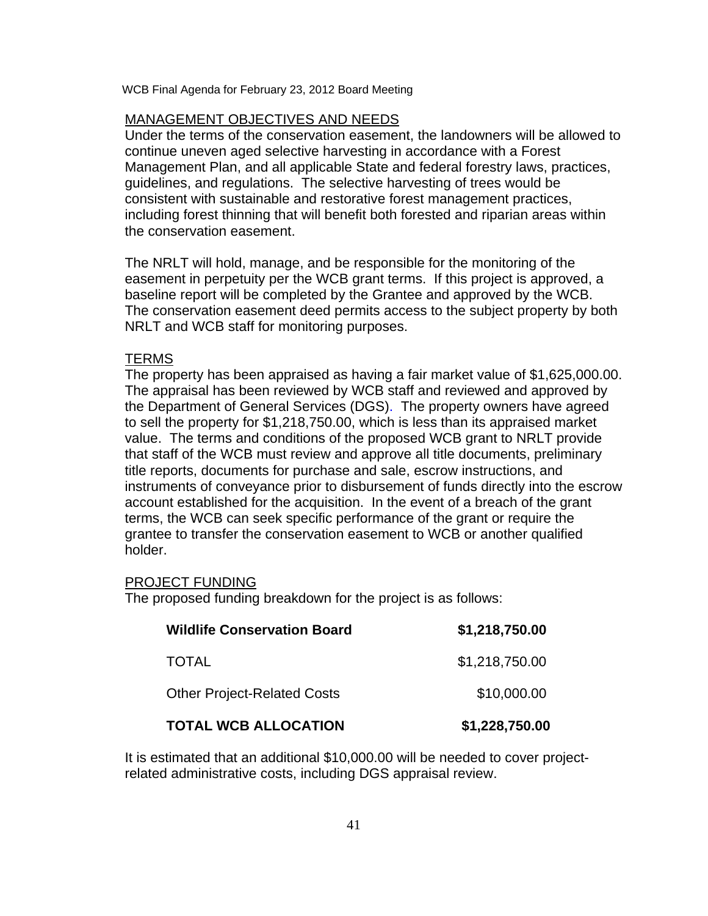## MANAGEMENT OBJECTIVES AND NEEDS

Under the terms of the conservation easement, the landowners will be allowed to continue uneven aged selective harvesting in accordance with a Forest Management Plan, and all applicable State and federal forestry laws, practices, guidelines, and regulations. The selective harvesting of trees would be consistent with sustainable and restorative forest management practices, including forest thinning that will benefit both forested and riparian areas within the conservation easement.

The NRLT will hold, manage, and be responsible for the monitoring of the easement in perpetuity per the WCB grant terms. If this project is approved, a baseline report will be completed by the Grantee and approved by the WCB. The conservation easement deed permits access to the subject property by both NRLT and WCB staff for monitoring purposes.

## TERMS

The property has been appraised as having a fair market value of \$1,625,000.00. The appraisal has been reviewed by WCB staff and reviewed and approved by the Department of General Services (DGS). The property owners have agreed to sell the property for \$1,218,750.00, which is less than its appraised market value. The terms and conditions of the proposed WCB grant to NRLT provide that staff of the WCB must review and approve all title documents, preliminary title reports, documents for purchase and sale, escrow instructions, and instruments of conveyance prior to disbursement of funds directly into the escrow account established for the acquisition. In the event of a breach of the grant terms, the WCB can seek specific performance of the grant or require the grantee to transfer the conservation easement to WCB or another qualified holder.

#### PROJECT FUNDING

The proposed funding breakdown for the project is as follows:

| <b>Wildlife Conservation Board</b> | \$1,218,750.00 |
|------------------------------------|----------------|
| <b>TOTAL</b>                       | \$1,218,750.00 |
| <b>Other Project-Related Costs</b> | \$10,000.00    |
| <b>TOTAL WCB ALLOCATION</b>        | \$1,228,750.00 |

It is estimated that an additional \$10,000.00 will be needed to cover projectrelated administrative costs, including DGS appraisal review.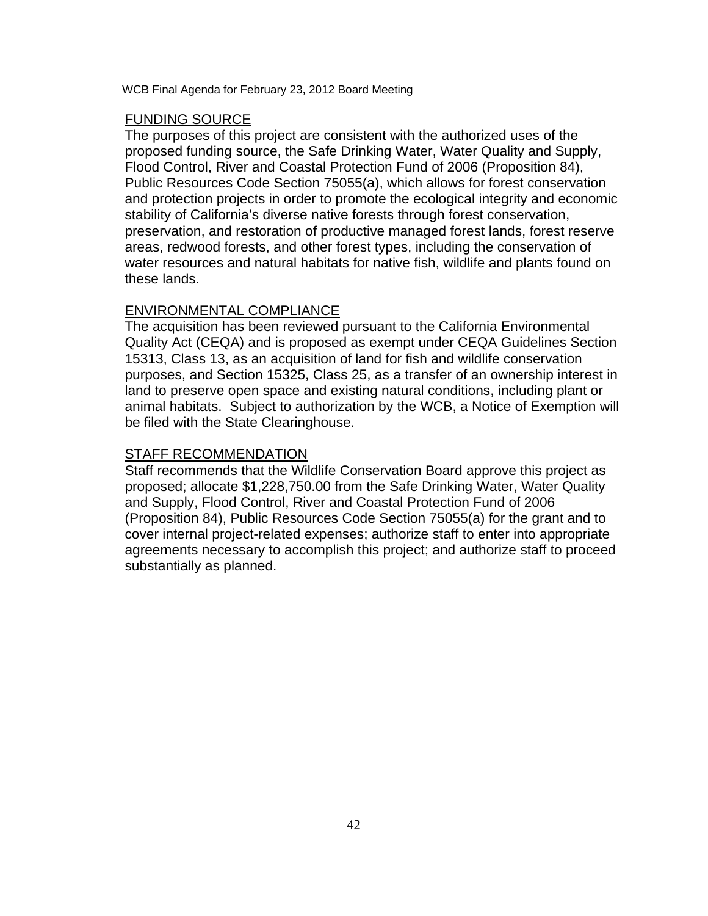# FUNDING SOURCE

The purposes of this project are consistent with the authorized uses of the proposed funding source, the Safe Drinking Water, Water Quality and Supply, Flood Control, River and Coastal Protection Fund of 2006 (Proposition 84), Public Resources Code Section 75055(a), which allows for forest conservation and protection projects in order to promote the ecological integrity and economic stability of California's diverse native forests through forest conservation, preservation, and restoration of productive managed forest lands, forest reserve areas, redwood forests, and other forest types, including the conservation of water resources and natural habitats for native fish, wildlife and plants found on these lands.

## ENVIRONMENTAL COMPLIANCE

The acquisition has been reviewed pursuant to the California Environmental Quality Act (CEQA) and is proposed as exempt under CEQA Guidelines Section 15313, Class 13, as an acquisition of land for fish and wildlife conservation purposes, and Section 15325, Class 25, as a transfer of an ownership interest in land to preserve open space and existing natural conditions, including plant or animal habitats. Subject to authorization by the WCB, a Notice of Exemption will be filed with the State Clearinghouse.

## STAFF RECOMMENDATION

Staff recommends that the Wildlife Conservation Board approve this project as proposed; allocate \$1,228,750.00 from the Safe Drinking Water, Water Quality and Supply, Flood Control, River and Coastal Protection Fund of 2006 (Proposition 84), Public Resources Code Section 75055(a) for the grant and to cover internal project-related expenses; authorize staff to enter into appropriate agreements necessary to accomplish this project; and authorize staff to proceed substantially as planned.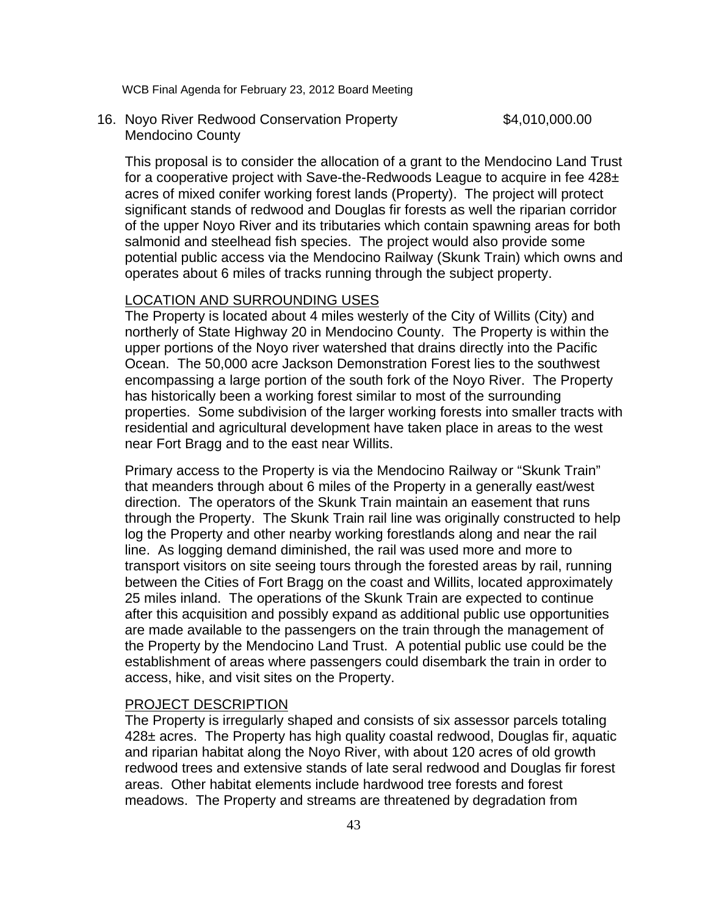16. Noyo River Redwood Conservation Property **\$4,010,000.00** Mendocino County

This proposal is to consider the allocation of a grant to the Mendocino Land Trust for a cooperative project with Save-the-Redwoods League to acquire in fee 428± acres of mixed conifer working forest lands (Property). The project will protect significant stands of redwood and Douglas fir forests as well the riparian corridor of the upper Noyo River and its tributaries which contain spawning areas for both salmonid and steelhead fish species. The project would also provide some potential public access via the Mendocino Railway (Skunk Train) which owns and operates about 6 miles of tracks running through the subject property.

## LOCATION AND SURROUNDING USES

The Property is located about 4 miles westerly of the City of Willits (City) and northerly of State Highway 20 in Mendocino County. The Property is within the upper portions of the Noyo river watershed that drains directly into the Pacific Ocean. The 50,000 acre Jackson Demonstration Forest lies to the southwest encompassing a large portion of the south fork of the Noyo River. The Property has historically been a working forest similar to most of the surrounding properties. Some subdivision of the larger working forests into smaller tracts with residential and agricultural development have taken place in areas to the west near Fort Bragg and to the east near Willits.

Primary access to the Property is via the Mendocino Railway or "Skunk Train" that meanders through about 6 miles of the Property in a generally east/west direction. The operators of the Skunk Train maintain an easement that runs through the Property. The Skunk Train rail line was originally constructed to help log the Property and other nearby working forestlands along and near the rail line. As logging demand diminished, the rail was used more and more to transport visitors on site seeing tours through the forested areas by rail, running between the Cities of Fort Bragg on the coast and Willits, located approximately 25 miles inland. The operations of the Skunk Train are expected to continue after this acquisition and possibly expand as additional public use opportunities are made available to the passengers on the train through the management of the Property by the Mendocino Land Trust. A potential public use could be the establishment of areas where passengers could disembark the train in order to access, hike, and visit sites on the Property.

#### PROJECT DESCRIPTION

The Property is irregularly shaped and consists of six assessor parcels totaling 428± acres. The Property has high quality coastal redwood, Douglas fir, aquatic and riparian habitat along the Noyo River, with about 120 acres of old growth redwood trees and extensive stands of late seral redwood and Douglas fir forest areas. Other habitat elements include hardwood tree forests and forest meadows. The Property and streams are threatened by degradation from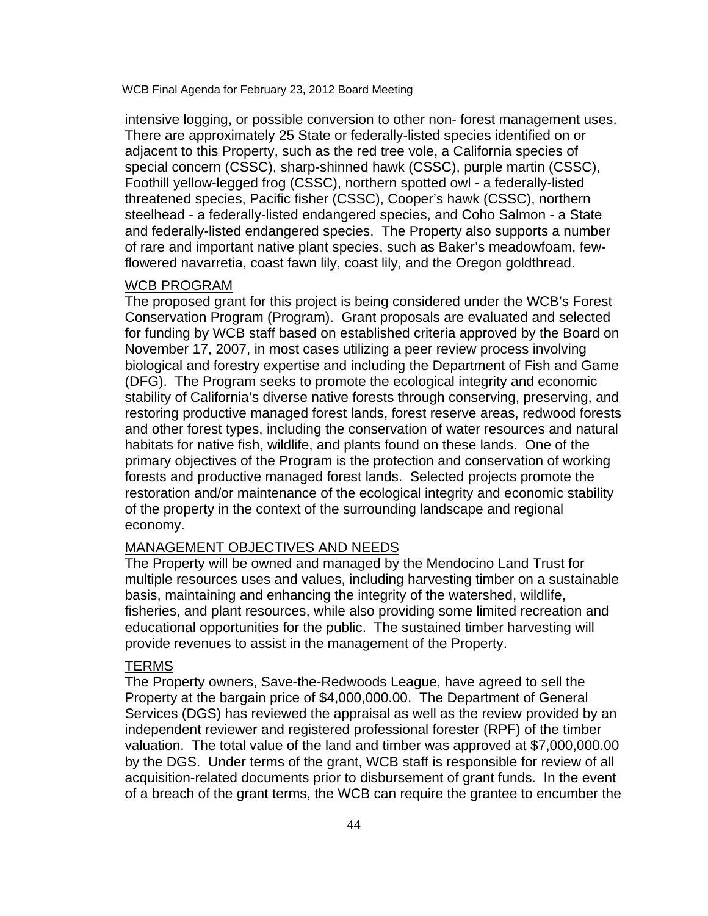intensive logging, or possible conversion to other non- forest management uses. There are approximately 25 State or federally-listed species identified on or adjacent to this Property, such as the red tree vole, a California species of special concern (CSSC), sharp-shinned hawk (CSSC), purple martin (CSSC), Foothill yellow-legged frog (CSSC), northern spotted owl - a federally-listed threatened species, Pacific fisher (CSSC), Cooper's hawk (CSSC), northern steelhead - a federally-listed endangered species, and Coho Salmon - a State and federally-listed endangered species. The Property also supports a number of rare and important native plant species, such as Baker's meadowfoam, fewflowered navarretia, coast fawn lily, coast lily, and the Oregon goldthread.

# WCB PROGRAM

The proposed grant for this project is being considered under the WCB's Forest Conservation Program (Program). Grant proposals are evaluated and selected for funding by WCB staff based on established criteria approved by the Board on November 17, 2007, in most cases utilizing a peer review process involving biological and forestry expertise and including the Department of Fish and Game (DFG). The Program seeks to promote the ecological integrity and economic stability of California's diverse native forests through conserving, preserving, and restoring productive managed forest lands, forest reserve areas, redwood forests and other forest types, including the conservation of water resources and natural habitats for native fish, wildlife, and plants found on these lands. One of the primary objectives of the Program is the protection and conservation of working forests and productive managed forest lands. Selected projects promote the restoration and/or maintenance of the ecological integrity and economic stability of the property in the context of the surrounding landscape and regional economy.

# MANAGEMENT OBJECTIVES AND NEEDS

The Property will be owned and managed by the Mendocino Land Trust for multiple resources uses and values, including harvesting timber on a sustainable basis, maintaining and enhancing the integrity of the watershed, wildlife, fisheries, and plant resources, while also providing some limited recreation and educational opportunities for the public. The sustained timber harvesting will provide revenues to assist in the management of the Property.

#### TERMS

The Property owners, Save-the-Redwoods League, have agreed to sell the Property at the bargain price of \$4,000,000.00. The Department of General Services (DGS) has reviewed the appraisal as well as the review provided by an independent reviewer and registered professional forester (RPF) of the timber valuation. The total value of the land and timber was approved at \$7,000,000.00 by the DGS. Under terms of the grant, WCB staff is responsible for review of all acquisition-related documents prior to disbursement of grant funds. In the event of a breach of the grant terms, the WCB can require the grantee to encumber the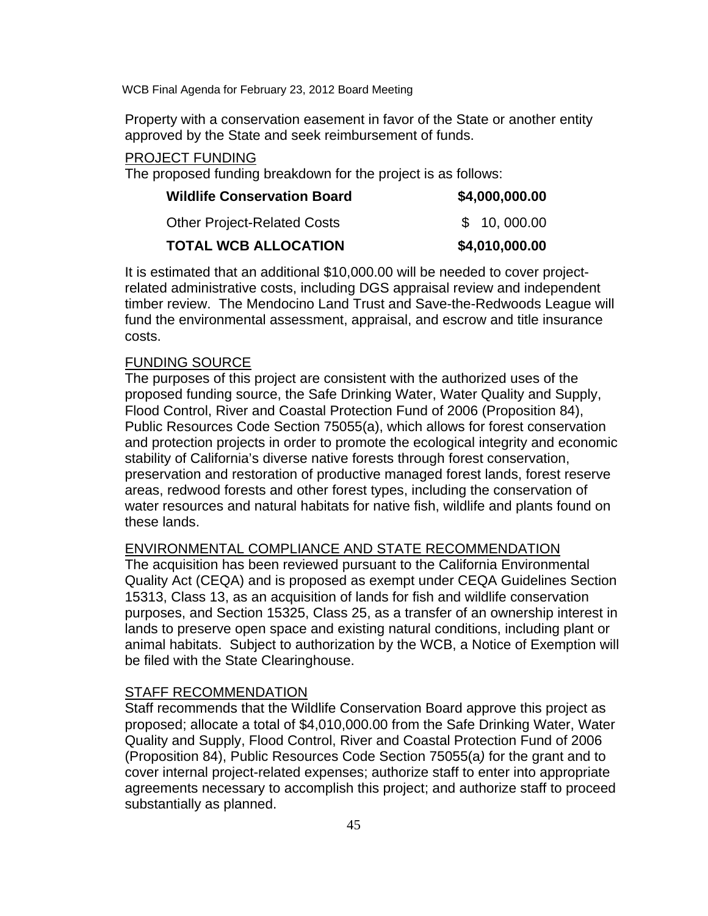Property with a conservation easement in favor of the State or another entity approved by the State and seek reimbursement of funds.

# PROJECT FUNDING

The proposed funding breakdown for the project is as follows:

| <b>Wildlife Conservation Board</b> | \$4,000,000.00 |
|------------------------------------|----------------|
| <b>Other Project-Related Costs</b> | \$ 10,000.00   |
| <b>TOTAL WCB ALLOCATION</b>        | \$4,010,000.00 |

It is estimated that an additional \$10,000.00 will be needed to cover projectrelated administrative costs, including DGS appraisal review and independent timber review. The Mendocino Land Trust and Save-the-Redwoods League will fund the environmental assessment, appraisal, and escrow and title insurance costs.

# FUNDING SOURCE

The purposes of this project are consistent with the authorized uses of the proposed funding source, the Safe Drinking Water, Water Quality and Supply, Flood Control, River and Coastal Protection Fund of 2006 (Proposition 84), Public Resources Code Section 75055(a), which allows for forest conservation and protection projects in order to promote the ecological integrity and economic stability of California's diverse native forests through forest conservation, preservation and restoration of productive managed forest lands, forest reserve areas, redwood forests and other forest types, including the conservation of water resources and natural habitats for native fish, wildlife and plants found on these lands.

# ENVIRONMENTAL COMPLIANCE AND STATE RECOMMENDATION

The acquisition has been reviewed pursuant to the California Environmental Quality Act (CEQA) and is proposed as exempt under CEQA Guidelines Section 15313, Class 13, as an acquisition of lands for fish and wildlife conservation purposes, and Section 15325, Class 25, as a transfer of an ownership interest in lands to preserve open space and existing natural conditions, including plant or animal habitats. Subject to authorization by the WCB, a Notice of Exemption will be filed with the State Clearinghouse.

# STAFF RECOMMENDATION

Staff recommends that the Wildlife Conservation Board approve this project as proposed; allocate a total of \$4,010,000.00 from the Safe Drinking Water, Water Quality and Supply, Flood Control, River and Coastal Protection Fund of 2006 (Proposition 84), Public Resources Code Section 75055(a*)* for the grant and to cover internal project-related expenses; authorize staff to enter into appropriate agreements necessary to accomplish this project; and authorize staff to proceed substantially as planned.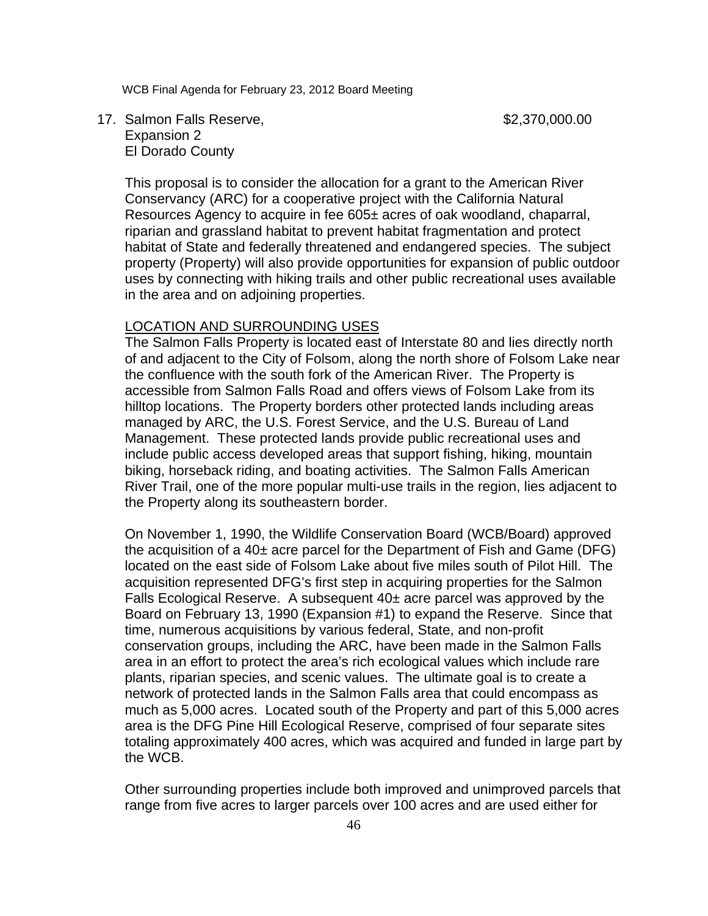17. Salmon Falls Reserve, the control of the state of \$2,370,000.00 Expansion 2 El Dorado County

This proposal is to consider the allocation for a grant to the American River Conservancy (ARC) for a cooperative project with the California Natural Resources Agency to acquire in fee 605± acres of oak woodland, chaparral, riparian and grassland habitat to prevent habitat fragmentation and protect habitat of State and federally threatened and endangered species. The subject property (Property) will also provide opportunities for expansion of public outdoor uses by connecting with hiking trails and other public recreational uses available in the area and on adjoining properties.

## LOCATION AND SURROUNDING USES

The Salmon Falls Property is located east of Interstate 80 and lies directly north of and adjacent to the City of Folsom, along the north shore of Folsom Lake near the confluence with the south fork of the American River. The Property is accessible from Salmon Falls Road and offers views of Folsom Lake from its hilltop locations. The Property borders other protected lands including areas managed by ARC, the U.S. Forest Service, and the U.S. Bureau of Land Management. These protected lands provide public recreational uses and include public access developed areas that support fishing, hiking, mountain biking, horseback riding, and boating activities. The Salmon Falls American River Trail, one of the more popular multi-use trails in the region, lies adjacent to the Property along its southeastern border.

On November 1, 1990, the Wildlife Conservation Board (WCB/Board) approved the acquisition of a  $40<sub>±</sub>$  acre parcel for the Department of Fish and Game (DFG) located on the east side of Folsom Lake about five miles south of Pilot Hill. The acquisition represented DFG's first step in acquiring properties for the Salmon Falls Ecological Reserve. A subsequent  $40<sub>±</sub>$  acre parcel was approved by the Board on February 13, 1990 (Expansion #1) to expand the Reserve. Since that time, numerous acquisitions by various federal, State, and non-profit conservation groups, including the ARC, have been made in the Salmon Falls area in an effort to protect the area's rich ecological values which include rare plants, riparian species, and scenic values. The ultimate goal is to create a network of protected lands in the Salmon Falls area that could encompass as much as 5,000 acres. Located south of the Property and part of this 5,000 acres area is the DFG Pine Hill Ecological Reserve, comprised of four separate sites totaling approximately 400 acres, which was acquired and funded in large part by the WCB.

Other surrounding properties include both improved and unimproved parcels that range from five acres to larger parcels over 100 acres and are used either for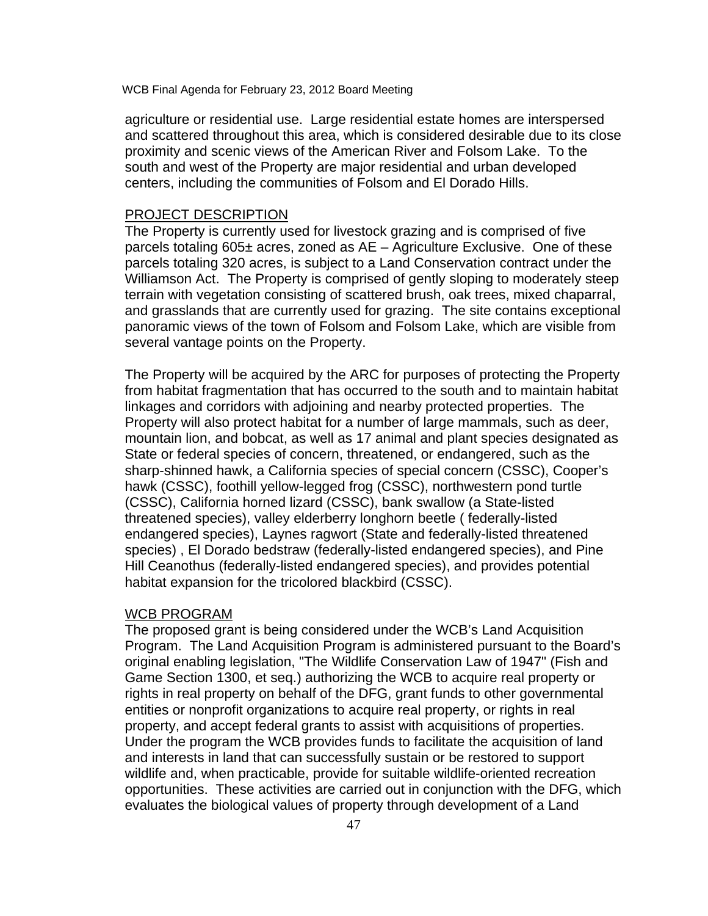agriculture or residential use. Large residential estate homes are interspersed and scattered throughout this area, which is considered desirable due to its close proximity and scenic views of the American River and Folsom Lake. To the south and west of the Property are major residential and urban developed centers, including the communities of Folsom and El Dorado Hills.

#### PROJECT DESCRIPTION

The Property is currently used for livestock grazing and is comprised of five parcels totaling 605± acres, zoned as AE – Agriculture Exclusive. One of these parcels totaling 320 acres, is subject to a Land Conservation contract under the Williamson Act. The Property is comprised of gently sloping to moderately steep terrain with vegetation consisting of scattered brush, oak trees, mixed chaparral, and grasslands that are currently used for grazing. The site contains exceptional panoramic views of the town of Folsom and Folsom Lake, which are visible from several vantage points on the Property.

The Property will be acquired by the ARC for purposes of protecting the Property from habitat fragmentation that has occurred to the south and to maintain habitat linkages and corridors with adjoining and nearby protected properties. The Property will also protect habitat for a number of large mammals, such as deer, mountain lion, and bobcat, as well as 17 animal and plant species designated as State or federal species of concern, threatened, or endangered, such as the sharp-shinned hawk, a California species of special concern (CSSC), Cooper's hawk (CSSC), foothill yellow-legged frog (CSSC), northwestern pond turtle (CSSC), California horned lizard (CSSC), bank swallow (a State-listed threatened species), valley elderberry longhorn beetle ( federally-listed endangered species), Laynes ragwort (State and federally-listed threatened species) , El Dorado bedstraw (federally-listed endangered species), and Pine Hill Ceanothus (federally-listed endangered species), and provides potential habitat expansion for the tricolored blackbird (CSSC).

#### WCB PROGRAM

The proposed grant is being considered under the WCB's Land Acquisition Program. The Land Acquisition Program is administered pursuant to the Board's original enabling legislation, "The Wildlife Conservation Law of 1947" (Fish and Game Section 1300, et seq.) authorizing the WCB to acquire real property or rights in real property on behalf of the DFG, grant funds to other governmental entities or nonprofit organizations to acquire real property, or rights in real property, and accept federal grants to assist with acquisitions of properties. Under the program the WCB provides funds to facilitate the acquisition of land and interests in land that can successfully sustain or be restored to support wildlife and, when practicable, provide for suitable wildlife-oriented recreation opportunities. These activities are carried out in conjunction with the DFG, which evaluates the biological values of property through development of a Land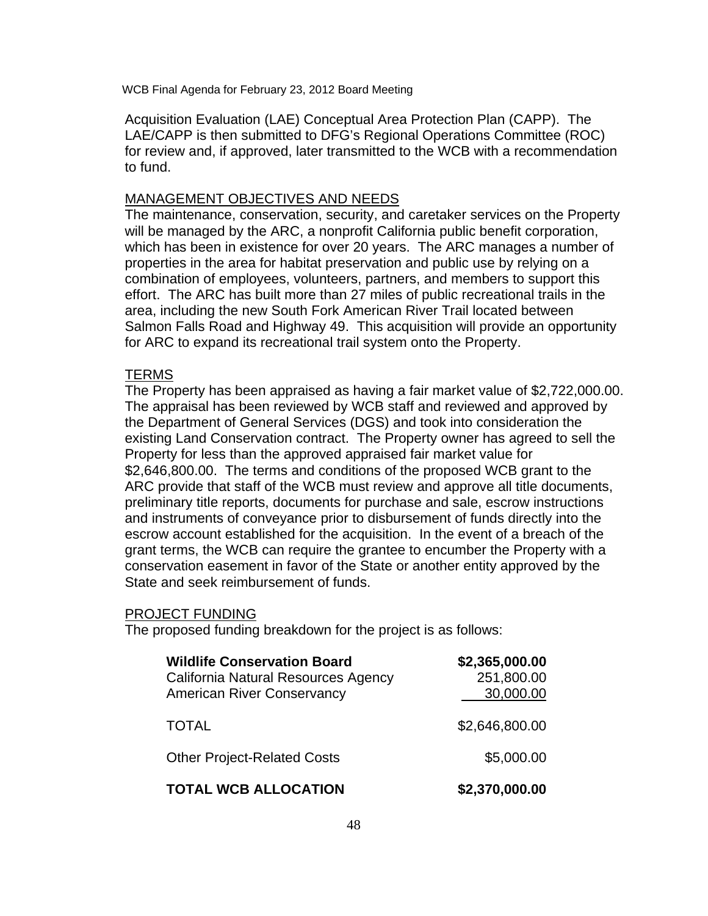Acquisition Evaluation (LAE) Conceptual Area Protection Plan (CAPP). The LAE/CAPP is then submitted to DFG's Regional Operations Committee (ROC) for review and, if approved, later transmitted to the WCB with a recommendation to fund.

# MANAGEMENT OBJECTIVES AND NEEDS

The maintenance, conservation, security, and caretaker services on the Property will be managed by the ARC, a nonprofit California public benefit corporation, which has been in existence for over 20 years. The ARC manages a number of properties in the area for habitat preservation and public use by relying on a combination of employees, volunteers, partners, and members to support this effort. The ARC has built more than 27 miles of public recreational trails in the area, including the new South Fork American River Trail located between Salmon Falls Road and Highway 49. This acquisition will provide an opportunity for ARC to expand its recreational trail system onto the Property.

# **TERMS**

The Property has been appraised as having a fair market value of \$2,722,000.00. The appraisal has been reviewed by WCB staff and reviewed and approved by the Department of General Services (DGS) and took into consideration the existing Land Conservation contract. The Property owner has agreed to sell the Property for less than the approved appraised fair market value for \$2,646,800.00. The terms and conditions of the proposed WCB grant to the ARC provide that staff of the WCB must review and approve all title documents, preliminary title reports, documents for purchase and sale, escrow instructions and instruments of conveyance prior to disbursement of funds directly into the escrow account established for the acquisition. In the event of a breach of the grant terms, the WCB can require the grantee to encumber the Property with a conservation easement in favor of the State or another entity approved by the State and seek reimbursement of funds.

#### PROJECT FUNDING

The proposed funding breakdown for the project is as follows:

| <b>Wildlife Conservation Board</b><br>California Natural Resources Agency<br><b>American River Conservancy</b> | \$2,365,000.00<br>251,800.00<br>30,000.00 |
|----------------------------------------------------------------------------------------------------------------|-------------------------------------------|
| <b>TOTAL</b>                                                                                                   | \$2,646,800.00                            |
| <b>Other Project-Related Costs</b>                                                                             | \$5,000.00                                |
| <b>TOTAL WCB ALLOCATION</b>                                                                                    | \$2,370,000.00                            |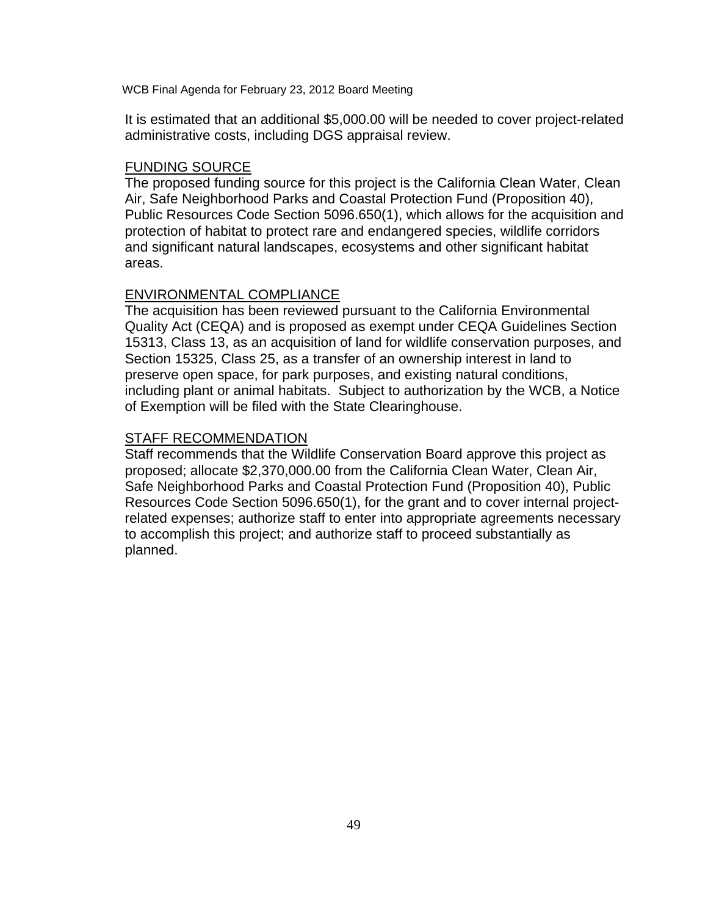It is estimated that an additional \$5,000.00 will be needed to cover project-related administrative costs, including DGS appraisal review.

## FUNDING SOURCE

The proposed funding source for this project is the California Clean Water, Clean Air, Safe Neighborhood Parks and Coastal Protection Fund (Proposition 40), Public Resources Code Section 5096.650(1), which allows for the acquisition and protection of habitat to protect rare and endangered species, wildlife corridors and significant natural landscapes, ecosystems and other significant habitat areas.

## ENVIRONMENTAL COMPLIANCE

The acquisition has been reviewed pursuant to the California Environmental Quality Act (CEQA) and is proposed as exempt under CEQA Guidelines Section 15313, Class 13, as an acquisition of land for wildlife conservation purposes, and Section 15325, Class 25, as a transfer of an ownership interest in land to preserve open space, for park purposes, and existing natural conditions, including plant or animal habitats. Subject to authorization by the WCB, a Notice of Exemption will be filed with the State Clearinghouse.

## STAFF RECOMMENDATION

Staff recommends that the Wildlife Conservation Board approve this project as proposed; allocate \$2,370,000.00 from the California Clean Water, Clean Air, Safe Neighborhood Parks and Coastal Protection Fund (Proposition 40), Public Resources Code Section 5096.650(1), for the grant and to cover internal projectrelated expenses; authorize staff to enter into appropriate agreements necessary to accomplish this project; and authorize staff to proceed substantially as planned.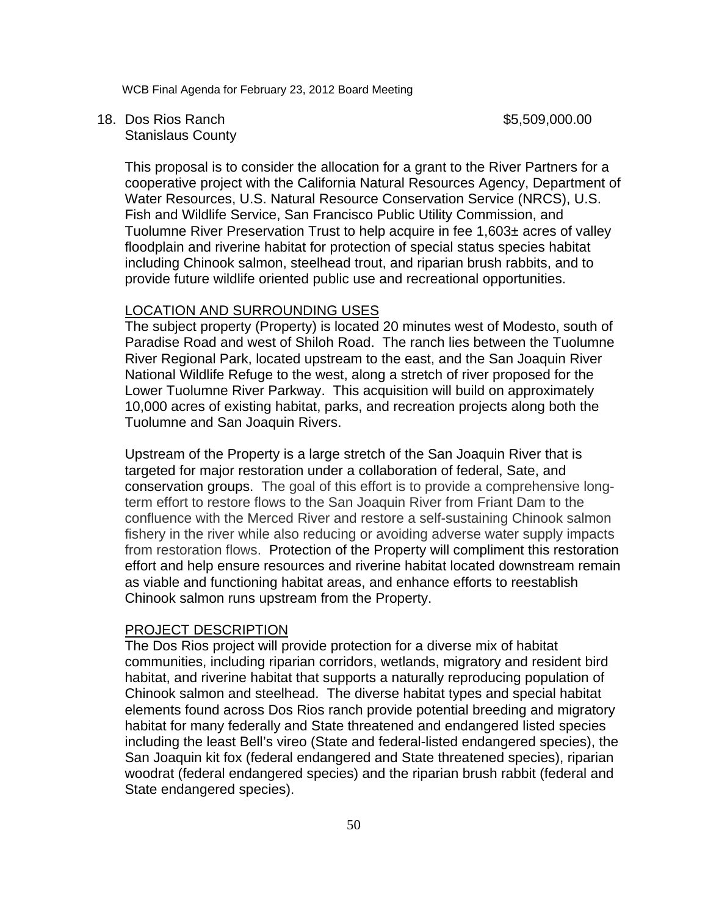18. Dos Rios Ranch \$5,509,000.00 Stanislaus County

This proposal is to consider the allocation for a grant to the River Partners for a cooperative project with the California Natural Resources Agency, Department of Water Resources, U.S. Natural Resource Conservation Service (NRCS), U.S. Fish and Wildlife Service, San Francisco Public Utility Commission, and Tuolumne River Preservation Trust to help acquire in fee 1,603± acres of valley floodplain and riverine habitat for protection of special status species habitat including Chinook salmon, steelhead trout, and riparian brush rabbits, and to provide future wildlife oriented public use and recreational opportunities.

# LOCATION AND SURROUNDING USES

The subject property (Property) is located 20 minutes west of Modesto, south of Paradise Road and west of Shiloh Road. The ranch lies between the Tuolumne River Regional Park, located upstream to the east, and the San Joaquin River National Wildlife Refuge to the west, along a stretch of river proposed for the Lower Tuolumne River Parkway. This acquisition will build on approximately 10,000 acres of existing habitat, parks, and recreation projects along both the Tuolumne and San Joaquin Rivers.

Upstream of the Property is a large stretch of the San Joaquin River that is targeted for major restoration under a collaboration of federal, Sate, and conservation groups. The goal of this effort is to provide a comprehensive longterm effort to restore flows to the San Joaquin River from Friant Dam to the confluence with the Merced River and restore a self-sustaining Chinook salmon fishery in the river while also reducing or avoiding adverse water supply impacts from restoration flows. Protection of the Property will compliment this restoration effort and help ensure resources and riverine habitat located downstream remain as viable and functioning habitat areas, and enhance efforts to reestablish Chinook salmon runs upstream from the Property.

#### PROJECT DESCRIPTION

The Dos Rios project will provide protection for a diverse mix of habitat communities, including riparian corridors, wetlands, migratory and resident bird habitat, and riverine habitat that supports a naturally reproducing population of Chinook salmon and steelhead. The diverse habitat types and special habitat elements found across Dos Rios ranch provide potential breeding and migratory habitat for many federally and State threatened and endangered listed species including the least Bell's vireo (State and federal-listed endangered species), the San Joaquin kit fox (federal endangered and State threatened species), riparian woodrat (federal endangered species) and the riparian brush rabbit (federal and State endangered species).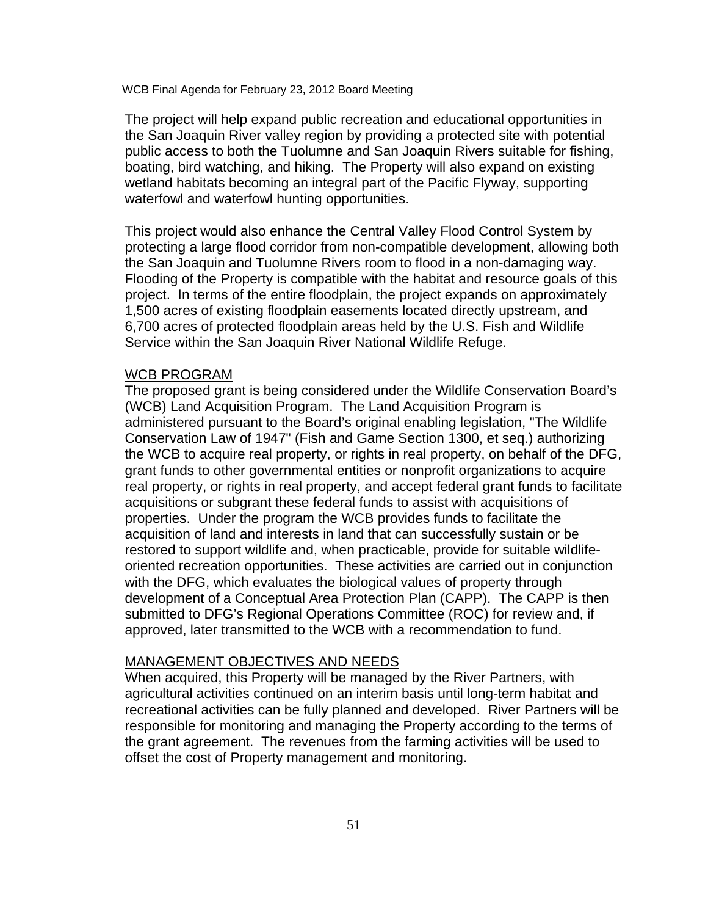The project will help expand public recreation and educational opportunities in the San Joaquin River valley region by providing a protected site with potential public access to both the Tuolumne and San Joaquin Rivers suitable for fishing, boating, bird watching, and hiking. The Property will also expand on existing wetland habitats becoming an integral part of the Pacific Flyway, supporting waterfowl and waterfowl hunting opportunities.

This project would also enhance the Central Valley Flood Control System by protecting a large flood corridor from non-compatible development, allowing both the San Joaquin and Tuolumne Rivers room to flood in a non-damaging way. Flooding of the Property is compatible with the habitat and resource goals of this project. In terms of the entire floodplain, the project expands on approximately 1,500 acres of existing floodplain easements located directly upstream, and 6,700 acres of protected floodplain areas held by the U.S. Fish and Wildlife Service within the San Joaquin River National Wildlife Refuge.

#### WCB PROGRAM

The proposed grant is being considered under the Wildlife Conservation Board's (WCB) Land Acquisition Program. The Land Acquisition Program is administered pursuant to the Board's original enabling legislation, "The Wildlife Conservation Law of 1947" (Fish and Game Section 1300, et seq.) authorizing the WCB to acquire real property, or rights in real property, on behalf of the DFG, grant funds to other governmental entities or nonprofit organizations to acquire real property, or rights in real property, and accept federal grant funds to facilitate acquisitions or subgrant these federal funds to assist with acquisitions of properties. Under the program the WCB provides funds to facilitate the acquisition of land and interests in land that can successfully sustain or be restored to support wildlife and, when practicable, provide for suitable wildlifeoriented recreation opportunities. These activities are carried out in conjunction with the DFG, which evaluates the biological values of property through development of a Conceptual Area Protection Plan (CAPP). The CAPP is then submitted to DFG's Regional Operations Committee (ROC) for review and, if approved, later transmitted to the WCB with a recommendation to fund.

# MANAGEMENT OBJECTIVES AND NEEDS

When acquired, this Property will be managed by the River Partners, with agricultural activities continued on an interim basis until long-term habitat and recreational activities can be fully planned and developed. River Partners will be responsible for monitoring and managing the Property according to the terms of the grant agreement. The revenues from the farming activities will be used to offset the cost of Property management and monitoring.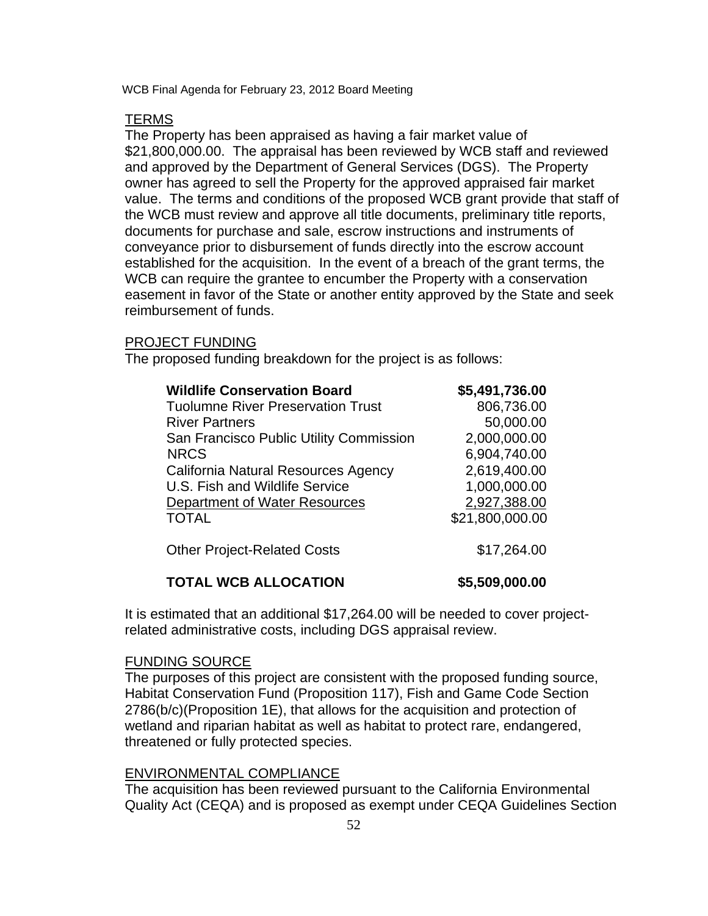## **TERMS**

The Property has been appraised as having a fair market value of \$21,800,000.00. The appraisal has been reviewed by WCB staff and reviewed and approved by the Department of General Services (DGS). The Property owner has agreed to sell the Property for the approved appraised fair market value. The terms and conditions of the proposed WCB grant provide that staff of the WCB must review and approve all title documents, preliminary title reports, documents for purchase and sale, escrow instructions and instruments of conveyance prior to disbursement of funds directly into the escrow account established for the acquisition. In the event of a breach of the grant terms, the WCB can require the grantee to encumber the Property with a conservation easement in favor of the State or another entity approved by the State and seek reimbursement of funds.

## PROJECT FUNDING

The proposed funding breakdown for the project is as follows:

| <b>Wildlife Conservation Board</b>       | \$5,491,736.00  |
|------------------------------------------|-----------------|
| <b>Tuolumne River Preservation Trust</b> | 806,736.00      |
| <b>River Partners</b>                    | 50,000.00       |
| San Francisco Public Utility Commission  | 2,000,000.00    |
| <b>NRCS</b>                              | 6,904,740.00    |
| California Natural Resources Agency      | 2,619,400.00    |
| U.S. Fish and Wildlife Service           | 1,000,000.00    |
| Department of Water Resources            | 2,927,388.00    |
| <b>TOTAL</b>                             | \$21,800,000.00 |
| <b>Other Project-Related Costs</b>       | \$17,264.00     |

# **TOTAL WCB ALLOCATION \$5,509,000.00**

It is estimated that an additional \$17,264.00 will be needed to cover projectrelated administrative costs, including DGS appraisal review.

### FUNDING SOURCE

The purposes of this project are consistent with the proposed funding source, Habitat Conservation Fund (Proposition 117), Fish and Game Code Section 2786(b/c)(Proposition 1E), that allows for the acquisition and protection of wetland and riparian habitat as well as habitat to protect rare, endangered, threatened or fully protected species.

# ENVIRONMENTAL COMPLIANCE

The acquisition has been reviewed pursuant to the California Environmental Quality Act (CEQA) and is proposed as exempt under CEQA Guidelines Section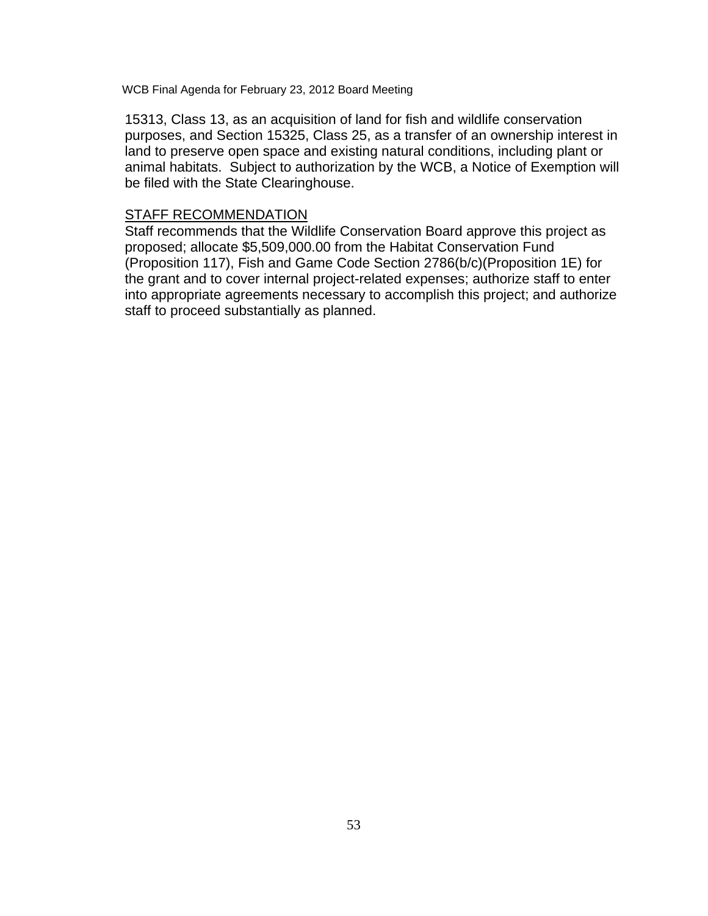15313, Class 13, as an acquisition of land for fish and wildlife conservation purposes, and Section 15325, Class 25, as a transfer of an ownership interest in land to preserve open space and existing natural conditions, including plant or animal habitats. Subject to authorization by the WCB, a Notice of Exemption will be filed with the State Clearinghouse.

# STAFF RECOMMENDATION

Staff recommends that the Wildlife Conservation Board approve this project as proposed; allocate \$5,509,000.00 from the Habitat Conservation Fund (Proposition 117), Fish and Game Code Section 2786(b/c)(Proposition 1E) for the grant and to cover internal project-related expenses; authorize staff to enter into appropriate agreements necessary to accomplish this project; and authorize staff to proceed substantially as planned.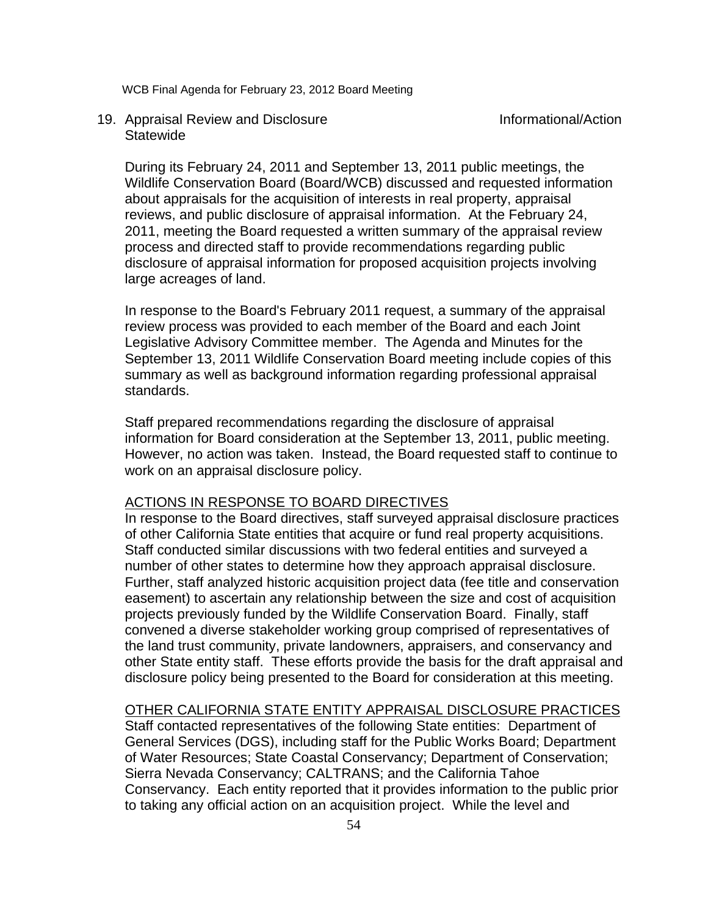# 19. Appraisal Review and Disclosure Informational/Action **Statewide**

During its February 24, 2011 and September 13, 2011 public meetings, the Wildlife Conservation Board (Board/WCB) discussed and requested information about appraisals for the acquisition of interests in real property, appraisal reviews, and public disclosure of appraisal information. At the February 24, 2011, meeting the Board requested a written summary of the appraisal review process and directed staff to provide recommendations regarding public disclosure of appraisal information for proposed acquisition projects involving large acreages of land.

In response to the Board's February 2011 request, a summary of the appraisal review process was provided to each member of the Board and each Joint Legislative Advisory Committee member. The Agenda and Minutes for the September 13, 2011 Wildlife Conservation Board meeting include copies of this summary as well as background information regarding professional appraisal standards.

Staff prepared recommendations regarding the disclosure of appraisal information for Board consideration at the September 13, 2011, public meeting. However, no action was taken. Instead, the Board requested staff to continue to work on an appraisal disclosure policy.

# ACTIONS IN RESPONSE TO BOARD DIRECTIVES

In response to the Board directives, staff surveyed appraisal disclosure practices of other California State entities that acquire or fund real property acquisitions. Staff conducted similar discussions with two federal entities and surveyed a number of other states to determine how they approach appraisal disclosure. Further, staff analyzed historic acquisition project data (fee title and conservation easement) to ascertain any relationship between the size and cost of acquisition projects previously funded by the Wildlife Conservation Board. Finally, staff convened a diverse stakeholder working group comprised of representatives of the land trust community, private landowners, appraisers, and conservancy and other State entity staff. These efforts provide the basis for the draft appraisal and disclosure policy being presented to the Board for consideration at this meeting.

# OTHER CALIFORNIA STATE ENTITY APPRAISAL DISCLOSURE PRACTICES

Staff contacted representatives of the following State entities: Department of General Services (DGS), including staff for the Public Works Board; Department of Water Resources; State Coastal Conservancy; Department of Conservation; Sierra Nevada Conservancy; CALTRANS; and the California Tahoe Conservancy. Each entity reported that it provides information to the public prior to taking any official action on an acquisition project. While the level and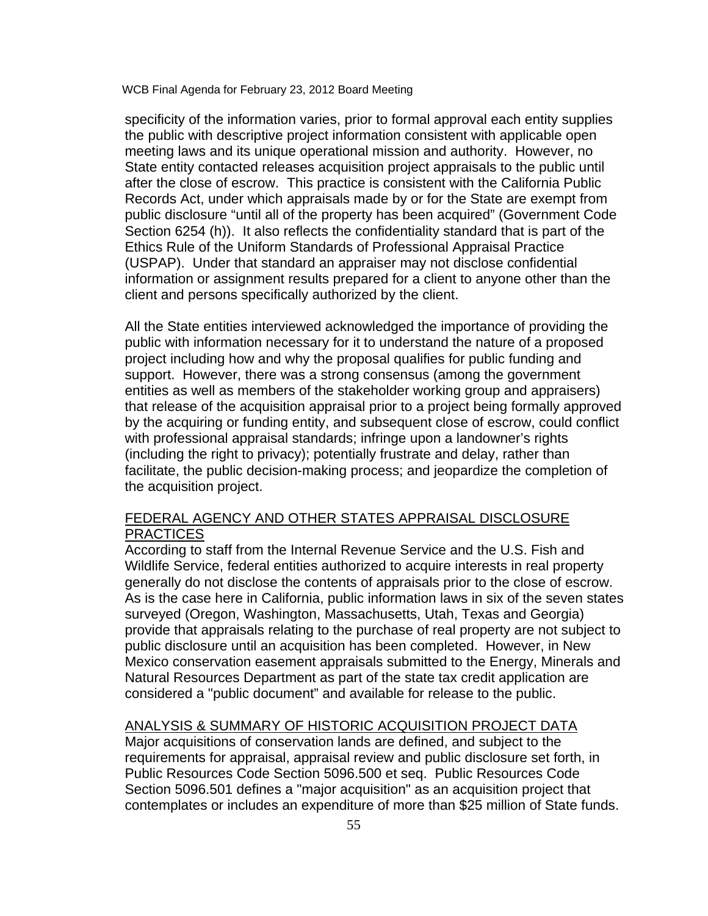specificity of the information varies, prior to formal approval each entity supplies the public with descriptive project information consistent with applicable open meeting laws and its unique operational mission and authority. However, no State entity contacted releases acquisition project appraisals to the public until after the close of escrow. This practice is consistent with the California Public Records Act, under which appraisals made by or for the State are exempt from public disclosure "until all of the property has been acquired" (Government Code Section 6254 (h)). It also reflects the confidentiality standard that is part of the Ethics Rule of the Uniform Standards of Professional Appraisal Practice (USPAP). Under that standard an appraiser may not disclose confidential information or assignment results prepared for a client to anyone other than the client and persons specifically authorized by the client.

All the State entities interviewed acknowledged the importance of providing the public with information necessary for it to understand the nature of a proposed project including how and why the proposal qualifies for public funding and support. However, there was a strong consensus (among the government entities as well as members of the stakeholder working group and appraisers) that release of the acquisition appraisal prior to a project being formally approved by the acquiring or funding entity, and subsequent close of escrow, could conflict with professional appraisal standards; infringe upon a landowner's rights (including the right to privacy); potentially frustrate and delay, rather than facilitate, the public decision-making process; and jeopardize the completion of the acquisition project.

# FEDERAL AGENCY AND OTHER STATES APPRAISAL DISCLOSURE **PRACTICES**

According to staff from the Internal Revenue Service and the U.S. Fish and Wildlife Service, federal entities authorized to acquire interests in real property generally do not disclose the contents of appraisals prior to the close of escrow. As is the case here in California, public information laws in six of the seven states surveyed (Oregon, Washington, Massachusetts, Utah, Texas and Georgia) provide that appraisals relating to the purchase of real property are not subject to public disclosure until an acquisition has been completed. However, in New Mexico conservation easement appraisals submitted to the Energy, Minerals and Natural Resources Department as part of the state tax credit application are considered a "public document" and available for release to the public.

# ANALYSIS & SUMMARY OF HISTORIC ACQUISITION PROJECT DATA

Major acquisitions of conservation lands are defined, and subject to the requirements for appraisal, appraisal review and public disclosure set forth, in Public Resources Code Section 5096.500 et seq. Public Resources Code Section 5096.501 defines a "major acquisition" as an acquisition project that contemplates or includes an expenditure of more than \$25 million of State funds.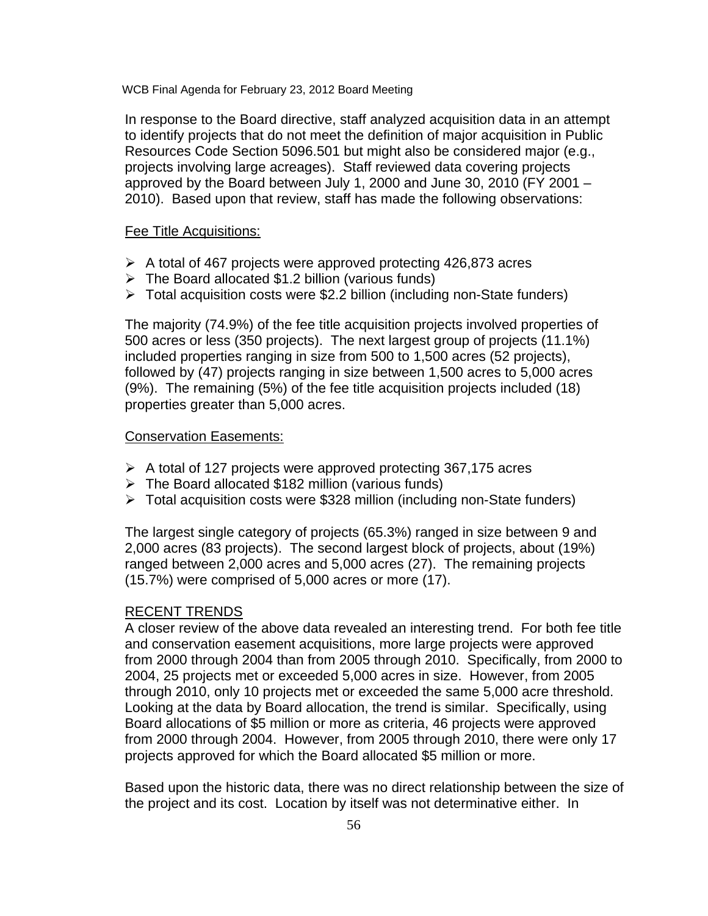In response to the Board directive, staff analyzed acquisition data in an attempt to identify projects that do not meet the definition of major acquisition in Public Resources Code Section 5096.501 but might also be considered major (e.g., projects involving large acreages). Staff reviewed data covering projects approved by the Board between July 1, 2000 and June 30, 2010 (FY 2001 – 2010). Based upon that review, staff has made the following observations:

# Fee Title Acquisitions:

- $\triangleright$  A total of 467 projects were approved protecting 426,873 acres
- $\triangleright$  The Board allocated \$1.2 billion (various funds)
- $\triangleright$  Total acquisition costs were \$2.2 billion (including non-State funders)

The majority (74.9%) of the fee title acquisition projects involved properties of 500 acres or less (350 projects). The next largest group of projects (11.1%) included properties ranging in size from 500 to 1,500 acres (52 projects), followed by (47) projects ranging in size between 1,500 acres to 5,000 acres (9%). The remaining (5%) of the fee title acquisition projects included (18) properties greater than 5,000 acres.

## Conservation Easements:

- $\triangleright$  A total of 127 projects were approved protecting 367,175 acres
- $\triangleright$  The Board allocated \$182 million (various funds)
- $\triangleright$  Total acquisition costs were \$328 million (including non-State funders)

The largest single category of projects (65.3%) ranged in size between 9 and 2,000 acres (83 projects). The second largest block of projects, about (19%) ranged between 2,000 acres and 5,000 acres (27). The remaining projects (15.7%) were comprised of 5,000 acres or more (17).

#### RECENT TRENDS

A closer review of the above data revealed an interesting trend. For both fee title and conservation easement acquisitions, more large projects were approved from 2000 through 2004 than from 2005 through 2010. Specifically, from 2000 to 2004, 25 projects met or exceeded 5,000 acres in size. However, from 2005 through 2010, only 10 projects met or exceeded the same 5,000 acre threshold. Looking at the data by Board allocation, the trend is similar. Specifically, using Board allocations of \$5 million or more as criteria, 46 projects were approved from 2000 through 2004. However, from 2005 through 2010, there were only 17 projects approved for which the Board allocated \$5 million or more.

Based upon the historic data, there was no direct relationship between the size of the project and its cost. Location by itself was not determinative either. In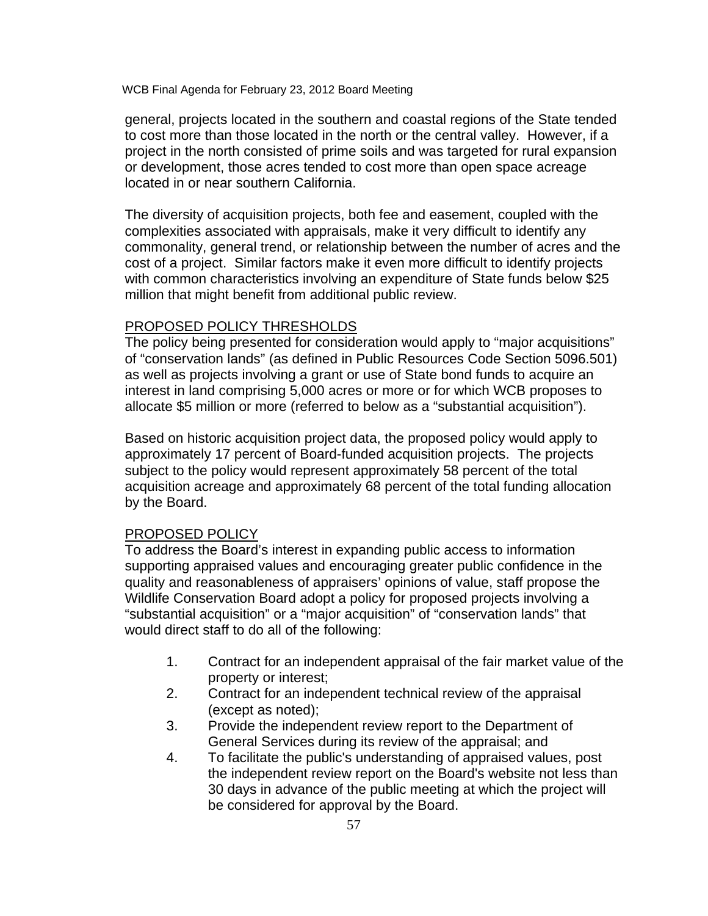general, projects located in the southern and coastal regions of the State tended to cost more than those located in the north or the central valley. However, if a project in the north consisted of prime soils and was targeted for rural expansion or development, those acres tended to cost more than open space acreage located in or near southern California.

The diversity of acquisition projects, both fee and easement, coupled with the complexities associated with appraisals, make it very difficult to identify any commonality, general trend, or relationship between the number of acres and the cost of a project. Similar factors make it even more difficult to identify projects with common characteristics involving an expenditure of State funds below \$25 million that might benefit from additional public review.

## PROPOSED POLICY THRESHOLDS

The policy being presented for consideration would apply to "major acquisitions" of "conservation lands" (as defined in Public Resources Code Section 5096.501) as well as projects involving a grant or use of State bond funds to acquire an interest in land comprising 5,000 acres or more or for which WCB proposes to allocate \$5 million or more (referred to below as a "substantial acquisition").

Based on historic acquisition project data, the proposed policy would apply to approximately 17 percent of Board-funded acquisition projects. The projects subject to the policy would represent approximately 58 percent of the total acquisition acreage and approximately 68 percent of the total funding allocation by the Board.

### PROPOSED POLICY

To address the Board's interest in expanding public access to information supporting appraised values and encouraging greater public confidence in the quality and reasonableness of appraisers' opinions of value, staff propose the Wildlife Conservation Board adopt a policy for proposed projects involving a "substantial acquisition" or a "major acquisition" of "conservation lands" that would direct staff to do all of the following:

- 1. Contract for an independent appraisal of the fair market value of the property or interest;
- 2. Contract for an independent technical review of the appraisal (except as noted);
- 3. Provide the independent review report to the Department of General Services during its review of the appraisal; and
- 4. To facilitate the public's understanding of appraised values, post the independent review report on the Board's website not less than 30 days in advance of the public meeting at which the project will be considered for approval by the Board.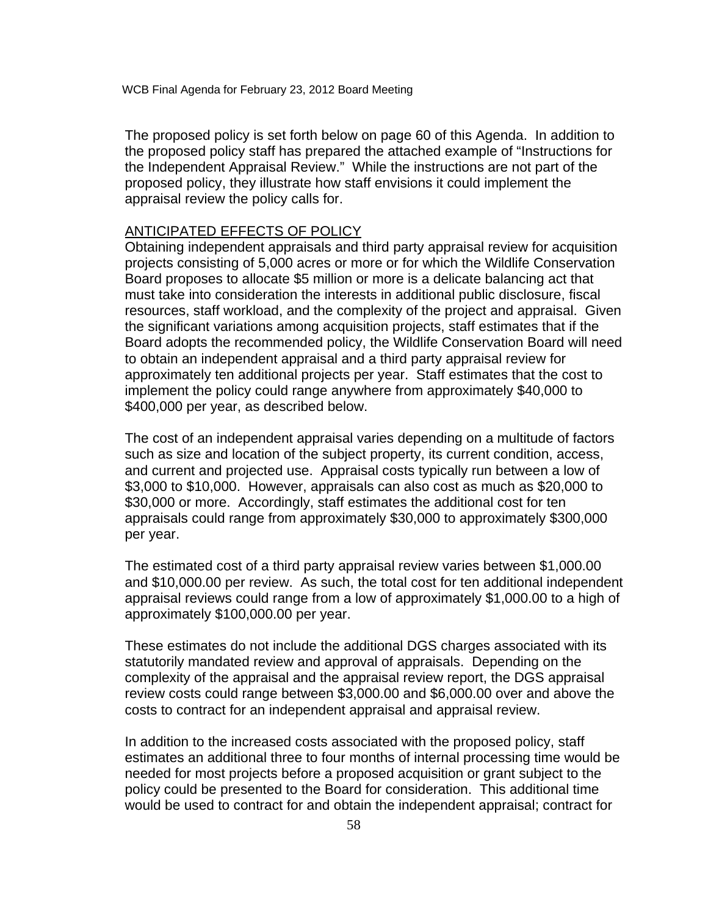The proposed policy is set forth below on page 60 of this Agenda. In addition to the proposed policy staff has prepared the attached example of "Instructions for the Independent Appraisal Review." While the instructions are not part of the proposed policy, they illustrate how staff envisions it could implement the appraisal review the policy calls for.

## ANTICIPATED EFFECTS OF POLICY

Obtaining independent appraisals and third party appraisal review for acquisition projects consisting of 5,000 acres or more or for which the Wildlife Conservation Board proposes to allocate \$5 million or more is a delicate balancing act that must take into consideration the interests in additional public disclosure, fiscal resources, staff workload, and the complexity of the project and appraisal. Given the significant variations among acquisition projects, staff estimates that if the Board adopts the recommended policy, the Wildlife Conservation Board will need to obtain an independent appraisal and a third party appraisal review for approximately ten additional projects per year. Staff estimates that the cost to implement the policy could range anywhere from approximately \$40,000 to \$400,000 per year, as described below.

The cost of an independent appraisal varies depending on a multitude of factors such as size and location of the subject property, its current condition, access, and current and projected use. Appraisal costs typically run between a low of \$3,000 to \$10,000. However, appraisals can also cost as much as \$20,000 to \$30,000 or more. Accordingly, staff estimates the additional cost for ten appraisals could range from approximately \$30,000 to approximately \$300,000 per year.

The estimated cost of a third party appraisal review varies between \$1,000.00 and \$10,000.00 per review. As such, the total cost for ten additional independent appraisal reviews could range from a low of approximately \$1,000.00 to a high of approximately \$100,000.00 per year.

These estimates do not include the additional DGS charges associated with its statutorily mandated review and approval of appraisals. Depending on the complexity of the appraisal and the appraisal review report, the DGS appraisal review costs could range between \$3,000.00 and \$6,000.00 over and above the costs to contract for an independent appraisal and appraisal review.

In addition to the increased costs associated with the proposed policy, staff estimates an additional three to four months of internal processing time would be needed for most projects before a proposed acquisition or grant subject to the policy could be presented to the Board for consideration. This additional time would be used to contract for and obtain the independent appraisal; contract for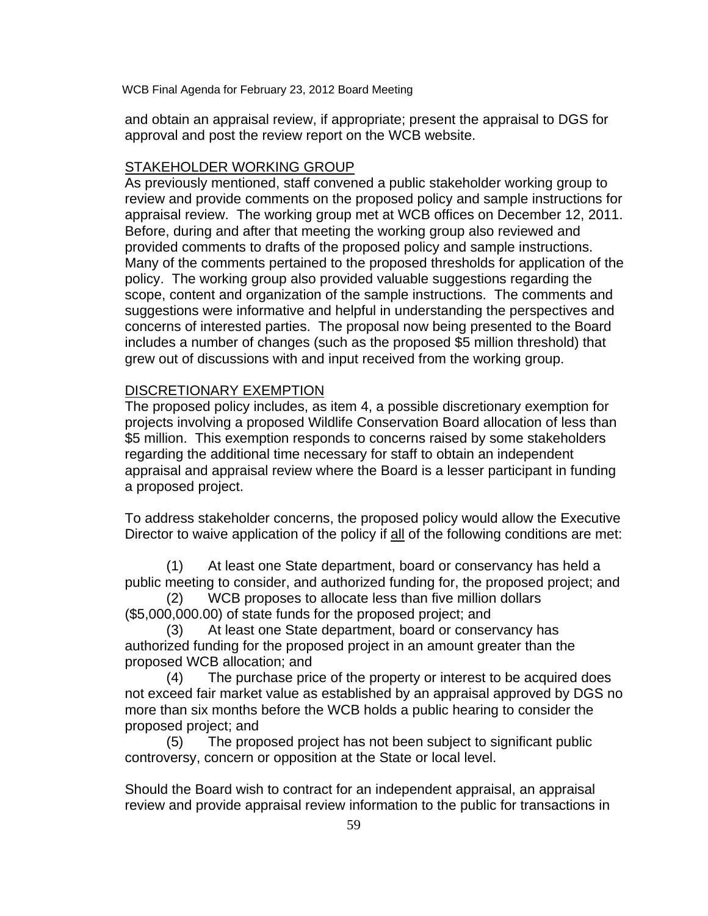and obtain an appraisal review, if appropriate; present the appraisal to DGS for approval and post the review report on the WCB website.

# STAKEHOLDER WORKING GROUP

As previously mentioned, staff convened a public stakeholder working group to review and provide comments on the proposed policy and sample instructions for appraisal review. The working group met at WCB offices on December 12, 2011. Before, during and after that meeting the working group also reviewed and provided comments to drafts of the proposed policy and sample instructions. Many of the comments pertained to the proposed thresholds for application of the policy. The working group also provided valuable suggestions regarding the scope, content and organization of the sample instructions. The comments and suggestions were informative and helpful in understanding the perspectives and concerns of interested parties. The proposal now being presented to the Board includes a number of changes (such as the proposed \$5 million threshold) that grew out of discussions with and input received from the working group.

# DISCRETIONARY EXEMPTION

The proposed policy includes, as item 4, a possible discretionary exemption for projects involving a proposed Wildlife Conservation Board allocation of less than \$5 million. This exemption responds to concerns raised by some stakeholders regarding the additional time necessary for staff to obtain an independent appraisal and appraisal review where the Board is a lesser participant in funding a proposed project.

To address stakeholder concerns, the proposed policy would allow the Executive Director to waive application of the policy if all of the following conditions are met:

(1) At least one State department, board or conservancy has held a public meeting to consider, and authorized funding for, the proposed project; and

(2) WCB proposes to allocate less than five million dollars (\$5,000,000.00) of state funds for the proposed project; and

(3) At least one State department, board or conservancy has authorized funding for the proposed project in an amount greater than the proposed WCB allocation; and

(4) The purchase price of the property or interest to be acquired does not exceed fair market value as established by an appraisal approved by DGS no more than six months before the WCB holds a public hearing to consider the proposed project; and

(5) The proposed project has not been subject to significant public controversy, concern or opposition at the State or local level.

Should the Board wish to contract for an independent appraisal, an appraisal review and provide appraisal review information to the public for transactions in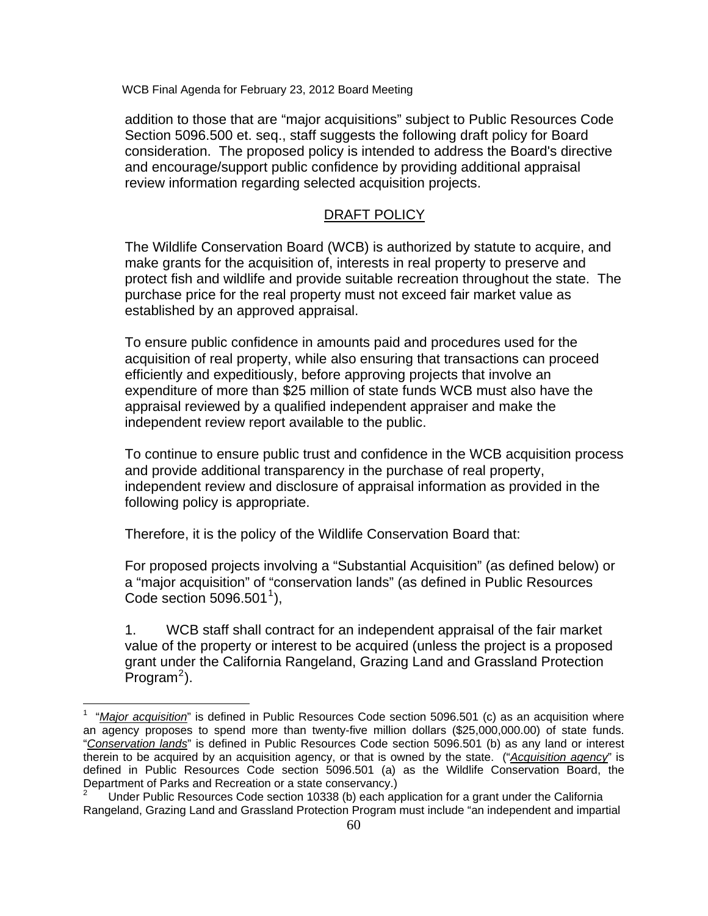addition to those that are "major acquisitions" subject to Public Resources Code Section 5096.500 et. seq., staff suggests the following draft policy for Board consideration. The proposed policy is intended to address the Board's directive and encourage/support public confidence by providing additional appraisal review information regarding selected acquisition projects.

# DRAFT POLICY

The Wildlife Conservation Board (WCB) is authorized by statute to acquire, and make grants for the acquisition of, interests in real property to preserve and protect fish and wildlife and provide suitable recreation throughout the state. The purchase price for the real property must not exceed fair market value as established by an approved appraisal.

To ensure public confidence in amounts paid and procedures used for the acquisition of real property, while also ensuring that transactions can proceed efficiently and expeditiously, before approving projects that involve an expenditure of more than \$25 million of state funds WCB must also have the appraisal reviewed by a qualified independent appraiser and make the independent review report available to the public.

To continue to ensure public trust and confidence in the WCB acquisition process and provide additional transparency in the purchase of real property, independent review and disclosure of appraisal information as provided in the following policy is appropriate.

Therefore, it is the policy of the Wildlife Conservation Board that:

 $\overline{a}$ 

For proposed projects involving a "Substantial Acquisition" (as defined below) or a "major acquisition" of "conservation lands" (as defined in Public Resources Code section  $5096.501^1$  $5096.501^1$  $5096.501^1$ ),

1. WCB staff shall contract for an independent appraisal of the fair market value of the property or interest to be acquired (unless the project is a proposed grant under the California Rangeland, Grazing Land and Grassland Protection  $P$ rogram<sup>[2](#page-66-1)</sup>).

<span id="page-66-0"></span><sup>1</sup> "*Major acquisition*" is defined in Public Resources Code section 5096.501 (c) as an acquisition where an agency proposes to spend more than twenty-five million dollars (\$25,000,000.00) of state funds. "*Conservation lands*" is defined in Public Resources Code section 5096.501 (b) as any land or interest therein to be acquired by an acquisition agency, or that is owned by the state. ("*Acquisition agency*" is defined in Public Resources Code section 5096.501 (a) as the Wildlife Conservation Board, the Department of Parks and Recreation or a state conservancy.)

<span id="page-66-1"></span>Under Public Resources Code section 10338 (b) each application for a grant under the California Rangeland, Grazing Land and Grassland Protection Program must include "an independent and impartial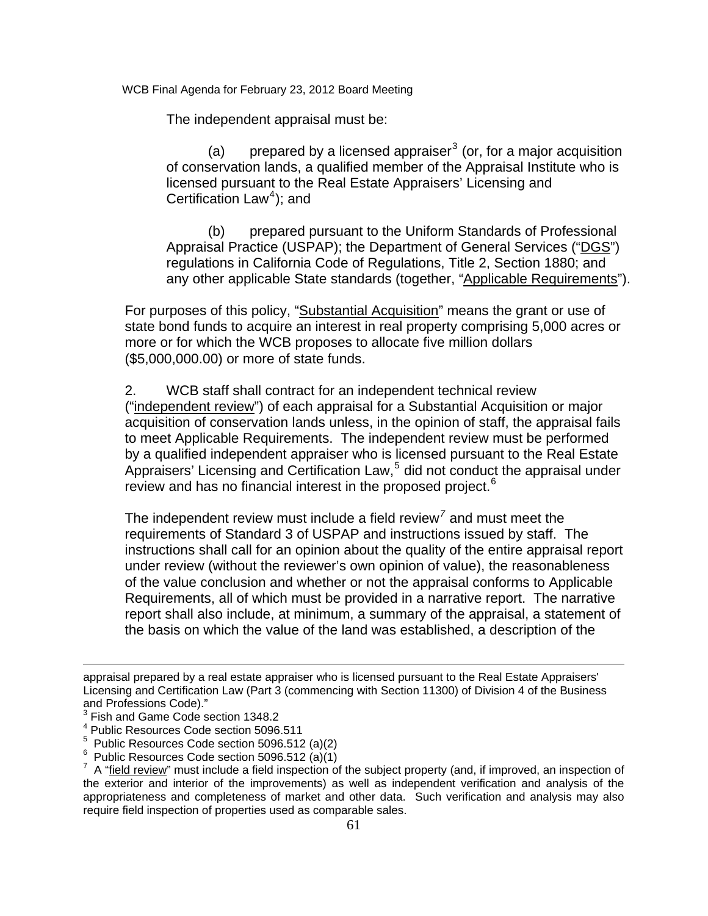The independent appraisal must be:

(a) prepared by a licensed appraiser<sup>[3](#page-67-0)</sup> (or, for a major acquisition of conservation lands, a qualified member of the Appraisal Institute who is licensed pursuant to the Real Estate Appraisers' Licensing and Certification  $Law<sup>4</sup>$  $Law<sup>4</sup>$  $Law<sup>4</sup>$ ); and

(b) prepared pursuant to the Uniform Standards of Professional Appraisal Practice (USPAP); the Department of General Services ("DGS") regulations in California Code of Regulations, Title 2, Section 1880; and any other applicable State standards (together, "Applicable Requirements").

For purposes of this policy, "Substantial Acquisition" means the grant or use of state bond funds to acquire an interest in real property comprising 5,000 acres or more or for which the WCB proposes to allocate five million dollars (\$5,000,000.00) or more of state funds.

2. WCB staff shall contract for an independent technical review ("independent review") of each appraisal for a Substantial Acquisition or major acquisition of conservation lands unless, in the opinion of staff, the appraisal fails to meet Applicable Requirements. The independent review must be performed by a qualified independent appraiser who is licensed pursuant to the Real Estate Appraisers' Licensing and Certification Law,<sup>[5](#page-67-2)</sup> did not conduct the appraisal under review and has no financial interest in the proposed project.<sup>[6](#page-67-3)</sup>

The independent review must include a field review*[7](#page-67-4)* and must meet the requirements of Standard 3 of USPAP and instructions issued by staff. The instructions shall call for an opinion about the quality of the entire appraisal report under review (without the reviewer's own opinion of value), the reasonableness of the value conclusion and whether or not the appraisal conforms to Applicable Requirements, all of which must be provided in a narrative report. The narrative report shall also include, at minimum, a summary of the appraisal, a statement of the basis on which the value of the land was established, a description of the

1

appraisal prepared by a real estate appraiser who is licensed pursuant to the Real Estate Appraisers' Licensing and Certification Law (Part 3 (commencing with Section 11300) of Division 4 of the Business and Professions Code)."

<span id="page-67-0"></span><sup>&</sup>lt;sup>3</sup> Fish and Game Code section 1348.2

<span id="page-67-1"></span><sup>4</sup> Public Resources Code section 5096.511

<span id="page-67-2"></span> $5$  Public Resources Code section 5096.512 (a)(2)

<span id="page-67-3"></span> $6$  Public Resources Code section 5096.512 (a)(1)

<span id="page-67-4"></span> $7\,$  A "field review" must include a field inspection of the subject property (and, if improved, an inspection of the exterior and interior of the improvements) as well as independent verification and analysis of the appropriateness and completeness of market and other data. Such verification and analysis may also require field inspection of properties used as comparable sales.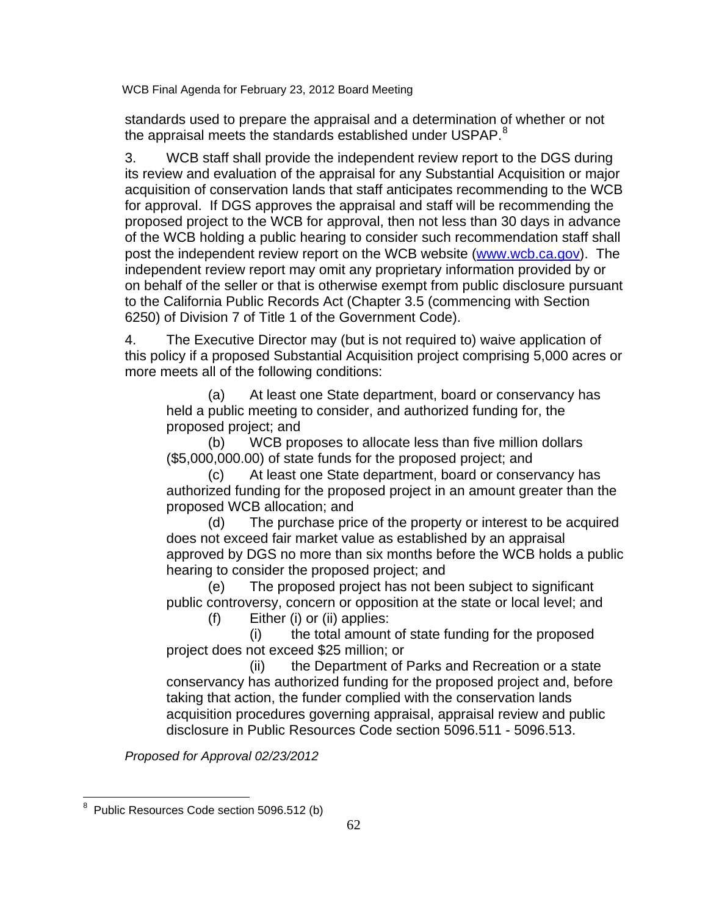standards used to prepare the appraisal and a determination of whether or not the appraisal meets the standards established under USPAP. $8$ 

3. WCB staff shall provide the independent review report to the DGS during its review and evaluation of the appraisal for any Substantial Acquisition or major acquisition of conservation lands that staff anticipates recommending to the WCB for approval. If DGS approves the appraisal and staff will be recommending the proposed project to the WCB for approval, then not less than 30 days in advance of the WCB holding a public hearing to consider such recommendation staff shall post the independent review report on the WCB website [\(www.wcb.ca.gov\)](http://www.wcb.ca.gov/). The independent review report may omit any proprietary information provided by or on behalf of the seller or that is otherwise exempt from public disclosure pursuant to the California Public Records Act (Chapter 3.5 (commencing with Section 6250) of Division 7 of Title 1 of the Government Code).

4. The Executive Director may (but is not required to) waive application of this policy if a proposed Substantial Acquisition project comprising 5,000 acres or more meets all of the following conditions:

(a) At least one State department, board or conservancy has held a public meeting to consider, and authorized funding for, the proposed project; and

(b) WCB proposes to allocate less than five million dollars (\$5,000,000.00) of state funds for the proposed project; and

(c) At least one State department, board or conservancy has authorized funding for the proposed project in an amount greater than the proposed WCB allocation; and

(d) The purchase price of the property or interest to be acquired does not exceed fair market value as established by an appraisal approved by DGS no more than six months before the WCB holds a public hearing to consider the proposed project; and

(e) The proposed project has not been subject to significant public controversy, concern or opposition at the state or local level; and

(f) Either (i) or (ii) applies:

 (i) the total amount of state funding for the proposed project does not exceed \$25 million; or

 (ii) the Department of Parks and Recreation or a state conservancy has authorized funding for the proposed project and, before taking that action, the funder complied with the conservation lands acquisition procedures governing appraisal, appraisal review and public disclosure in Public Resources Code section 5096.511 - 5096.513.

*Proposed for Approval 02/23/2012* 

<span id="page-68-0"></span> 8 Public Resources Code section 5096.512 (b)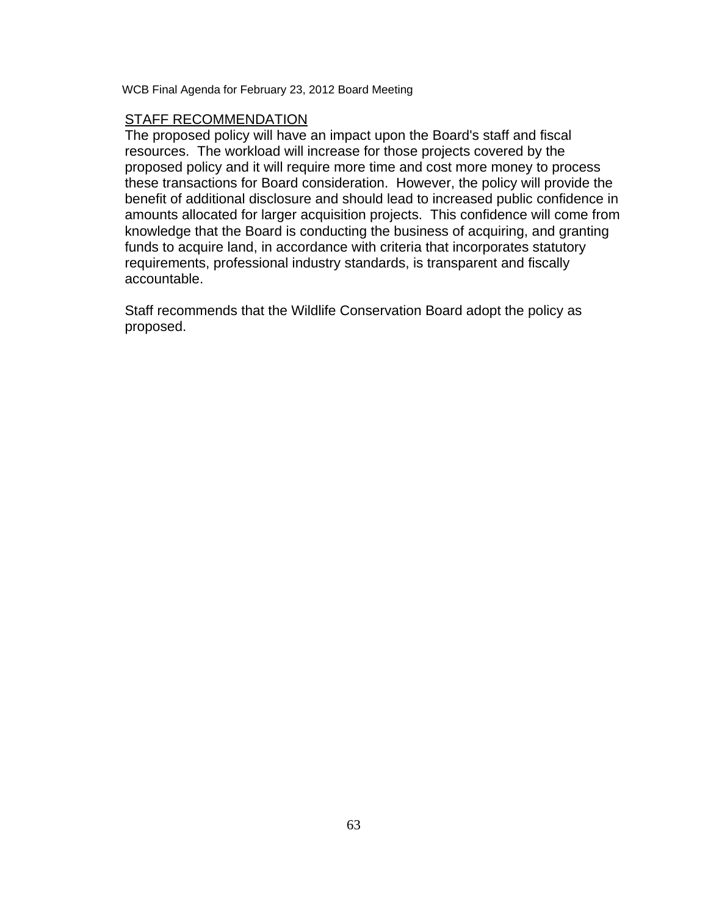# STAFF RECOMMENDATION

The proposed policy will have an impact upon the Board's staff and fiscal resources. The workload will increase for those projects covered by the proposed policy and it will require more time and cost more money to process these transactions for Board consideration. However, the policy will provide the benefit of additional disclosure and should lead to increased public confidence in amounts allocated for larger acquisition projects. This confidence will come from knowledge that the Board is conducting the business of acquiring, and granting funds to acquire land, in accordance with criteria that incorporates statutory requirements, professional industry standards, is transparent and fiscally accountable.

Staff recommends that the Wildlife Conservation Board adopt the policy as proposed.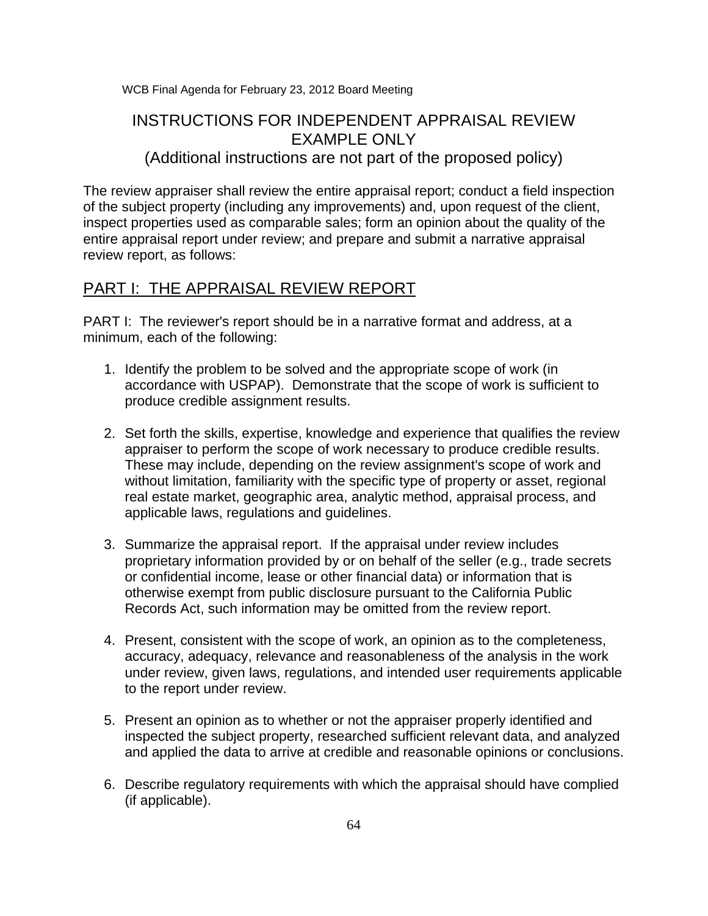# INSTRUCTIONS FOR INDEPENDENT APPRAISAL REVIEW EXAMPLE ONLY

(Additional instructions are not part of the proposed policy)

The review appraiser shall review the entire appraisal report; conduct a field inspection of the subject property (including any improvements) and, upon request of the client, inspect properties used as comparable sales; form an opinion about the quality of the entire appraisal report under review; and prepare and submit a narrative appraisal review report, as follows:

# PART I: THE APPRAISAL REVIEW REPORT

PART I: The reviewer's report should be in a narrative format and address, at a minimum, each of the following:

- 1. Identify the problem to be solved and the appropriate scope of work (in accordance with USPAP). Demonstrate that the scope of work is sufficient to produce credible assignment results.
- 2. Set forth the skills, expertise, knowledge and experience that qualifies the review appraiser to perform the scope of work necessary to produce credible results. These may include, depending on the review assignment's scope of work and without limitation, familiarity with the specific type of property or asset, regional real estate market, geographic area, analytic method, appraisal process, and applicable laws, regulations and guidelines.
- 3. Summarize the appraisal report. If the appraisal under review includes proprietary information provided by or on behalf of the seller (e.g., trade secrets or confidential income, lease or other financial data) or information that is otherwise exempt from public disclosure pursuant to the California Public Records Act, such information may be omitted from the review report.
- 4. Present, consistent with the scope of work, an opinion as to the completeness, accuracy, adequacy, relevance and reasonableness of the analysis in the work under review, given laws, regulations, and intended user requirements applicable to the report under review.
- 5. Present an opinion as to whether or not the appraiser properly identified and inspected the subject property, researched sufficient relevant data, and analyzed and applied the data to arrive at credible and reasonable opinions or conclusions.
- 6. Describe regulatory requirements with which the appraisal should have complied (if applicable).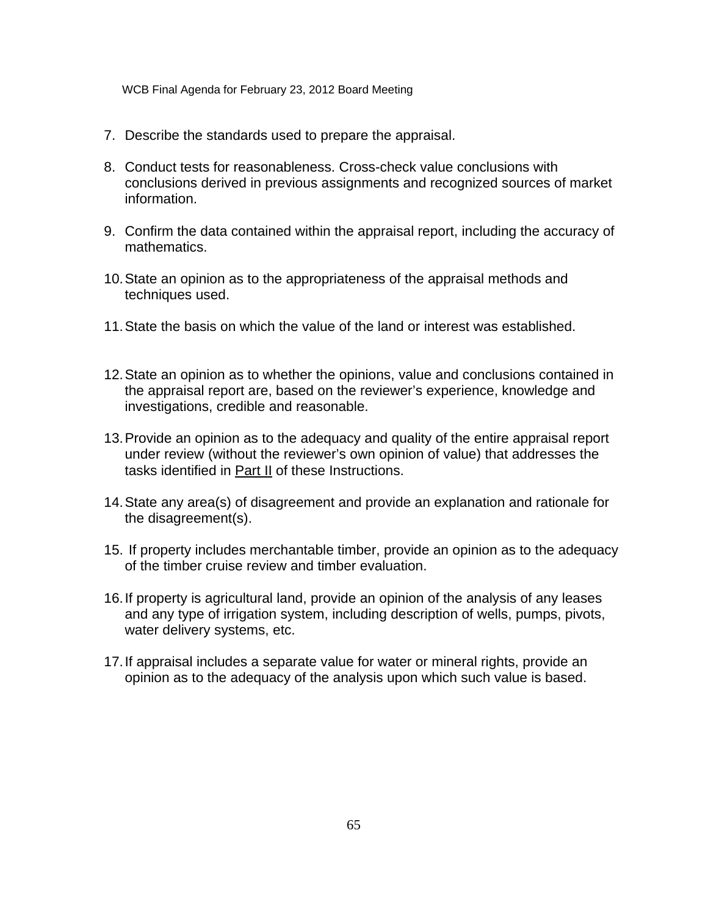- 7. Describe the standards used to prepare the appraisal.
- 8. Conduct tests for reasonableness. Cross-check value conclusions with conclusions derived in previous assignments and recognized sources of market information.
- 9. Confirm the data contained within the appraisal report, including the accuracy of mathematics.
- 10. State an opinion as to the appropriateness of the appraisal methods and techniques used.
- 11. State the basis on which the value of the land or interest was established.
- 12. State an opinion as to whether the opinions, value and conclusions contained in the appraisal report are, based on the reviewer's experience, knowledge and investigations, credible and reasonable.
- 13. Provide an opinion as to the adequacy and quality of the entire appraisal report under review (without the reviewer's own opinion of value) that addresses the tasks identified in Part II of these Instructions.
- 14. State any area(s) of disagreement and provide an explanation and rationale for the disagreement(s).
- 15. If property includes merchantable timber, provide an opinion as to the adequacy of the timber cruise review and timber evaluation.
- 16. If property is agricultural land, provide an opinion of the analysis of any leases and any type of irrigation system, including description of wells, pumps, pivots, water delivery systems, etc.
- 17. If appraisal includes a separate value for water or mineral rights, provide an opinion as to the adequacy of the analysis upon which such value is based.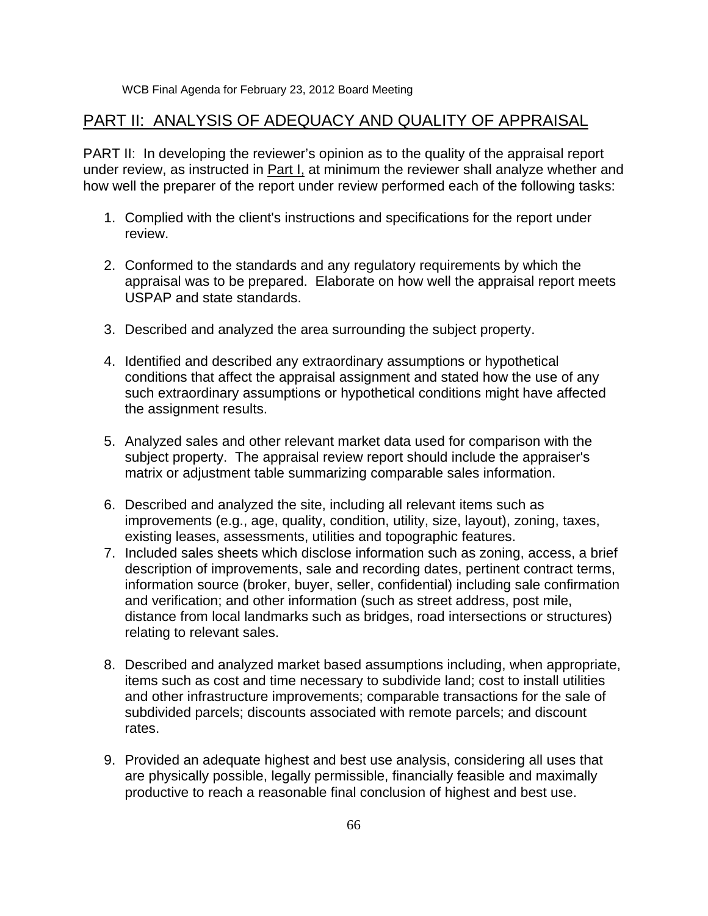## WCB Final Agenda for February 23, 2012 Board Meeting

## PART II: ANALYSIS OF ADEQUACY AND QUALITY OF APPRAISAL

PART II: In developing the reviewer's opinion as to the quality of the appraisal report under review, as instructed in Part I, at minimum the reviewer shall analyze whether and how well the preparer of the report under review performed each of the following tasks:

- 1. Complied with the client's instructions and specifications for the report under review.
- 2. Conformed to the standards and any regulatory requirements by which the appraisal was to be prepared. Elaborate on how well the appraisal report meets USPAP and state standards.
- 3. Described and analyzed the area surrounding the subject property.
- 4. Identified and described any extraordinary assumptions or hypothetical conditions that affect the appraisal assignment and stated how the use of any such extraordinary assumptions or hypothetical conditions might have affected the assignment results.
- 5. Analyzed sales and other relevant market data used for comparison with the subject property. The appraisal review report should include the appraiser's matrix or adjustment table summarizing comparable sales information.
- 6. Described and analyzed the site, including all relevant items such as improvements (e.g., age, quality, condition, utility, size, layout), zoning, taxes, existing leases, assessments, utilities and topographic features.
- 7. Included sales sheets which disclose information such as zoning, access, a brief description of improvements, sale and recording dates, pertinent contract terms, information source (broker, buyer, seller, confidential) including sale confirmation and verification; and other information (such as street address, post mile, distance from local landmarks such as bridges, road intersections or structures) relating to relevant sales.
- 8. Described and analyzed market based assumptions including, when appropriate, items such as cost and time necessary to subdivide land; cost to install utilities and other infrastructure improvements; comparable transactions for the sale of subdivided parcels; discounts associated with remote parcels; and discount rates.
- 9. Provided an adequate highest and best use analysis, considering all uses that are physically possible, legally permissible, financially feasible and maximally productive to reach a reasonable final conclusion of highest and best use.